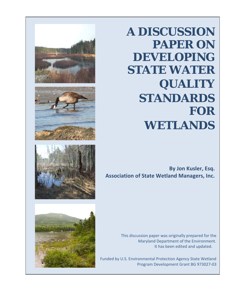







**A DISCUSSION PAPER ON DEVELOPING STATE WATER QUALITY STANDARDS FOR WETLANDS**

**By Jon Kusler, Esq. Association of State Wetland Managers, Inc.**

> This discussion paper was originally prepared for the Maryland Department of the Environment. It has been edited and updated.

 Funded by U.S. Environmental Protection Agency State Wetland Program Development Grant BG 973027-03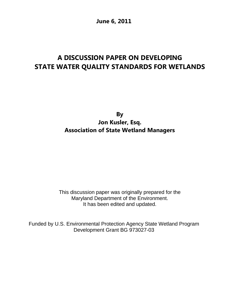**June 6, 2011**

# **A DISCUSSION PAPER ON DEVELOPING STATE WATER QUALITY STANDARDS FOR WETLANDS**

**By Jon Kusler, Esq. Association of State Wetland Managers**

This discussion paper was originally prepared for the Maryland Department of the Environment. It has been edited and updated.

Funded by U.S. Environmental Protection Agency State Wetland Program Development Grant BG 973027-03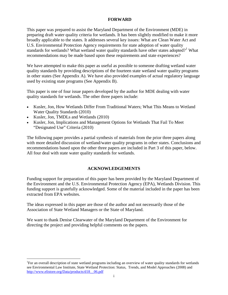# **FORWARD**

This paper was prepared to assist the Maryland Department of the Environment (MDE) in preparing draft water quality criteria for wetlands. It has been slightly modified to make it more broadly applicable to the states. It addresses several key issues: What are Clean Water Act and U.S. Environmental Protection Agency requirements for state adoption of water quality standards for wetlands? What wetland water quality standards have other states adopted?<sup>[1](#page-2-0)</sup> What recommendations may be made based upon these requirements and state experiences?

We have attempted to make this paper as useful as possible to someone drafting wetland water quality standards by providing descriptions of the fourteen state wetland water quality programs in other states (See Appendix A). We have also provided examples of actual regulatory language used by existing state programs (See Appendix B).

This paper is one of four issue papers developed by the author for MDE dealing with water quality standards for wetlands. The other three papers include:

- Kusler, Jon, How Wetlands Differ From Traditional Waters; What This Means to Wetland Water Quality Standards (2010)
- Kusler, Jon, TMDLs and Wetlands (2010)
- Kusler, Jon, Implications and Management Options for Wetlands That Fail To Meet "Designated Use" Criteria (2010)

The following paper provides a partial synthesis of materials from the prior three papers along with more detailed discussion of wetland/water quality programs in other states. Conclusions and recommendations based upon the other three papers are included in Part 3 of this paper, below. All four deal with state water quality standards for wetlands.

# **ACKNOWLEDGEMENTS**

Funding support for preparation of this paper has been provided by the Maryland Department of the Environment and the U.S. Environmental Protection Agency (EPA), Wetlands Division. This funding support is gratefully acknowledged. Some of the material included in the paper has been extracted from EPA websites.

The ideas expressed in this paper are those of the author and not necessarily those of the Association of State Wetland Managers or the State of Maryland.

We want to thank Denise Clearwater of the Maryland Department of the Environment for directing the project and providing helpful comments on the papers.

<span id="page-2-0"></span> $\frac{1}{1}$ For an overall description of state wetland programs including an overview of water quality standards for wetlands see Environmental Law Institute, State Wetland Protection: Status, Trends, and Model Approaches (2008) and [http://www.elistore.org/Data/products/d18\\_\\_06.pdf](http://www.elistore.org/Data/products/d18__06.pdf)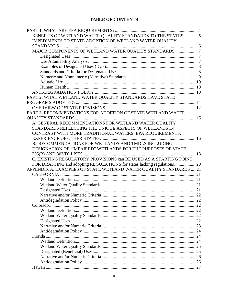# **TABLE OF CONTENTS**

| BENEFITS OF WETLAND WATER QUALITY STANDARDS TO THE STATES  5            |  |
|-------------------------------------------------------------------------|--|
| IMPEDIMENTS TO STATE ADOPTION OF WETLAND WATER QUALITY                  |  |
|                                                                         |  |
| MAJOR COMPONENTS OF WETLAND WATER QUALITY STANDARDS 7                   |  |
|                                                                         |  |
|                                                                         |  |
|                                                                         |  |
|                                                                         |  |
|                                                                         |  |
|                                                                         |  |
|                                                                         |  |
|                                                                         |  |
| PART 2: WHAT WETLAND WATER QUALITY STANDARDS HAVE STATE                 |  |
|                                                                         |  |
|                                                                         |  |
| PART 3. RECOMMENDATIONS FOR ADOPTION OF STATE WETLAND WATER             |  |
|                                                                         |  |
| A. GENERAL RECOMMENDATIONS FOR WETLAND WATER QUALITY                    |  |
| STANDARDS REFLECTING THE UNIQUE ASPECTS OF WETLANDS IN                  |  |
| CONTRAST WITH MORE TRADITIONAL WATERS: EPA REQUIREMENTS;                |  |
|                                                                         |  |
| B. RECOMMENDATIONS FOR WETLANDS AND TMDLS INCLUDING                     |  |
| DESIGNATION OF "IMPAIRED" WETLANDS FOR THE PURPOSES OF STATE            |  |
|                                                                         |  |
| C. EXISTING REGULATORY PROVISIONS can BE USED AS A STARTING POINT       |  |
| FOR DRAFTING and adopting REGULATIONS for states lacking regulations 20 |  |
| APPENDIX A. EXAMPLES OF STATE WETLAND WATER QUALITY STANDARDS 21        |  |
|                                                                         |  |
|                                                                         |  |
|                                                                         |  |
|                                                                         |  |
|                                                                         |  |
|                                                                         |  |
|                                                                         |  |
|                                                                         |  |
|                                                                         |  |
|                                                                         |  |
|                                                                         |  |
|                                                                         |  |
|                                                                         |  |
|                                                                         |  |
|                                                                         |  |
|                                                                         |  |
|                                                                         |  |
|                                                                         |  |
|                                                                         |  |
|                                                                         |  |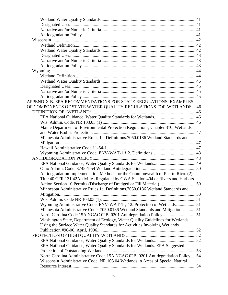| APPENDIX B. EPA RECOMMENDATIONS FOR STATE REGULATIONS; EXAMPLES                   |  |
|-----------------------------------------------------------------------------------|--|
| OF COMPONENTS OF STATE WATER QUALITY REGULATIONS FOR WETLANDS46                   |  |
|                                                                                   |  |
|                                                                                   |  |
|                                                                                   |  |
| Maine Department of Environmental Protection Regulations, Chapter 310, Wetlands   |  |
|                                                                                   |  |
| Minnesota Administrative Rules 1a. Definitions.7050.0186 Wetland Standards and    |  |
|                                                                                   |  |
|                                                                                   |  |
|                                                                                   |  |
|                                                                                   |  |
|                                                                                   |  |
|                                                                                   |  |
| Antidegradation Implementation Methods for the Commonwealth of Puerto Rico. (2)   |  |
| Title 40 CFR 131.42 Activities Regulated by CWA Section 404 or Rivers and Harbors |  |
| Action Section 10 Permits (Discharge of Dredged or Fill Material) 50              |  |
| Minnesota Administrative Rules 1a. Definitions.7050.0186 Wetland Standards and    |  |
|                                                                                   |  |
|                                                                                   |  |
| Wyoming Administrative Code. ENV-WAT-1 § 12. Protection of Wetlands.  51          |  |
| Minnesota Administrative Code: 7050.0186 Wetland Standards and Mitigation.  51    |  |
|                                                                                   |  |
| Washington State, Department of Ecology, Water Quality Guidelines for Wetlands,   |  |
| Using the Surface Water Quality Standards for Activities Involving Wetlands       |  |
|                                                                                   |  |
|                                                                                   |  |
|                                                                                   |  |
| EPA National Guidance, Water Quality Standards for Wetlands. EPA Suggested        |  |
|                                                                                   |  |
| North Carolina Administrative Code 15A NCAC 02B .0201 Antidegradation Policy  54  |  |
| Wisconsin Administrative Code, NR 103.04 Wetlands in Areas of Special Natural     |  |
|                                                                                   |  |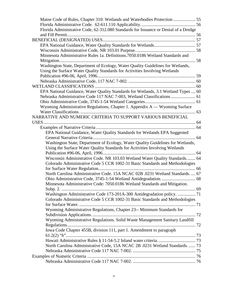| Florida Administrative Code, 62-312.080 Standards for Issuance or Denial of a Dredge |  |
|--------------------------------------------------------------------------------------|--|
|                                                                                      |  |
|                                                                                      |  |
|                                                                                      |  |
|                                                                                      |  |
| Minnesota Administrative Rules 1a. Definitions.7050.0186 Wetland Standards and       |  |
|                                                                                      |  |
| Washington State, Department of Ecology, Water Quality Guidelines for Wetlands,      |  |
| Using the Surface Water Quality Standards for Activities Involving Wetlands          |  |
|                                                                                      |  |
|                                                                                      |  |
|                                                                                      |  |
| EPA National Guidance, Water Quality Standards for Wetlands, 3.1 Wetland Types  60   |  |
| Nebraska Administrative Code 117 NAC 7-003, Wetland Classifications  61              |  |
|                                                                                      |  |
| Wyoming Administrative Regulations, Chapter 1. Appendix A - Wyoming Surface          |  |
|                                                                                      |  |
| NARRATIVE AND NUMERIC CRITERIA TO SUPPORT VARIOUS BENEFICIAL                         |  |
|                                                                                      |  |
|                                                                                      |  |
| EPA National Guidance, Water Quality Standards for Wetlands EPA Suggested            |  |
|                                                                                      |  |
| Washington State, Department of Ecology, Water Quality Guidelines for Wetlands,      |  |
| Using the Surface Water Quality Standards for Activities Involving Wetlands          |  |
|                                                                                      |  |
| Wisconsin Administrative Code. NR 103.03 Wetland Water Quality Standards 64          |  |
| Colorado Administrative Code 5 CCR 1002-31 Basic Standards and Methodologies         |  |
|                                                                                      |  |
| North Carolina Administrative Code. 15A NCAC 02B .0231 Wetland Standards.  67        |  |
|                                                                                      |  |
| Minnesota Administrative Code: 7050.0186 Wetland Standards and Mitigation.           |  |
|                                                                                      |  |
| Washington Administrative Code 173-201A-300 Antidegradation policy.  71              |  |
| Colorado Administrative Code 5 CCR 1002-31 Basic Standards and Methodologies         |  |
|                                                                                      |  |
| Wyoming Administrative Regulations, Chapter 23-- Minimum Standards for               |  |
|                                                                                      |  |
| Wyoming Administrative Regulations. Solid Waste Management Sanitary Landfill         |  |
|                                                                                      |  |
| Iowa Code Chapter 455B, division 111, part 1. Amendment to paragraph                 |  |
|                                                                                      |  |
|                                                                                      |  |
| North Carolina Administrative Code, 15A NCAC 2B .0231 Wetland Standards.  73         |  |
|                                                                                      |  |
|                                                                                      |  |
|                                                                                      |  |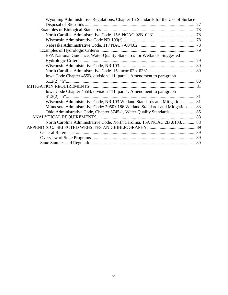| Wyoming Administrative Regulations, Chapter 15 Standards for the Use of Surface |  |
|---------------------------------------------------------------------------------|--|
|                                                                                 |  |
|                                                                                 |  |
|                                                                                 |  |
|                                                                                 |  |
|                                                                                 |  |
|                                                                                 |  |
| EPA National Guidance, Water Quality Standards for Wetlands, Suggested          |  |
|                                                                                 |  |
|                                                                                 |  |
|                                                                                 |  |
| Iowa Code Chapter 455B, division 111, part 1. Amendment to paragraph            |  |
|                                                                                 |  |
|                                                                                 |  |
| Iowa Code Chapter 455B, division 111, part 1. Amendment to paragraph            |  |
|                                                                                 |  |
| Wisconsin Administrative Code, NR 103 Wetland Standards and Mitigation 81       |  |
| Minnesota Administrative Code: 7050.0186 Wetland Standards and Mitigation.  83  |  |
|                                                                                 |  |
| ANALYTICAL REQUIREMENTS.                                                        |  |
| North Carolina Administrative Code, North Carolina. 15A NCAC 2B .0103.  88      |  |
|                                                                                 |  |
|                                                                                 |  |
|                                                                                 |  |
|                                                                                 |  |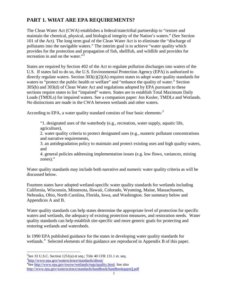# <span id="page-8-0"></span>**PART 1. WHAT ARE EPA REQUIREMENTS?**

The Clean Water Act (CWA) establishes a federal/state/tribal partnership to "restore and maintain the chemical, physical, and biological integrity of the Nation's waters." (See Section 101 of the Act). The long term goal of the Clean Water Act is to eliminate the "discharge of pollutants into the navigable waters." The interim goal is to achieve "water quality which provides for the protection and propagation of fish, shellfish, and wildlife and provides for recreation in and on the water."<sup>[2](#page-8-1)</sup>

States are required by Section 402 of the Act to regulate pollution discharges into waters of the U.S. If states fail to do so, the U.S. Environmental Protection Agency (EPA) is authorized to directly regulate waters. Section 303(c)(2)(A) requires states to adopt water quality standards for waters to "protect the public health or welfare" and "enhance the quality of water." Section 305(b) and 303(d) of Clean Water Act and regulations adopted by EPA pursuant to these sections require states to list "impaired" waters. States are to establish Total Maximum Daily Loads (TMDLs) for impaired waters. See a companion paper: Jon Kusler, TMDLs and Wetlands. No distinctions are made in the CWA between wetlands and other waters.

According to EPA, a water quality standard consists of four basic elements:<sup>[3](#page-8-2)</sup>

"1. designated uses of the waterbody (e.g., recreation, water supply, aquatic life, agriculture),

2. water quality criteria to protect designated uses (e.g., numeric pollutant concentrations and narrative requirements,

3. an antidegradation policy to maintain and protect existing uses and high quality waters, and

4. general policies addressing implementation issues (e.g. low flows, variances, mixing zones)."

Water quality standards may include both narrative and numeric water quality criteria as will be discussed below.

Fourteen states have adopted wetland-specific water quality standards for wetlands including California, Wisconsin, Minnesota, Hawaii, Colorado, Wyoming, Maine, Massachusetts, Nebraska, Ohio, North Carolina, Florida, Iowa, and Washington. See summary below and Appendices A and B.

Water quality standards can help states determine the appropriate level of protection for specific waters and wetlands, the adequacy of existing protection measures, and restoration needs. Water quality standards can help establish site-specific and more generic goals for protecting and restoring wetlands and watersheds.

In 1990 EPA published guidance for the states in developing water quality standards for wetlands.<sup>[4](#page-8-3)</sup> Selected elements of this guidance are reproduced in Appendix B of this paper.

<span id="page-8-1"></span> $\frac{1}{2}$ <sup>2</sup>See 33 U.S.C. Section 1251(a) et seq.; Title 40 CFR 131.1 et. seq.

<span id="page-8-2"></span><sup>&</sup>lt;sup>3</sup><http://www.epa.gov/waterscience/standards/about/><br><sup>4</sup>See http://www.epa.gov/ewey/wetlands/regs/qual

<span id="page-8-3"></span><sup>&</sup>lt;sup>4</sup>See [http://www.epa.gov/owow/wetlands/regs/quality.html.](http://www.epa.gov/owow/wetlands/regs/quality.html) See also <http://www.epa.gov/waterscience/standards/handbook/handbookappxQ.pdf>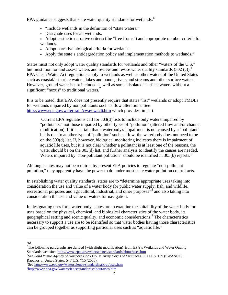EPA guidance suggests that state water quality standards for wetlands: $5$ 

- "Include wetlands in the definition of "state waters."
- Designate uses for all wetlands.
- Adopt aesthetic narrative criteria (the "free froms") and appropriate number criteria for wetlands.
- Adopt narrative biological criteria for wetlands.
- Apply the state's antidegradation policy and implementation methods to wetlands."

States must not only adopt water quality standards for wetlands and other "waters of the U.S." but must monitor and assess waters and review and revise water quality standards  $(302 \text{ (c)})^6$  $(302 \text{ (c)})^6$ . EPA Clean Water Act regulations apply to wetlands as well as other waters of the United States such as coastal/estuarine waters, lakes and ponds, rivers and streams and other surface waters. However, ground water is not included as well as some "isolated" surface waters without a significant "nexus" to traditional waters.

It is to be noted, that EPA does not presently require that states "list" wetlands or adopt TMDLs for wetlands impaired by non pollutants such as flow alterations: See <http://www.epa.gov/watertrain/cwa/cwa26.htm> which provides, in part:

Current EPA regulations call for 303(d) lists to include only waters impaired by "pollutants," not those impaired by other types of "pollution" (altered flow and/or channel modification). If it is certain that a waterbody's impairment is not caused by a "pollutant" but is due to another type of "pollution" such as flow, the waterbody does not need to be on the 303(d) list. If, however, biological monitoring indicates there is impairment of aquatic life uses, but it is not clear whether a pollutant is at least one of the reasons, the water should be on the 303(d) list, and further analysis to identify the causes are needed. Waters impaired by "non-pollutant pollution" should be identified in 305(b) reports."

Although states may not be required by present EPA policies to regulate "non-pollutant pollution," they apparently have the power to do under most state water pollution control acts.

In establishing water quality standards, states are to "determine appropriate uses taking into consideration the use and value of a water body for public water supply, fish, and wildlife, recreational purposes and agricultural, industrial, and other purposes<sup>3[8](#page-9-3)</sup> and also taking into consideration the use and value of waters for navigation.

In designating uses for a water body, states are to examine the suitability of the water body for uses based on the physical, chemical, and biological characteristics of the water body, its geographical setting and scenic quality, and economic considerations.<sup>[9](#page-9-4)</sup> The characteristics necessary to support a use are to be identified so that water bodies having those characteristics can be grouped together as supporting particular uses such as "aquatic life."

 <sup>5</sup>  $5$ Id.

<span id="page-9-1"></span><span id="page-9-0"></span><sup>&</sup>lt;sup>6</sup>The following paragraphs are derived (with slight modification) from EPA's Wetlands and Water Quality Standards web site: <http://www.epa.gov/waterscience/standards/about/uses.htm>

<span id="page-9-2"></span>See *Solid Waste Agency of Northern Cook Cty.* v. *Army Corps of Engineers,* [531 U.](http://www.law.cornell.edu/supct-cgi/get-us-cite?531+159) S. 159 (SWANCC); Rapanos v. United States, [547 U.S. 715](http://en.wikipedia.org/wiki/Case_citation) [\(2006\)](http://en.wikipedia.org/wiki/2006). <sup>8</sup>

<span id="page-9-4"></span><span id="page-9-3"></span><sup>&</sup>lt;sup>8</sup>See <http://www.epa.gov/waterscience/standards/about/uses.htm> <http://www.epa.gov/waterscience/standards/about/uses.htm>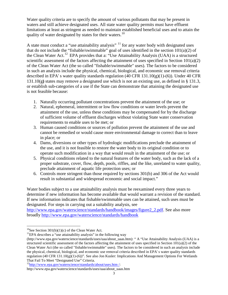Water quality criteria are to specify the amount of various pollutants that may be present in waters and still achieve designated uses. All state water quality permits must have effluent limitations at least as stringent as needed to maintain established beneficial uses and to attain the quality of water designated by states for their waters.<sup>[10](#page-10-0)</sup>

A state must conduct a "use attainability analysis" <sup>[11](#page-10-1)</sup> for any water body with designated uses that do not include the "fishable/swimmable" goal of uses identified in the section  $101(a)(2)$  of the Clean Water Act.<sup>[12](#page-10-2)</sup> EPA provides that a: "Use Attainability Analysis (UAA) is a structured scientific assessment of the factors affecting the attainment of uses specified in Section 101(a)(2) of the Clean Water Act (the so called "fishable/swimmable" uses). The factors to be considered in such an analysis include the physical, chemical, biological, and economic use removal criteria described in EPA's water quality standards regulation (40 CFR 131.10(g)(1)-(6)). Under 40 CFR 131.10(g**)** states may remove a designated use which is not an existing use, as defined in § 131.3, or establish sub-categories of a use if the State can demonstrate that attaining the designated use is not feasible because:

- 1. Naturally occurring pollutant concentrations prevent the attainment of the use; or
- 2. Natural, ephemeral, intermittent or low flow conditions or water levels prevent the attainment of the use, unless these conditions may be compensated for by the discharge of sufficient volume of effluent discharges without violating State water conservation requirements to enable uses to be met; or
- 3. Human caused conditions or sources of pollution prevent the attainment of the use and cannot be remedied or would cause more environmental damage to correct than to leave in place; or
- 4. Dams, diversions or other types of hydrologic modifications preclude the attainment of the use, and it is not feasible to restore the water body to its original condition or to operate such modification in a way that would result in the attainment of the use; or
- 5. Physical conditions related to the natural features of the water body, such as the lack of a proper substrate, cover, flow, depth, pools, riffles, and the like, unrelated to water quality, preclude attainment of aquatic life protection uses; or
- 6. Controls more stringent than those required by sections 301(b) and 306 of the Act would result in substantial and widespread economic and social impact."

Water bodies subject to a use attainability analysis must be reexamined every three years to determine if new information has become available that would warrant a revision of the standard. If new information indicates that fishable/swimmable uses can be attained, such uses must be designated. For steps in carrying out a suitability analysis, see

[http://www.epa.gov/waterscience/standards/handbook/images/figure2\\_2.pdf.](http://www.epa.gov/waterscience/standards/handbook/images/figure2_2.pdf) See also more broadly<http://www.epa.gov/waterscience/standards/handbook>

<span id="page-10-0"></span><sup>&</sup>lt;sup>10</sup>See Section 301(b)(1)(c) of the Clean Water Act. <sup>11</sup>EPA describes a "use attainability analysis" in the following way

<span id="page-10-1"></span>[<sup>\(</sup>http://www.epa.gov/waterscience/standards/uses/uaa/about\\_uaas.htm\)](http://www.epa.gov/waterscience/standards/uses/uaa/about_uaas.htm): " A "Use Attainability Analysis (UAA) is a structured scientific assessment of the factors affecting the attainment of uses specified in Section  $101(a)(2)$  of the Clean Water Act (the so called "fishable/swimmable" uses). The factors to be considered in such an analysis include the physical, chemical, biological, and economic use removal criteria described in EPA' s water quality standards regulation (40 CFR 131.10(g)(1)-(6))". See also Jon Kusler: Implications And Management Options For Wetlands That Fail To Meet "Designated Use" Criteria. [12http://www.epa.gov/waterscience/standards/about/uses.htm /:](http://www.epa.gov/waterscience/standards/about/uses.htm%20/)

<span id="page-10-2"></span>

http://www.epa.gov/waterscience/standards/uses/uaa/about\_uaas.htm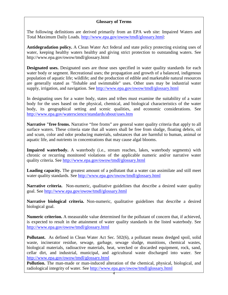# **Glossary of Terms**

The following definitions are derived primarily from an EPA web site: Impaired Waters and Total Maximum Daily Loads. [http://www.epa.gov/owow/tmdl/glossary.html:](http://www.epa.gov/owow/tmdl/glossary.html)

**Antidegradation policy.** A Clean Water Act federal and state policy protecting existing uses of water, keeping healthy waters healthy and giving strict protection to outstanding waters. See http://www.epa.gov/owow/tmdl/glossary.html

**Designated uses.** Designated uses are those uses specified in water quality standards for each water body or segment. Recreational uses; the propagation and growth of a balanced, indigenous population of aquatic life; wildlife; and the production of edible and marketable natural resources are generally stated as "fishable and swimmable" uses. Other uses may be industrial water supply, irrigation, and navigation. See<http://www.epa.gov/owow/tmdl/glossary.html>

In designating uses for a water body, states and tribes must examine the suitability of a water body for the uses based on the physical, chemical, and biological characteristics of the water body, its geographical setting and scenic qualities, and economic considerations. See <http://www.epa.gov/waterscience/standards/about/uses.htm>

**Narrative "free froms.** Narrative "free froms" are general water quality criteria that apply to all surface waters. These criteria state that all waters shall be free from sludge, floating debris, oil and scum, color and odor producing materials, substances that are harmful to human, animal or aquatic life, and nutrients in concentrations that may cause algal blooms.

Impaired waterbody. A waterbody (i.e., stream reaches, lakes, waterbody segments) with chronic or recurring monitored violations of the applicable numeric and/or narrative water quality criteria. See<http://www.epa.gov/owow/tmdl/glossary.html>

**Loading capacity.** The greatest amount of a pollutant that a water can assimilate and still meet water quality standards. See<http://www.epa.gov/owow/tmdl/glossary.html>

**Narrative criteria.** Non-numeric, qualitative guidelines that describe a desired water quality goal. See<http://www.epa.gov/owow/tmdl/glossary.html>

**Narrative biological criteria.** Non-numeric, qualitative guidelines that describe a desired biological goal.

**Numeric criterion.** A measurable value determined for the pollutant of concern that, if achieved, is expected to result in the attainment of water quality standards in the listed waterbody. See <http://www.epa.gov/owow/tmdl/glossary.html>

**Pollutant.** As defined in Clean Water Act Sec. 502(6), a pollutant means dredged spoil, solid waste, incinerator residue, sewage, garbage, sewage sludge, munitions, chemical wastes, biological materials, radioactive materials, heat, wrecked or discarded equipment, rock, sand, cellar dirt, and industrial, municipal, and agricultural waste discharged into water. See <http://www.epa.gov/owow/tmdl/glossary.html>

**Pollution.** The man-made or man-induced alteration of the chemical, physical, biological, and radiological integrity of water. See<http://www.epa.gov/owow/tmdl/glossary.html>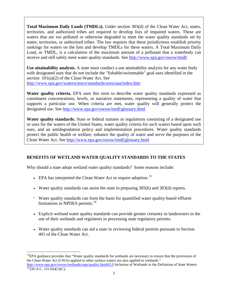**Total Maximum Daily Loads (TMDLs).** Under section 303(d) of the Clean Water Act, states, territories, and authorized tribes are required to develop lists of impaired waters. These are waters that are too polluted or otherwise degraded to meet the water quality standards set by states, territories, or authorized tribes. The law requires that these jurisdictions establish priority rankings for waters on the lists and develop TMDLs for these waters. A Total Maximum Daily Load, or TMDL, is a calculation of the maximum amount of a pollutant that a waterbody can receive and still safely meet water quality standards. See<http://www.epa.gov/owow/tmdl/>

**Use attainability analysis.** A state must conduct a use attainability analysis for any water body with designated uses that do not include the "fishable/swimmable" goal uses identified in the section 101(a)(2) of the Clean Water Act. See <http://www.epa.gov/waterscience/standards/uses/uaa/index.htm>

**Water quality criteria.** EPA uses this term to describe water quality standards expressed as constituent concentrations, levels, or narrative statements, representing a quality of water that supports a particular use. When criteria are met, water quality will generally protect the designated use. See<http://www.epa.gov/owow/tmdl/glossary.html>

**Water quality standards.** State or federal statutes or regulations consisting of a designated use or uses for the waters of the United States, water quality criteria for such waters based upon such uses, and an antidegradation policy and implementation procedures. Water quality standards protect the public health or welfare, enhance the quality of water and serve the purposes of the Clean Water Act. See<http://www.epa.gov/owow/tmdl/glossary.html>

# <span id="page-12-0"></span>**BENEFITS OF WETLAND WATER QUALITY STANDARDS TO THE STATES**

Why should a state adopt wetland water quality standards? Some reasons include:

- EPA has interpreted the Clean Water Act to require adoption.<sup>[13](#page-12-1)</sup>
- Water quality standards can assist the state in preparing 305(b) and 303(d) reports.
- Water quality standards can form the basis for quantified water quality-based effluent limitations in NPDES permits.<sup>[14](#page-12-2)</sup>
- Explicit wetland water quality standards can provide greater certainty to landowners in the use of their wetlands and regulators in processing state regulatory permits.
- Water quality standards can aid a state in reviewing federal permits pursuant to Section 401 of the Clean Water Act.

<span id="page-12-1"></span> $<sup>13</sup>EPA$  guidance provides that "Water quality standards for wetlands are necessary to ensure that the provisions of</sup> the Clean Water Act (CWA) applied to other surface waters are also applied to wetlands."

<span id="page-12-2"></span><http://www.epa.gov/owow/wetlands/regs/quality.html#2.0> Inclusion of Wetlands in the Definition of State Waters <sup>14</sup>33U.S.C. 1311(b)(1)(C).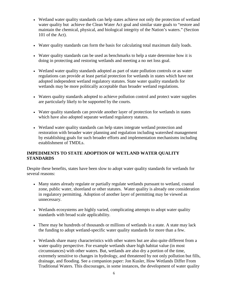- Wetland water quality standards can help states achieve not only the protection of wetland water quality but achieve the Clean Water Act goal and similar state goals to "restore and maintain the chemical, physical, and biological integrity of the Nation's waters." (Section 101 of the Act).
- Water quality standards can form the basis for calculating total maximum daily loads.
- Water quality standards can be used as benchmarks to help a state determine how it is doing in protecting and restoring wetlands and meeting a no net loss goal.
- Wetland water quality standards adopted as part of state pollution controls or as water regulations can provide at least partial protection for wetlands in states which have not adopted independent wetland regulatory statutes. State water quality standards for wetlands may be more politically acceptable than broader wetland regulations.
- Waters quality standards adopted to achieve pollution control and protect water supplies are particularly likely to be supported by the courts.
- Water quality standards can provide another layer of protection for wetlands in states which have also adopted separate wetland regulatory statutes.
- Wetland water quality standards can help states integrate wetland protection and restoration with broader water planning and regulation including watershed management by establishing goals for such broader efforts and implementation mechanisms including establishment of TMDLs.

# <span id="page-13-0"></span>**IMPEDIMENTS TO STATE ADOPTION OF WETLAND WATER QUALITY STANDARDS**

Despite these benefits, states have been slow to adopt water quality standards for wetlands for several reasons:

- Many states already regulate or partially regulate wetlands pursuant to wetland, coastal zone, public water, shoreland or other statutes. Water quality is already one consideration in regulatory permitting. Adoption of another layer of permitting may be viewed as unnecessary.
- Wetlands ecosystems are highly varied, complicating attempts to adopt water quality standards with broad scale applicability.
- There may be hundreds of thousands or millions of wetlands in a state. A state may lack the funding to adopt wetland-specific water quality standards for more than a few.
- Wetlands share many characteristics with other waters but are also quite different from a water quality perspective. For example wetlands share high habitat value (in most circumstances) with other waters. But, wetlands are also dry a portion of the time, extremely sensitive to changes in hydrology, and threatened by not only pollution but fills, drainage, and flooding. See a companion paper: Jon Kusler, How Wetlands Differ From Traditional Waters. This discourages, in some instances, the development of water quality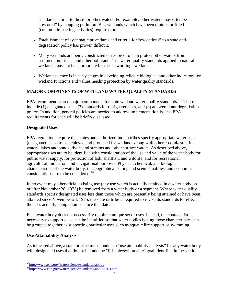standards similar to those for other waters. For example, other waters may often be "restored" by stopping pollution. But, wetlands which have been drained or filled (common impacting activities) require more.

- Establishment of systematic procedures and criteria for "exceptions" to a state antidegradation policy has proven difficult.
- Many wetlands are being constructed or restored to help protect other waters from sediment, nutrients, and other pollutants. The water quality standards applied to natural wetlands may not be appropriate for these "working" wetlands.
- Wetland science is in early stages in developing reliable biological and other indicators for wetland functions and values needing protection by water quality standards.

# <span id="page-14-0"></span>**MAJOR COMPONENTS OF WETLAND WATER QUALITY STANDARDS**

EPA recommends three major components for state wetland water quality standards.<sup>[15](#page-14-3)</sup> These include (1) designated uses, (2) standards for designated uses, and (3) an overall antidegradation policy. In addition, general policies are needed to address implementation issues. EPA requirements for each will be briefly discussed:

# <span id="page-14-1"></span>**Designated Uses**

EPA regulations require that states and authorized Indian tribes specify appropriate water uses (designated uses) to be achieved and protected for wetlands along with other coastal/estuarine waters, lakes and ponds, rivers and streams and other surface waters. As described above, appropriate uses are to be identified with consideration of the use and value of the water body for public water supply, for protection of fish, shellfish, and wildlife, and for recreational, agricultural, industrial, and navigational purposes. Physical, chemical, and biological characteristics of the water body, its geographical setting and scenic qualities, and economic considerations are to be considered.<sup>[16](#page-14-4)</sup>

In no event may a beneficial existing use (any use which is actually attained in a water body on or after November 28, 1975) be removed from a water body or a segment. Where water quality standards specify designated uses less than those which are presently being attained or have been attained since November 28, 1975, the state or tribe is required to revise its standards to reflect the uses actually being attained since that date.

Each water body does not necessarily require a unique set of uses. Instead, the characteristics necessary to support a use can be identified so that water bodies having those characteristics can be grouped together as supporting particular uses such as aquatic life support or swimming.

# <span id="page-14-2"></span>**Use Attainability Analysis**

As indicated above, a state or tribe must conduct a ["use attainability analysis"](http://www.epa.gov/waterscience/standards/uses/uaa/index.htm) for any water body with designated uses that do not include the "fishable/swimmable" goal identified in the section

<span id="page-14-3"></span>[15http://www.epa.gov/waterscience/standards/about/](http://www.epa.gov/waterscience/standards/about/)

<span id="page-14-4"></span><sup>&</sup>lt;sup>16</sup>http://www.epa.gov/waterscience/standards/about/uses.htm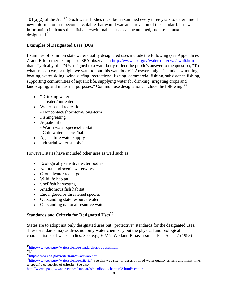$101(a)(2)$  of the Act.<sup>[17](#page-15-2)</sup> Such water bodies must be reexamined every three years to determine if new information has become available that would warrant a revision of the standard. If new information indicates that "fishable/swimmable" uses can be attained, such uses must be designated. $18$ 

# <span id="page-15-0"></span>**Examples of Designated Uses (DUs)**

Examples of common state water quality designated uses include the following (see Appendices A and B for other examples). EPA observes in <http://www.epa.gov/watertrain/cwa/cwa6.htm> that "Typically, the DUs assigned to a waterbody reflect the public's answer to the question, "To what uses do we, or might we want to, put this waterbody?" Answers might include: swimming, boating, water skiing, wind surfing, recreational fishing, commercial fishing, subsistence fishing, supporting communities of aquatic life, supplying water for drinking, irrigating crops and landscaping, and industrial purposes." Common use designations include the following:<sup>[19](#page-15-4)</sup>

- "Drinking water"
	- Treated/untreated
- Water-based recreation - Noncontact/short-term/long-term
- Fishing/eating
- Aquatic life
	- Warm water species/habitat
	- Cold water species/habitat
- Agriculture water supply
- Industrial water supply"

However, states have included other uses as well such as:

- Ecologically sensitive water bodies
- Natural and scenic waterways
- Groundwater recharge
- Wildlife habitat
- Shellfish harvesting
- Anadromous fish habitat
- Endangered or threatened species
- Outstanding state resource water
- Outstanding national resource water

# <span id="page-15-1"></span>**Standards and Criteria for Designated Uses[20](#page-16-1)**

States are to adopt not only designated uses but "protective" standards for the designated uses. These standards may address not only water chemistry but the physical and biological characteristics of water bodies. See, e.g., EPA's Wetland Bioassessment Fact Sheet 7 (1998)

<sup>&</sup>lt;sup>17</sup>http://www.epa.gov/waterscience/standards/about/uses.htm

 $^{18}$ Id.

<sup>&</sup>lt;sup>19</sup>http://www.epa.go<u>v/watertrain/cwa/cwa6.htm</u>

<span id="page-15-2"></span> $^{20}$ http://www.epa.gov/waterscience/criteria/. See this web site for description of water quality criteria and many links to specific categories of criteria. See also

<span id="page-15-4"></span><span id="page-15-3"></span>[http://www.epa.gov/waterscience/standards/handbook/chapter03.html#section1.](http://www.epa.gov/waterscience/standards/handbook/chapter03.html#section1)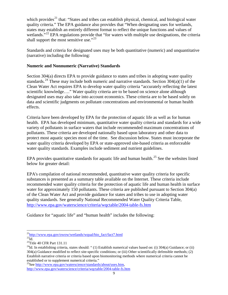which provides<sup>[21](#page-16-2)</sup> that: "States and tribes can establish physical, chemical, and biological water quality criteria." The EPA guidance also provides that "When designating uses for wetlands, states may establish an entirely different format to reflect the unique functions and values of wetlands."<sup>[22](#page-16-3)</sup> EPA regulations provide that "for waters with multiple use designations, the criteria shall support the most sensitive use."<sup>[23](#page-16-4)</sup>

Standards and criteria for designated uses may be both quantitative (numeric) and unquantitative (narrative) including the following:

#### <span id="page-16-0"></span>**Numeric and Nonnumeric (Narrative) Standards**

Section 304(a) directs EPA to provide guidance to states and tribes in adopting water quality standards.<sup>[24](#page-16-5)</sup> These may include both numeric and narrative standards. Section  $304(a)(1)$  of the Clean Water Act requires EPA to develop water quality criteria "accurately reflecting the latest scientific knowledge…." Water quality criteria are to be based on science alone although designated uses may also take into account economics. These criteria are to be based solely on data and scientific judgments on pollutant concentrations and environmental or human health effects.

Criteria have been developed by EPA for the protection of aquatic life as well as for human health. EPA has developed minimum, quantitative water quality criteria and standards for a wide variety of pollutants in surface waters that include recommended maximum concentrations of pollutants. These criteria are developed nationally based upon laboratory and other data to protect most aquatic species most of the time. See discussion below. States must incorporate the water quality criteria developed by EPA or state-approved site-based criteria as enforceable water quality standards. Examples include sediment and nutrient guidelines.

EPA provides quantitative standards for aquatic life and human health.<sup>[25](#page-16-6)</sup> See the websites listed below for greater detail:

EPA's compilation of national recommended, quantitative water quality criteria for specific substances is presented as a summary table available on the Internet. These criteria include recommended water quality criteria for the protection of aquatic life and human health in surface water for approximately 150 pollutants. These criteria are published pursuant to Section 304(a) of the Clean Water Act and provide guidance for states and tribes to use in adopting water quality standards. See generally National Recommended Water Quality Criteria Table, <http://www.epa.gov/waterscience/criteria/wqctable/2004-table-fs.htm>

<span id="page-16-1"></span>Guidance for "aquatic life" and "human health" includes the following:

<span id="page-16-6"></span> $^{25}$ See [http://www.epa.gov/waterscience/standards/about/uses.htm,](http://www.epa.gov/waterscience/standards/about/uses.htm) <http://www.epa.gov/waterscience/criteria/wqctable/2004-table-fs.htm>

<span id="page-16-2"></span> $^{21}$ http://www.epa.gov/owow/wetlands/wqual/bio\_fact/fact7.html

<span id="page-16-3"></span> $^{22}$ Id.

<span id="page-16-4"></span><sup>&</sup>lt;sup>23</sup>Title 40 CFR Part 131.11

<span id="page-16-5"></span><sup>&</sup>lt;sup>24</sup>Id. In establishing criteria, states should: "(1) Establish numerical values based on: (i) 304(a) Guidance; or (ii) 304(a) Guidance modified to reflect site-specific conditions; or (iii) Other scientifically defensible methods; (2) Establish narrative criteria or criteria based upon biomonitoring methods where numerical criteria cannot be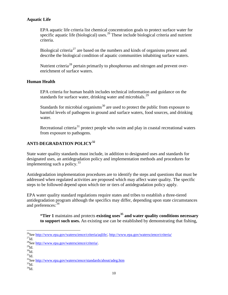# <span id="page-17-0"></span>**Aquatic Life**

EPA aquatic life criteria list chemical concentration goals to protect surface water for specific aquatic life (biological) uses.<sup>[26](#page-17-3)</sup> These include biological criteria and nutrient criteria.

Biological criteria<sup>[27](#page-17-4)</sup> are based on the numbers and kinds of organisms present and describe the biological condition of aquatic communities inhabiting surface waters.

Nutrient criteria<sup>[28](#page-17-5)</sup> pertain primarily to phosphorous and nitrogen and prevent overenrichment of surface waters.

# <span id="page-17-1"></span>**Human Health**

EPA criteria for human health includes technical information and guidance on the standards for surface water, drinking water and microbials.<sup>[29](#page-17-6)</sup>

Standards for microbial organisms<sup>[30](#page-17-7)</sup> are used to protect the public from exposure to harmful levels of pathogens in ground and surface waters, food sources, and drinking water.

Recreational criteria<sup>[31](#page-17-8)</sup> protect people who swim and play in coastal recreational waters from exposure to pathogens.

# <span id="page-17-2"></span>**ANTI-DEGRADATION POLICY[32](#page-17-9)**

State water quality standards must include, in addition to designated uses and standards for designated uses, an antidegradation policy and implementation methods and procedures for implementing such a policy.<sup>[33](#page-17-10)</sup>

Antidegradation implementation procedures are to identify the steps and questions that must be addressed when regulated activities are proposed which may affect water quality. The specific steps to be followed depend upon which tier or tiers of antidegradation policy apply.

EPA water quality standard regulations require states and tribes to establish a three-tiered antidegradation program although the specifics may differ, depending upon state circumstances and preferences:<sup>[34](#page-18-1)</sup>

**"Tier 1** maintains and protects **existing uses[35](#page-18-2) and water quality conditions necessary to support such uses.** An existing use can be established by demonstrating that fishing,

<span id="page-17-10"></span><span id="page-17-9"></span> $^{34}\mathrm{Id}.$ 

<sup>&</sup>lt;sup>26</sup>See [http://www.epa.gov/waterscience/criteria/aqlife/,](http://www.epa.gov/waterscience/criteria/aqlife/)<http://www.epa.gov/waterscience/criteria/>  $^{27}$ Id.

<span id="page-17-5"></span><span id="page-17-4"></span><span id="page-17-3"></span><sup>&</sup>lt;sup>28</sup>See [http://www.epa.gov/waterscience/criteria/.](http://www.epa.gov/waterscience/criteria/)<br><sup>29</sup>Id

<span id="page-17-6"></span> $\rm{^{30}Id.}$  $31\overline{1d}$ .

<span id="page-17-8"></span><span id="page-17-7"></span> $32$ See<http://www.epa.gov/waterscience/standards/about/adeg.htm>  $33$ Id.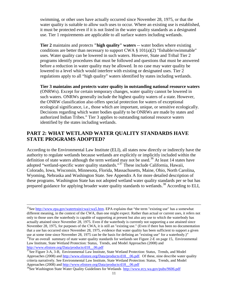swimming, or other uses have actually occurred since November 28, 1975, or that the water quality is suitable to allow such uses to occur. Where an existing use is established, it must be protected even if it is not listed in the water quality standards as a designated use. Tier 1 requirements are applicable to all surface waters including wetlands.

**Tier 2** maintains and protects **"high quality" waters** -- water bodies where existing conditions are better than necessary to support CWA  $\S$  101(a)(2) "fishable/swimmable" uses. Water quality can be lowered in such waters. However, State and Tribal Tier 2 programs identify procedures that must be followed and questions that must be answered before a reduction in water quality may be allowed. In no case may water quality be lowered to a level which would interfere with existing or designated uses. Tier 2 regulations apply to all "high quality" waters identified by states including wetlands.

**Tier 3 maintains and protects water quality in outstanding national resource waters** (ONRWs). Except for certain temporary changes, water quality cannot be lowered in such waters. ONRWs generally include the highest quality waters of a state. However, the ONRW classification also offers special protection for waters of exceptional ecological significance, i.e., those which are important, unique, or sensitive ecologically. Decisions regarding which water bodies qualify to be ONRWs are made by states and authorized Indian Tribes." Tier 3 applies to outstanding national resource waters identified by the states including wetlands.

# <span id="page-18-0"></span>**PART 2: WHAT WETLAND WATER QUALITY STANDARDS HAVE STATE PROGRAMS ADOPTED?**

According to the Environmental Law Institute (ELI), all states now directly or indirectly have the authority to regulate wetlands because wetlands are explicitly or implicitly included within the definition of state waters although the term wetland may not be used.<sup>[36](#page-18-3)</sup> At least 14 states have adopted "wetland-specific water quality standards."[37](#page-18-4) These include California, Hawaii, Colorado, Iowa, Wisconsin, Minnesota, Florida, Massachusetts, Maine, Ohio, North Carolina, Wyoming, Nebraska and Washington State. See Appendix A for more detailed description of these programs. Washington State has not adopted wetland water quality standards per se but has prepared guidance for applying broader water quality standards to wetlands.<sup>[38](#page-19-1)</sup> According to ELI,

<span id="page-18-2"></span><span id="page-18-1"></span><sup>&</sup>lt;sup>35</sup>See [http://www.epa.gov/watertrain/cwa/cwa5.htm.](http://www.epa.gov/watertrain/cwa/cwa5.htm) EPA explains that "the term "existing use" has a somewhat different meaning, in the context of the CWA, than one might expect. Rather than actual or current uses, it refers not only to those uses the waterbody is capable of supporting at present but also any use to which the waterbody has actually attained since November 28, 1975. Even if the waterbody is currently not supporting a use attained since November 28, 1975, for purposes of the CWA, it is still an "existing use." (Even if there has been no documentation that a use has occurred since November 28, 1975, evidence that water quality has been sufficient to support a given use at some time since November 28, 1975 can be the basis for defining an "existing use" for a waterbody.)"  $36$ For an overall summary of state water quality standards for wetlands see Figure 2-E on page 15, Environmental Law Institute, State Wetland Protection: Status, Trends, and Model Approaches (2008) and [http://www.elistore.org/Data/products/d18\\_\\_06.pdf](http://www.elistore.org/Data/products/d18__06.pdf)

<span id="page-18-4"></span><span id="page-18-3"></span> $37$ See Figure 3-A, 3-B, Environmental Law Institute, State Wetland Protection: Status, Trends, and Model Approaches (2008) and http://www.elistore.org/Data/products/d18\_06.pdf. Of these, nine describe water quality criteria narratively. See Environmental Law Institute, State Wetland Protection: Status, Trends, and Model Approaches (2008) and http://www.elistore.org/Data/products/d18\_06.pdf<br><sup>38</sup>See Washington State Water Quality Guidelines for Wetlands http://www.ecy.wa.gov/pubs/9606.pdf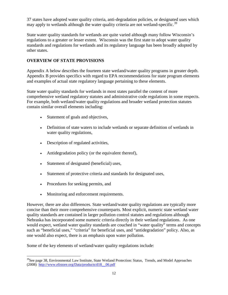37 states have adopted water quality criteria, anti-degradation policies, or designated uses which may apply to wetlands although the water quality criteria are not wetland-specific.<sup>[39](#page-19-2)</sup>

State water quality standards for wetlands are quite varied although many follow Wisconsin's regulations to a greater or lesser extent. Wisconsin was the first state to adopt water quality standards and regulations for wetlands and its regulatory language has been broadly adopted by other states.

# <span id="page-19-0"></span>**OVERVIEW OF STATE PROVISIONS**

Appendix A below describes the fourteen state wetland/water quality programs in greater depth. Appendix B provides specifics with regard to EPA recommendations for state program elements and examples of actual state regulatory language pertaining to these elements.

State water quality standards for wetlands in most states parallel the content of more comprehensive wetland regulatory statutes and administrative code regulations in some respects. For example, both wetland/water quality regulations and broader wetland protection statutes contain similar overall elements including:

- Statement of goals and objectives,
- Definition of state waters to include wetlands or separate definition of wetlands in water quality regulations,
- Description of regulated activities,
- Antidegradation policy (or the equivalent thereof),
- Statement of designated (beneficial) uses,
- Statement of protective criteria and standards for designated uses,
- Procedures for seeking permits, and
- Monitoring and enforcement requirements.

However, there are also differences. State wetland/water quality regulations are typically more concise than their more comprehensive counterparts. Most explicit, numeric state wetland water quality standards are contained in larger pollution control statutes and regulations although Nebraska has incorporated some numeric criteria directly in their wetland regulations. As one would expect, wetland water quality standards are couched in "water quality" terms and concepts such as "beneficial uses," "criteria" for beneficial uses, and "antidegradation" policy. Also, as one would also expect, there is an emphasis upon water pollution.

Some of the key elements of wetland/water quality regulations include:

<span id="page-19-2"></span><span id="page-19-1"></span><sup>&</sup>lt;sup>39</sup>See page 38, Environmental Law Institute, State Wetland Protection: Status, Trends, and Model Approaches (2008) [http://www.elistore.org/Data/products/d18\\_\\_06.pdf](http://www.elistore.org/Data/products/d18__06.pdf)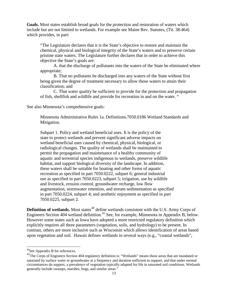**Goals.** Most states establish broad goals for the protection and restoration of waters which include but are not limited to wetlands. For example see Maine Rev. Statutes, (Tit. 38:464) which provides, in part:

"The Legislature declares that it is the State's objective to restore and maintain the chemical, physical and biological integrity of the State's waters and to preserve certain pristine state waters. The Legislature further declares that in order to achieve this objective the State's goals are:

A. that the discharge of pollutants into the waters of the State be eliminated where appropriate;

B. That no pollutants be discharged into any waters of the State without first being given the degree of treatment necessary to allow those waters to attain their classification; and

C. That water quality be sufficient to provide for the protection and propagation of fish, shellfish and wildlife and provide for recreation in and on the water. "

See also Minnesota's comprehensive goals:

Minnesota Administrative Rules 1a. Definitions.7050.0186 Wetland Standards and Mitigation.

Subpart 1. Policy and wetland beneficial uses. It is the policy of the state to protect wetlands and prevent significant adverse impacts on wetland beneficial uses caused by chemical, physical, biological, or radiological changes. The quality of wetlands shall be maintained to permit the propagation and maintenance of a healthy community of aquatic and terrestrial species indigenous to wetlands, preserve wildlife habitat, and support biological diversity of the landscape. In addition, these waters shall be suitable for boating and other forms of aquatic recreation as specified in part [7050.0222,](http://www.loislaw.com/pns/doclink.htp?dockey=8871179@MNREGS&alias=MNREGS&cite=7050.0222) subpart 6; general industrial use as specified in part [7050.0223,](http://www.loislaw.com/pns/doclink.htp?dockey=8871180@MNREGS&alias=MNREGS&cite=7050.0223) subpart 5; irrigation, use by wildlife and livestock, erosion control, groundwater recharge, low flow augmentation, stormwater retention, and stream sedimentation as specified in part [7050.0224,](http://www.loislaw.com/pns/doclink.htp?dockey=8871181@MNREGS&alias=MNREGS&cite=7050.0224) subpart 4; and aesthetic enjoyment as specified in part [7050.0225,](http://www.loislaw.com/pns/doclink.htp?dockey=8871182@MNREGS&alias=MNREGS&cite=7050.0225) subpart 2.

**Definition of wetlands.** Most states<sup>[40](#page-20-0)</sup> define wetlands consistent with the U.S. Army Corps of Engineers Section 404 wetland definition.<sup>[41](#page-20-1)</sup> See, for example, Minnesota in Appendix B, below. However some states such as Iowa have adopted a more restricted regulatory definition which explicitly requires all three parameters (vegetation, soils, and hydrology) to be present. In contrast, others are more inclusive such as Wisconsin which allows identification of areas based upon vegetation and soil. Hawaii defines wetlands in several ways (e.g., "coastal wetlands",

 <sup>40</sup>See Appendix B for references.

<span id="page-20-1"></span><span id="page-20-0"></span><sup>&</sup>lt;sup>41</sup>The Corps of Engineers Section 404 regulatory definition is: "Wetlands" means those areas that are inundated or saturated by surface water or groundwater at a frequency and duration sufficient to support, and that under normal circumstances do support, a prevalence of vegetation typically adapted for life in saturated soil conditions. Wetlands generally include swamps, marshes, bogs, and similar areas."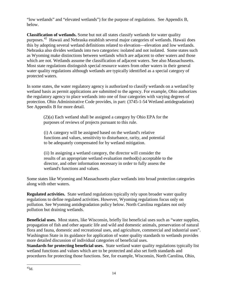"low wetlands" and "elevated wetlands") for the purpose of regulations. See Appendix B, below.

**Classification of wetlands.** Some but not all states classify wetlands for water quality purposes.<sup>[42](#page-21-0)</sup> Hawaii and Nebraska establish several major categories of wetlands. Hawaii does this by adopting several wetland definitions related to elevation—elevation and low wetlands. Nebraska also divides wetlands into two categories: isolated and not isolated. Some states such as Wyoming make distinctions between wetlands which are adjacent to other waters and those which are not. Wetlands assume the classification of adjacent waters. See also Massachusetts. Most state regulations distinguish special resource waters from other waters in their general water quality regulations although wetlands are typically identified as a special category of protected waters.

In some states, the water regulatory agency is authorized to classify wetlands on a wetland by wetland basis as permit applications are submitted to the agency. For example, Ohio authorizes the regulatory agency to place wetlands into one of four categories with varying degrees of protection. Ohio Administrative Code provides, in part: (3745-1-54 Wetland antidegradation) See Appendix B for more detail.

(2)(a) Each wetland shall be assigned a category by Ohio EPA for the purposes of reviews of projects pursuant to this rule.

(i) A category will be assigned based on the wetland's relative functions and values, sensitivity to disturbance, rarity, and potential to be adequately compensated for by wetland mitigation.

(ii) In assigning a wetland category, the director will consider the results of an appropriate wetland evaluation method(s) acceptable to the director, and other information necessary in order to fully assess the wetland's functions and values.

Some states like Wyoming and Massachusetts place wetlands into broad protection categories along with other waters.

**Regulated activities.** State wetland regulations typically rely upon broader water quality regulations to define regulated activities. However, Wyoming regulations focus only on pollution. See Wyoming antidegradation policy below. North Carolina regulates not only pollution but draining wetlands.

**Beneficial uses.** Most states, like Wisconsin, briefly list beneficial uses such as "water supplies, propagation of fish and other aquatic life and wild and domestic animals, preservation of natural flora and fauna, domestic and recreational uses, and agriculture, commercial and industrial uses". Washington State in its guidance for application of water quality standards to wetlands provides more detailed discussion of individual categories of beneficial uses.

<span id="page-21-0"></span>**Standards for protecting beneficial uses.** State wetland water quality regulations typically list wetland functions and values which are to be protected and also set forth standards and procedures for protecting those functions. See, for example, Wisconsin, North Carolina, Ohio,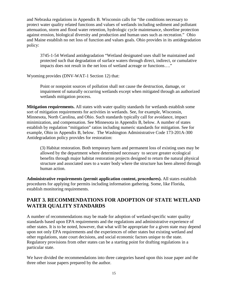and Nebraska regulations in Appendix B. Wisconsin calls for "the conditions necessary to protect water quality related functions and values of wetlands including sediment and pollutant attenuation, storm and flood water retention, hydrologic cycle maintenance, shoreline protection against erosion, biological diversity and production and human uses such as recreation." Ohio and Maine establish no net loss of function and values goals. Ohio provides in its antidegradation policy:

3745-1-54 Wetland antidegradation "Wetland designated uses shall be maintained and protected such that degradation of surface waters through direct, indirect, or cumulative impacts does not result in the net loss of wetland acreage or functions…."

Wyoming provides (DNV-WAT-1 Section 12) that:

Point or nonpoint sources of pollution shall not cause the destruction, damage, or impairment of naturally occurring wetlands except when mitigated through an authorized wetlands mitigation process.

**Mitigation requirements.** All states with water quality standards for wetlands establish some sort of mitigation requirements for activities in wetlands. See, for example, Wisconsin, Minnesota, North Carolina, and Ohio. Such standards typically call for avoidance, impact minimization, and compensation. See Minnesota in Appendix B, below. A number of states establish by regulation "mitigation" ratios including numeric standards for mitigation. See for example, Ohio in Appendix B, below. The Washington Administrative Code 173-201A-300 Antidegradation policy provides for restoration:

(3) Habitat restoration. Both temporary harm and permanent loss of existing uses may be allowed by the department where determined necessary to secure greater ecological benefits through major habitat restoration projects designed to return the natural physical structure and associated uses to a water body where the structure has been altered through human action.

**Administrative requirements (permit application content, procedures).** All states establish procedures for applying for permits including information gathering. Some, like Florida, establish monitoring requirements.

# <span id="page-22-0"></span>**PART 3. RECOMMENDATIONS FOR ADOPTION OF STATE WETLAND WATER QUALITY STANDARDS**

A number of recommendations may be made for adoption of wetland-specific water quality standards based upon EPA requirements and the regulations and administrative experience of other states. It is to be noted, however, that what will be appropriate for a given state may depend upon not only EPA requirements and the experiences of other states but existing wetland and other regulations, state court decisions, and social economic factors unique to the state. Regulatory provisions from other states can be a starting point for drafting regulations in a particular state.

We have divided the recommendations into three categories based upon this issue paper and the three other issue papers prepared by the author.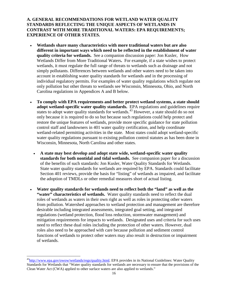<span id="page-23-0"></span>**A. GENERAL RECOMMENDATIONS FOR WETLAND WATER QUALITY STANDARDS REFLECTING THE UNIQUE ASPECTS OF WETLANDS IN CONTRAST WITH MORE TRADITIONAL WATERS: EPA REQUIREMENTS; EXPERIENCE OF OTHER STATES.** 

- **Wetlands share many characteristics with more traditional waters but are also different in important ways which need to be reflected in the establishment of water quality criteria for wetlands.** See a companion discussion paper: Jon Kusler, How Wetlands Differ from More Traditional Waters**.** For example, if a state wishes to protect wetlands, it must regulate the full range of threats to wetlands such as drainage and not simply pollutants. Differences between wetlands and other waters need to be taken into account in establishing water quality standards for wetlands and in the processing of individual regulatory permits. For examples of water quality regulations which regulate not only pollution but other threats to wetlands see Wisconsin, Minnesota, Ohio, and North Carolina regulations in Appendices A and B below.
- **To comply with EPA requirements and better protect wetland systems, a state should adopt wetland-specific water quality standards.** EPA regulations and guidelines require states to adopt water quality standards for wetlands.<sup>[43](#page-23-1)</sup> However, a state should do so not only because it is required to do so but because such regulations could help protect and restore the unique features of wetlands, provide more specific guidance for state pollution control staff and landowners in 401 water quality certification, and help coordinate wetland-related permitting activities in the state. Most states could adopt wetland-specific water quality regulations pursuant to existing pollution control statutes as has been done in Wisconsin, Minnesota, North Carolina and other states.
	- **A state may best develop and adopt state wide, wetland-specific water quality standards for both nontidal and tidal wetlands.** See companion paper for a discussion of the benefits of such standards: Jon Kusler, Water Quality Standards for Wetlands. State water quality standards for wetlands are required by EPA. Standards could facilitate Section 401 reviews, provide the basis for "listing" of wetlands as impaired, and facilitate the adoption of TMDLs or other remedial measures short of actual listing.
- **Water quality standards for wetlands need to reflect both the "land" as well as the**  "water" characteristics of wetlands. Water quality standards need to reflect the dual roles of wetlands as waters in their own right as well as roles in protecting other waters from pollution. Watershed approaches to wetland protection and management are therefore desirable including integrated assessments, integrated goal setting, and integrated regulations (wetland protection, flood loss reduction, stormwater management) and mitigation requirements for impacts to wetlands. Designated uses and criteria for such uses need to reflect these dual roles including the protection of other waters. However, dual roles also need to be approached with care because pollution and sediment control functions of wetlands to protect other waters may also result in destruction or impairment of wetlands.

<span id="page-23-1"></span><sup>&</sup>lt;sup>43</sup>http://www.epa.gov/owow/wetlands/regs/quality.html. EPA provides in its National Guidelines: Water Quality Standards for Wetlands that "Water quality standards for wetlands are necessary to ensure that the provisions of the Clean Water Act (CWA) applied to other surface waters are also applied to wetlands."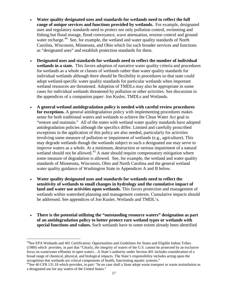- **Water quality designated uses and standards for wetlands need to reflect the full range of unique services and functions provided by wetlands.** For example, designated uses and regulatory standards need to protect not only pollution control, swimming and fishing but flood storage, flood conveyance, wave attenuation, erosion control and ground water recharge.<sup>44</sup> See, for example, the wetland and water quality standards of North Carolina, Wisconsin, Minnesota, and Ohio which list such broader services and functions as "designated uses" and establish protection standards for them.
- **Designated uses and standards for wetlands need to reflect the number of individual wetlands in a state.** This favors adoption of narrative water quality criteria and procedures for wetlands as a whole or classes of wetlands rather than water quality standards for individual wetlands although there should be flexibility in procedures so that state could adopt wetland-specific water quality standards for particular wetlands when important wetland resources are threatened. Adoption of TMDLs may also be appropriate in some cases for individual wetlands threatened by pollution or other activities. See discussion in the appendices of a companion paper: Jon Kusler, TMDLs and Wetlands.
- **A general wetland antidegradation policy is needed with careful review procedures for exceptions.** A general antidegradation policy with implementing procedures makes sense for both traditional waters and wetlands to achieve the Clean Water Act goal to "restore and maintain." All of the states with wetland water quality standards have adopted antidegradation policies although the specifics differ. Limited and carefully proscribed exceptions in the application of this policy are also needed, particularly for activities involving some measure of pollution or impairment of wetlands (e.g., agriculture). This may degrade wetlands though the wetlands subject to such a designated use may serve to improve waters as a whole. At a minimum, destruction or serious impairment of a natural wetland should not be allowed.<sup>[45](#page-24-1)</sup> A state should require compensatory mitigation where some measure of degradation is allowed. See, for example, the wetland and water quality standards of Minnesota, Wisconsin, Ohio and North Carolina and the general wetland water quality guidance of Washington State in Appendices A and B below.
- **Water quality designated uses and standards for wetlands need to reflect the sensitivity of wetlands to small changes in hydrology and the cumulative impact of land and water use activities upon wetlands.** This favors protection and management of wetlands within watershed planning and management contexts. Cumulative impacts should be addressed. See appendices of Jon Kusler, Wetlands and TMDL's.
- **There is the potential utilizing the "outstanding resource waters" designation as part of an antidegradation policy to better protect rare wetland types or wetlands with special functions and values.** Such wetlands have to some extent already been identified

<span id="page-24-0"></span><sup>&</sup>lt;sup>44</sup>See EPA Wetlands and 401 Certification: Opportunities and Guidelines for States and Eligible Indian Tribes (1989) which provides, in part that "Clearly, the integrity of waters of the U.S. cannot be protected by an exclusive focus on wastewater effluents in open waters…A State's authority under Section 401 includes consideration of a broad range of chemical, physical, and biological impacts. The State's responsibility includes acting upon the recognition that wetlands are critical components of health, functioning aquatic systems."

<span id="page-24-1"></span><sup>&</sup>lt;sup>45</sup>See 40 CFR 131.10 which provides, in part: "In no case shall a State adopt waste transport or waste assimilation as a designated use for any waters of the United States."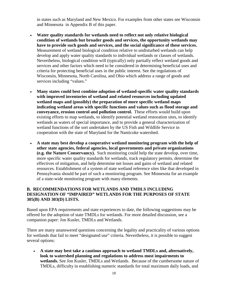in states such as Maryland and New Mexico. For examples from other states see Wisconsin and Minnesota in Appendix B of this paper.

- **Water quality standards for wetlands need to reflect not only relative biological condition of wetlands but broader goods and services, the opportunity wetlands may have to provide such goods and services, and the social significance of these services.**  Measurement of wetland biological condition relative to undisturbed wetlands can help develop and apply water quality standards to individual wetlands or classes of wetlands. Nevertheless, biological condition will (typically) only partially reflect wetland goods and services and other factors which need to be considered in determining beneficial uses and criteria for protecting beneficial uses in the public interest. See the regulations of Wisconsin, Minnesota, North Carolina, and Ohio which address a range of goods and services including "values."
- **Many states could best combine adoption of wetland-specific water quality standards with improved inventories of wetland and related resources including updated wetland maps and (possibly) the preparation of more specific wetland maps indicating wetland areas with specific functions and values such as flood storage and conveyance, erosion control and pollution control.** These efforts would build upon existing efforts to map wetlands, to identify potential wetland restoration sites, to identify wetlands as waters of special importance, and to provide a general characterization of wetland functions of the sort undertaken by the US Fish and Wildlife Service in cooperation with the state of Maryland for the Nanticoke watershed.
- **A state may best develop a cooperative wetland monitoring program with the help of other state agencies, federal agencies, local governments and private organizations (e.g. the Nature Conservancy).** Such monitoring could help the state develop, over time, more specific water quality standards for wetlands, track regulatory permits, determine the effectives of mitigation, and help determine net losses and gains of wetland and related resources. Establishment of a system of state wetland reference sites like that developed in Pennsylvania should be part of such a monitoring program. See Minnesota for an example of a state-wide monitoring program with many elements.

# <span id="page-25-0"></span>**B. RECOMMENDATIONS FOR WETLANDS AND TMDLS INCLUDING DESIGNATION OF "IMPAIRED" WETLANDS FOR THE PURPOSES OF STATE 305(B) AND 303(D) LISTS.**

Based upon EPA requirements and state experiences to date, the following suggestions may be offered for the adoption of state TMDLs for wetlands. For more detailed discussion, see a companion paper: Jon Kusler, TMDLs and Wetlands.

There are many unanswered questions concerning the legality and practicality of various options for wetlands that fail to meet "designated use" criteria. Nevertheless, it is possible to suggest several options:

• **A state may best take a cautious approach to wetland TMDLs and, alternatively, look to watershed planning and regulations to address most impairments to wetlands.** See Jon Kusler, TMDLs and Wetlands. Because of the cumbersome nature of TMDLs, difficulty in establishing numeric standards for total maximum daily loads, and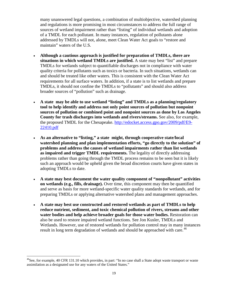many unanswered legal questions, a combination of multiobjective, watershed planning and regulations is more promising in most circumstances to address the full range of sources of wetland impairment rather than "listing" of individual wetlands and adoption of a TMDL for each pollutant. In many instances, regulation of pollutants alone addressed by TMDLs will not, alone, meet Clean Water Act goals to "restore and maintain" waters of the U.S.

- **Although a cautious approach is justified for preparation of TMDLs, there are situations in which wetland TMDLs are justified.** A state may best "list" and prepare TMDLs for wetlands subject to quantifiable discharges not in compliance with water quality criteria for pollutants such as toxics or bacteria. In such situations, wetlands can and should be treated like other waters. This is consistent with the Clean Water Act requirements for all surface waters. In addition, if a state is to list wetlands and prepare TMDLs, it should not confine the TMDLs to "pollutants" and should also address broader sources of "pollution" such as drainage.
- **A state may be able to use wetland "listing" and TMDLs as a planning/regulatory tool to help identify and address not only point sources of pollution but nonpoint sources of pollution or combined point and nonpoint sources as done by Los Angeles County for trash discharges into wetlands and rivers/streams.** See also, for example, the proposed TMDL for the Chesapeake. [http://edocket.access.gpo.gov/2009/pdf/E9-](http://edocket.access.gpo.gov/2009/pdf/E9-22410.pdf) [22410.pdf](http://edocket.access.gpo.gov/2009/pdf/E9-22410.pdf)
- **As an alternative to "listing," a state might, through cooperative state/local watershed planning and plan implementation efforts, "go directly to the solution" of problems and address the causes of wetland impairments rather than list wetlands as impaired and trigger TMDL requirements.** The legality of directly addressing problems rather than going through the TMDL process remains to be seen but it is likely such an approach would be upheld given the broad discretion courts have given states in adopting TMDLs to date.
- **A state may best document the water quality component of "nonpollutant" activities on wetlands (e.g., fills, drainage).** Over time, this component may then be quantified and serve as basis for more wetland-specific water quality standards for wetlands, and for preparing TMDLs or applying alternative watershed plans and management approaches.
- **A state may best use constructed and restored wetlands as part of TMDLs to help reduce nutrient, sediment, and toxic chemical pollution of rivers, streams and other water bodies and help achieve broader goals for those water bodies.** Restoration can also be used to restore impaired wetland functions. See Jon Kusler, TMDLs and Wetlands. However, use of restored wetlands for pollution control may in many instances result in long term degradation of wetlands and should be approached with care.<sup>46</sup>

<span id="page-26-0"></span> $^{46}$ See, for example, 40 CFR 131.10 which provides, in part: "In no case shall a State adopt waste transport or waste assimilation as a designated use for any waters of the United States."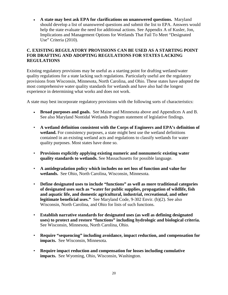• **A state may best ask EPA for clarifications on unanswered questions.** Maryland should develop a list of unanswered questions and submit the list to EPA. Answers would help the state evaluate the need for additional actions. See Appendix A of Kusler, Jon, Implications and Management Options for Wetlands That Fail To Meet "Designated Use" Criteria (2010).

# <span id="page-27-0"></span>**C. EXISTING REGULATORY PROVISIONS CAN BE USED AS A STARTING POINT FOR DRAFTING AND ADOPTING REGULATIONS FOR STATES LACKING REGULATIONS**

Existing regulatory provisions may be useful as a starting point for drafting wetland/water quality regulations for a state lacking such regulations. Particularly useful are the regulatory provisions from Wisconsin, Minnesota, North Carolina, and Ohio. These states have adopted the most comprehensive water quality standards for wetlands and have also had the longest experience in determining what works and does not work.

A state may best incorporate regulatory provisions with the following sorts of characteristics:

- **Broad purposes and goals.** See Maine and Minnesota above and Appendices A and B. See also Maryland Nontidal Wetlands Program statement of legislative findings.
- **A wetland definition consistent with the Corps of Engineers and EPA's definition of wetland.** For consistency purposes, a state might best use the wetland definitions contained in an existing wetland acts and regulations to classify wetlands for water quality purposes. Most states have done so.
- **Provisions explicitly applying existing numeric and nonnumeric existing water quality standards to wetlands.** See Massachusetts for possible language.
- **A antidegradation policy which includes no net loss of function and value for wetlands.** See Ohio, North Carolina, Wisconsin, Minnesota.
- **Define designated uses to include "functions" as well as more traditional categories of designated uses such as "water for public supplies, propagation of wildlife, fish and aquatic life, and domestic agricultural, industrial, recreational, and other legitimate beneficial uses."** See Maryland Code, 9-302 Envir. (b)(2). See also Wisconsin, North Carolina, and Ohio for lists of such functions.
- **Establish narrative standards for designated uses (as well as defining designated uses) to protect and restore "functions" including hydrologic and biological criteria.** See Wisconsin, Minnesota, North Carolina, Ohio.
- **Require "sequencing" including avoidance, impact reduction, and compensation for impacts.** See Wisconsin, Minnesota.
- **Require impact reduction and compensation for losses including cumulative impacts.** See Wyoming, Ohio, Wisconsin, Washington.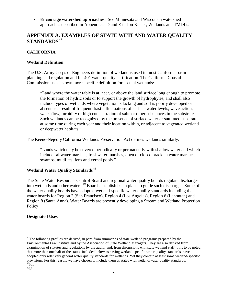• **Encourage watershed approaches.** See Minnesota and Wisconsin watershed approaches described in Appendices D and E in Jon Kusler, Wetlands and TMDLs.

# <span id="page-28-0"></span>**APPENDIX A. EXAMPLES OF STATE WETLAND WATER QUALITY STANDARDS[47](#page-28-5)**

# <span id="page-28-1"></span>**CALIFORNIA**

#### <span id="page-28-2"></span>**Wetland Definition**

The U.S. Army Corps of Engineers definition of wetland is used in most California basin planning and regulation and for 401 water quality certification. The California Coastal Commission uses its own more specific definition for coastal wetlands:

"Land where the water table is at, near, or above the land surface long enough to promote the formation of hydric soils or to support the growth of hydrophytes, and shall also include types of wetlands where vegetation is lacking and soil is poorly developed or absent as a result of frequent drastic fluctuations of surface water levels, wave action, water flow, turbidity or high concentration of salts or other substances in the substrate. Such wetlands can be recognized by the presence of surface water or saturated substrate at some time during each year and their location within, or adjacent to vegetated wetland or deepwater habitats."

The Keene-Nejedly California Wetlands Preservation Act defines wetlands similarly:

"Lands which may be covered periodically or permanently with shallow water and which include saltwater marshes, freshwater marshes, open or closed brackish water marshes, swamps, mudflats, fens and vernal pools."

# <span id="page-28-3"></span>**Wetland Water Quality Standards[48](#page-28-6)**

The State Water Resources Control Board and regional water quality boards regulate discharges into wetlands and other waters.[49](#page-28-7) Boards establish basin plans to guide such discharges. Some of the water quality boards have adopted wetland-specific water quality standards including the water boards for Region 2 (San Francisco), Region 4 (Los Angeles), Region 6 (Lahontan) and Region 8 (Santa Anna). Water Boards are presently developing a Stream and Wetland Protection **Policy** 

#### <span id="page-28-4"></span>**Designated Uses**

<span id="page-28-5"></span><sup>&</sup>lt;sup>47</sup>The following profiles are derived, in part, from summaries of state wetland programs prepared by the Environmental Law Institute and by the Association of State Wetland Managers. They are also derived from examination of statutes and regulations by the author and, from discussions with state wetland staff. It is to be noted that more than one half of the states included below as having wetland-specific water quality standards have adopted only relatively general water quality standards for wetlands. Yet they contain at least some wetland-specific provisions. For this reason, we have chosen to include them as states with wetland/water quality standards.  $^{48}$ Id..

<span id="page-28-7"></span><span id="page-28-6"></span> $^{49}$  Id.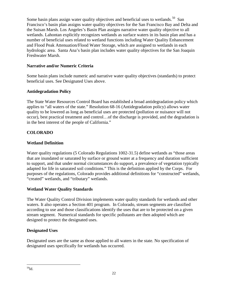Some basin plans assign water quality objectives and beneficial uses to wetlands.<sup>50</sup> San Francisco's basin plan assigns water quality objectives for the San Francisco Bay and Delta and the Suisan Marsh. Los Angeles's Basin Plan assigns narrative water quality objective to all wetlands. Lahontan explicitly recognizes wetlands as surface waters in its basin plan and has a number of beneficial uses related to wetland functions including Water Quality Enhancement and Flood Peak Attenuation/Flood Water Storage, which are assigned to wetlands in each hydrologic area. Santa Ana's basin plan includes water quality objectives for the San Joaquin Freshwater Marsh.

# <span id="page-29-0"></span>**Narrative and/or Numeric Criteria**

Some basin plans include numeric and narrative water quality objectives (standards) to protect beneficial uses. See Designated Uses above.

# <span id="page-29-1"></span>**Antidegradation Policy**

The State Water Resources Control Board has established a broad antidegradation policy which applies to "all waters of the state." Resolution 68-16 (Antidegradation policy) allows water quality to be lowered as long as beneficial uses are protected (pollution or nuisance will not occur), best practical treatment and control…of the discharge is provided, and the degradation is in the best interest of the people of California."

# <span id="page-29-2"></span>**COLORADO**

# <span id="page-29-3"></span>**Wetland Definition**

Water quality regulations (5 Colorado Regulations 1002-31.5) define wetlands as "those areas that are inundated or saturated by surface or ground water at a frequency and duration sufficient to support, and that under normal circumstances do support, a prevalence of vegetation typically adapted for life in saturated soil conditions." This is the definition applied by the Corps. For purposes of the regulations, Colorado provides additional definitions for "constructed" wetlands, "created" wetlands, and "tributary" wetlands.

# <span id="page-29-4"></span>**Wetland Water Quality Standards**

The Water Quality Control Division implements water quality standards for wetlands and other waters. It also operates a Section 401 program. In Colorado, stream segments are classified according to use and those classifications identify the uses that are to be protected on a given stream segment. Numerical [standards](http://waterknowledge.colostate.edu/standard.htm) for specific pollutants are then adopted which are designed to protect the designated uses.

# <span id="page-29-5"></span>**Designated Uses**

<span id="page-29-6"></span>Designated uses are the same as those applied to all waters in the state. No specification of designated uses specifically for wetlands has occurred.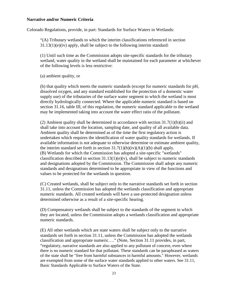#### <span id="page-30-0"></span>**Narrative and/or Numeric Criteria**

Colorado Regulations, provide, in part: Standards for Surface Waters in Wetlands:

"(A) Tributary wetlands to which the interim classifications referenced in section 31.13(1)(e)(iv) apply, shall be subject to the following interim standard:

(1) Until such time as the Commission adopts site-specific standards for the tributary wetland, water quality in the wetland shall be maintained for each parameter at whichever of the following levels is less restrictive:

(a) ambient quality, or

(b) that quality which meets the numeric standards (except for numeric standards for pH, dissolved oxygen, and any standard established for the protection of a domestic water supply use) of the tributaries of the surface water segment to which the wetland is most directly hydrologically connected. Where the applicable numeric standard is based on section 31.16, table III, of this regulation, the numeric standard applicable to the wetland may be implemented taking into account the water effect ratio of the pollutant.

(2) Ambient quality shall be determined in accordance with section 31.7(1)(b)(ii) and shall take into account the location, sampling date, and quality of all available data. Ambient quality shall be determined as of the time the first regulatory action is undertaken which requires the identification of water quality standards for wetlands. If available information is not adequate to otherwise determine or estimate ambient quality, the interim standard set forth in section  $31.7(1)(b)(iv)(A)(1)(b)$  shall apply. (B) Wetlands for which the Commission has adopted a site-specific "wetlands" classification described in section  $31.13(1)(e)(v)$ , shall be subject to numeric standards and designations adopted by the Commission. The Commission shall adopt any numeric standards and designations determined to be appropriate in view of the functions and values to be protected for the wetlands in question.

(C) Created wetlands, shall be subject only to the narrative standards set forth in section 31.11, unless the Commission has adopted the wetlands classification and appropriate numeric standards. All created wetlands will have a use-protected designation unless determined otherwise as a result of a site-specific hearing.

(D) Compensatory wetlands shall be subject to the standards of the segment in which they are located, unless the Commission adopts a wetlands classification and appropriate numeric standards.

(E) All other wetlands which are state waters shall be subject only to the narrative standards set forth in section 31.11, unless the Commission has adopted the wetlands classification and appropriate numeric…." (Note, Section 31.11 provides, in part, "regulatory, narrative standards are also applied to any pollutant of concern, even where there is no numeric standard for that pollutant. These standards can be paraphrased as waters of the state shall be "free from harmful substances in harmful amounts." However, wetlands are exempted from some of the surface water standards applied to other waters. See 31.11, Basic Standards Applicable to Surface Waters of the State.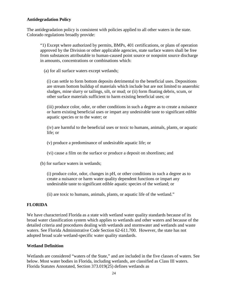#### <span id="page-31-0"></span>**Antidegradation Policy**

The antidegradation policy is consistent with policies applied to all other waters in the state. Colorado regulations broadly provide:

"1) Except where authorized by permits, BMPs, 401 certifications, or plans of operation approved by the Division or other applicable agencies, state surface waters shall be free from substances attributable to human-caused point source or nonpoint source discharge in amounts, concentrations or combinations which:

(a) for all surface waters except wetlands;

(i) can settle to form bottom deposits detrimental to the beneficial uses. Depositions are stream bottom buildup of materials which include but are not limited to anaerobic sludges, mine slurry or tailings, silt, or mud; or (ii) form floating debris, scum, or other surface materials sufficient to harm existing beneficial uses; or

(iii) produce color, odor, or other conditions in such a degree as to create a nuisance or harm existing beneficial uses or impart any undesirable taste to significant edible aquatic species or to the water; or

(iv) are harmful to the beneficial uses or toxic to humans, animals, plants, or aquatic life; or

(v) produce a predominance of undesirable aquatic life; or

- (vi) cause a film on the surface or produce a deposit on shorelines; and
- (b) for surface waters in wetlands;

(i) produce color, odor, changes in pH, or other conditions in such a degree as to create a nuisance or harm water quality dependent functions or impart any undesirable taste to significant edible aquatic species of the wetland; or

(ii) are toxic to humans, animals, plants, or aquatic life of the wetland."

# <span id="page-31-1"></span>**FLORIDA**

We have characterized Florida as a state with wetland water quality standards because of its broad water classification system which applies to wetlands and other waters and because of the detailed criteria and procedures dealing with wetlands and stormwater and wetlands and waste waters. See Florida Administrative Code Section 62-611.700. However, the state has not adopted broad scale wetland-specific water quality standards.

# <span id="page-31-2"></span>**Wetland Definition**

Wetlands are considered "waters of the State," and are included in the five classes of waters. See below. Most water bodies in Florida, including wetlands, are classified as Class III waters. Florida Statutes Annotated, Section 373.019(25) defines wetlands as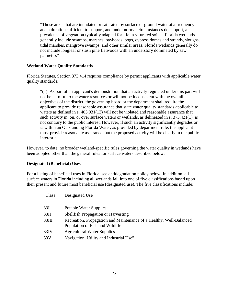"Those areas that are inundated or saturated by surface or ground water at a frequency and a duration sufficient to support, and under normal circumstances do support, a prevalence of vegetation typically adapted for life in saturated soils…Florida wetlands generally include swamps, marshes, bayheads, bogs, cypress domes and strands, sloughs, tidal marshes, mangrove swamps, and other similar areas. Florida wetlands generally do not include longleaf or slash pine flatwoods with an understory dominated by saw palmetto."

#### <span id="page-32-0"></span>**Wetland Water Quality Standards**

Florida Statutes, Section 373.414 requires compliance by permit applicants with applicable water quality standards:

"(1) As part of an applicant's demonstration that an activity regulated under this part will not be harmful to the water resources or will not be inconsistent with the overall objectives of the district, the governing board or the department shall require the applicant to provide reasonable assurance that state water quality standards applicable to waters as defined in s. [403.031\(](http://www.leg.state.fl.us/statutes/index.cfm?App_mode=Display_Statute&Search_String=373.414&URL=Ch0403/Sec031.HTM)13) will not be violated and reasonable assurance that such activity in, on, or over surface waters or wetlands, as delineated in s. [373.421\(](http://www.leg.state.fl.us/statutes/index.cfm?App_mode=Display_Statute&Search_String=373.414&URL=Ch0373/Sec421.HTM)1), is not contrary to the public interest. However, if such an activity significantly degrades or is within an Outstanding Florida Water, as provided by department rule, the applicant must provide reasonable assurance that the proposed activity will be clearly in the public interest."

However, to date, no broader wetland-specific rules governing the water quality in wetlands have been adopted other than the general rules for surface waters described below.

#### <span id="page-32-1"></span>**Designated (Beneficial) Uses**

For a listing of beneficial uses in Florida, see antidegradation policy below. In addition, all surface waters in Florida including all wetlands fall into one of five classifications based upon their present and future most beneficial use (designated use). The five classifications include:

| "Class | Designated Use                                                                                         |
|--------|--------------------------------------------------------------------------------------------------------|
| 33I    | <b>Potable Water Supplies</b>                                                                          |
| 33II   | <b>Shellfish Propagation or Harvesting</b>                                                             |
| 33III  | Recreation, Propagation and Maintenance of a Healthy, Well-Balanced<br>Population of Fish and Wildlife |
| 33IV   | <b>Agricultural Water Supplies</b>                                                                     |
| 33 V   | Navigation, Utility and Industrial Use"                                                                |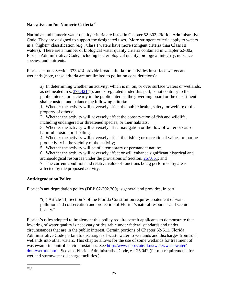# <span id="page-33-0"></span>**Narrative and/or Numeric Criteria[51](#page-33-2)**

Narrative and numeric water quality criteria are listed in Chapter 62-302, Florida Administrative Code. They are designed to support the designated uses. More stringent criteria apply to waters in a "higher" classification (e.g., Class I waters have more stringent criteria than Class III waters). There are a number of biological water quality criteria contained in Chapter 62-302, Florida Administrative Code, including bacteriological quality, biological integrity, nuisance species, and nutrients.

Florida statutes Section 373.414 provide broad criteria for activities in surface waters and wetlands (note, these criteria are not limited to pollution considerations):

a) In determining whether an activity, which is in, on, or over surface waters or wetlands, as delineated in s. [373.421\(](http://www.leg.state.fl.us/statutes/index.cfm?App_mode=Display_Statute&Search_String=&URL=Ch0373/Sec421.HTM)1), and is regulated under this part, is not contrary to the public interest or is clearly in the public interest, the governing board or the department shall consider and balance the following criteria:

1. Whether the activity will adversely affect the public health, safety, or welfare or the property of others;

2. Whether the activity will adversely affect the conservation of fish and wildlife,

including endangered or threatened species, or their habitats;

3. Whether the activity will adversely affect navigation or the flow of water or cause harmful erosion or shoaling;

4. Whether the activity will adversely affect the fishing or recreational values or marine productivity in the vicinity of the activity;

5. Whether the activity will be of a temporary or permanent nature;

6. Whether the activity will adversely affect or will enhance significant historical and archaeological resources under the provisions of Section. [267.061;](http://www.leg.state.fl.us/statutes/index.cfm?App_mode=Display_Statute&Search_String=&URL=Ch0267/Sec061.HTM) and

7. The current condition and relative value of functions being performed by areas affected by the proposed activity.

# <span id="page-33-1"></span>**Antidegradation Policy**

Florida's antidegradation policy (DEP 62-302.300) is general and provides, in part:

"(1) Article 11, Section 7 of the Florida Constitution requires abatement of water pollution and conservation and protection of Florida's natural resources and scenic beauty."

<span id="page-33-2"></span>Florida's rules adopted to implement this policy require permit applicants to demonstrate that lowering of water quality is necessary or desirable under federal standards and under circumstances that are in the public interest. Certain portions of Chapter 62-611, Florida Administrative Code pertain to discharges of waste water to wetlands and discharges from such wetlands into other waters. This chapter allows for the use of some wetlands for treatment of wastewater in controlled circumstances. See [http://www.dep.state.fl.us/water/wastewater/](http://www.dep.state.fl.us/water/wastewater/%0bdom/wetrule.htm) [dom/wetrule.htm.](http://www.dep.state.fl.us/water/wastewater/%0bdom/wetrule.htm) See also Florida Administrative Code, 62-25.042 (Permit requirements for wetland stormwater discharge facilities.)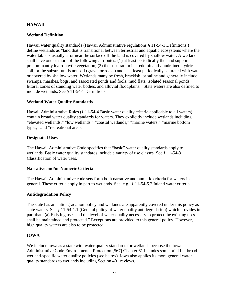# <span id="page-34-0"></span>**HAWAII**

# <span id="page-34-1"></span>**Wetland Definition**

Hawaii water quality standards (Hawaii Administrative regulations § 11-54-1 Definitions.) define wetlands as "land that is transitional between terrestrial and aquatic ecosystems where the water table is usually at or near the surface off the land is covered by shallow water. A wetland shall have one or more of the following attributes: (1) at least periodically the land supports predominantly hydrophytic vegetation; (2) the substratum is predominantly undrained hydric soil; or the substratum is nonsoil (gravel or rocks) and is at least periodically saturated with water or covered by shallow water. Wetlands many be fresh, brackish, or saline and generally include swamps, marshes, bogs, and associated ponds and fools, mud flats, isolated seasonal ponds, littoral zones of standing water bodies, and alluvial floodplains." State waters are also defined to include wetlands. See § 11-54-1 Definitions.

# <span id="page-34-2"></span>**Wetland Water Quality Standards**

Hawaii Administrative Rules (§ 11-54-4 Basic water quality criteria applicable to all waters) contain broad water quality standards for waters. They explicitly include wetlands including "elevated wetlands," "low wetlands," "coastal wetlands," "marine waters," "marine bottom types," and "recreational areas."

# <span id="page-34-3"></span>**Designated Uses**

The Hawaii Administrative Code specifies that "basic" water quality standards apply to wetlands. Basic water quality standards include a variety of use classes. See § 11-54-3 Classification of water uses.

# <span id="page-34-4"></span>**Narrative and/or Numeric Criteria**

The Hawaii Administrative code sets forth both narrative and numeric criteria for waters in general. These criteria apply in part to wetlands. See, e.g., § 11-54-5.2 Inland water criteria.

# <span id="page-34-5"></span>**Antidegradation Policy**

The state has an antidegradation policy and wetlands are apparently covered under this policy as state waters. See § 11-54-1.1 (General policy of water quality antidegradation) which provides in part that "(a) Existing uses and the level of water quality necessary to protect the existing uses shall be maintained and protected." Exceptions are provided to this general policy. However, high quality waters are also to be protected.

# <span id="page-34-6"></span>**IOWA**

We include Iowa as a state with water quality standards for wetlands because the Iowa Administrative Code Environmental Protection [567] Chapter 61 includes some brief but broad wetland-specific water quality policies (see below). Iowa also applies its more general water quality standards to wetlands including Section 401 reviews.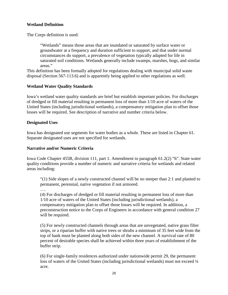# <span id="page-35-0"></span>**Wetland Definition**

The Corps definition is used:

"Wetlands" means those areas that are inundated or saturated by surface water or groundwater at a frequency and duration sufficient to support, and that under normal circumstances do support, a prevalence of vegetation typically adapted for life in saturated soil conditions. Wetlands generally include swamps, marshes, bogs, and similar areas."

This definition has been formally adopted for regulations dealing with municipal solid waste disposal (Section 567-113.6) and is apparently being applied to other regulations as well.

#### <span id="page-35-1"></span>**Wetland Water Quality Standards**

Iowa's wetland water quality standards are brief but establish important policies. For discharges of dredged or fill material resulting in permanent loss of more than 1/10 acre of waters of the United States (including jurisdictional wetlands), a compensatory mitigation plan to offset those losses will be required. See description of narrative and number criteria below.

#### <span id="page-35-2"></span>**Designated Uses**

Iowa has designated use segments for water bodies as a whole. These are listed in Chapter 61. Separate designated uses are not specified for wetlands.

#### <span id="page-35-3"></span>**Narrative and/or Numeric Criteria**

Iowa Code Chapter 455B, division 111, part 1. Amendment to paragraph 61.2(2) "h". State water quality conditions provide a number of numeric and narrative criteria for wetlands and related areas including:

"(1) Side slopes of a newly constructed channel will be no steeper than 2:1 and planted to permanent, perennial, native vegetation if not armored.

….

(4) For discharges of dredged or fill material resulting in permanent loss of more than 1/10 acre of waters of the United States (including jurisdictional wetlands), a compensatory mitigation plan to offset those losses will be required. In addition, a preconstruction notice to the Corps of Engineers in accordance with general condition 27 will be required.

(5) For newly constructed channels through areas that are unvegetated, native grass filter strips, or a riparian buffer with native trees or shrubs a minimum of 35 feet wide from the top of bank must be planted along both sides of the new channel. A survival rate of 80 percent of desirable species shall be achieved within three years of establishment of the buffer strip.

(6) For single-family residences authorized under nationwide permit 29, the permanent loss of waters of the United States (including jurisdictional wetlands) must not exceed  $\frac{1}{4}$ acre.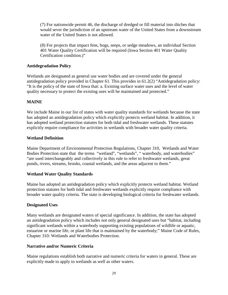(7) For nationwide permit 46, the discharge of dredged or fill material into ditches that would sever the jurisdiction of an upstream water of the United States from a downstream water of the United States is not allowed.

(8) For projects that impact fens, bogs, seeps, or sedge meadows, an individual Section 401 Water Quality Certification will be required (Iowa Section 401 Water Quality Certification condition.)"

## **Antidegradation Policy**

Wetlands are designated as general use water bodies and are covered under the general antidegradation policy provided in Chapter 61. This provides in 61.2(2) "Antidegradation policy: "It is the policy of the state of Iowa that: a. Existing surface water uses and the level of water quality necessary to protect the existing uses will be maintained and protected."

# **MAINE**

We include Maine in our list of states with water quality standards for wetlands because the state has adopted an antidegradation policy which explicitly protects wetland habitat. In addition, it has adopted wetland protection statutes for both tidal and freshwater wetlands. These statutes explicitly require compliance for activities in wetlands with broader water quality criteria.

## **Wetland Definition**

Maine Department of Environmental Protection Regulations, Chapter 310, Wetlands and Water Bodies Protection state that the terms "wetland", "wetlands", " waterbody, and waterbodies" "are used interchangeably and collectively in this rule to refer to freshwater wetlands, great ponds, rivers, streams, brooks, coastal wetlands, and the areas adjacent to them."

## **Wetland Water Quality Standards**

Maine has adopted an antidegradation policy which explicitly protects wetland habitat. Wetland protection statutes for both tidal and freshwater wetlands explicitly require compliance with broader water quality criteria. The state is developing biological criteria for freshwater wetlands.

## **Designated Uses**

Many wetlands are designated waters of special significance. In addition, the state has adopted an antidegradation policy which includes not only general designated uses but "habitat, including significant wetlands within a waterbody supporting existing populations of wildlife or aquatic, estuarine or marine life, or plant life that is maintained by the waterbody;" Maine Code of Rules, Chapter 310: Wetlands and Waterbodies Protection.

## **Narrative and/or Numeric Criteria**

Maine regulations establish both narrative and numeric criteria for waters in general. These are explicitly made to apply to wetlands as well as other waters.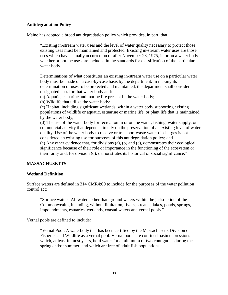## **Antidegradation Policy**

Maine has adopted a broad antidegradation policy which provides, in part, that

"Existing in-stream water uses and the level of water quality necessary to protect those existing uses must be maintained and protected. Existing in-stream water uses are those uses which have actually occurred on or after November 28, 1975, in or on a water body whether or not the uses are included in the standards for classification of the particular water body.

Determinations of what constitutes an existing in-stream water use on a particular water body must be made on a case-by-case basis by the department. In making its determination of uses to be protected and maintained, the department shall consider designated uses for that water body and:

(a) Aquatic, estuarine and marine life present in the water body;

(b) Wildlife that utilize the water body;

(c) Habitat, including significant wetlands, within a water body supporting existing populations of wildlife or aquatic, estuarine or marine life, or plant life that is maintained by the water body;

(d) The use of the water body for recreation in or on the water, fishing, water supply, or commercial activity that depends directly on the preservation of an existing level of water quality. Use of the water body to receive or transport waste water discharges is not considered an existing use for purposes of this antidegradation policy; and (e) Any other evidence that, for divisions (a), (b) and (c), demonstrates their ecological significance because of their role or importance in the functioning of the ecosystem or their rarity and, for division (d), demonstrates its historical or social significance."

#### **MASSACHUSETTS**

#### **Wetland Definition**

Surface waters are defined in 314 CMR4:00 to include for the purposes of the water pollution control act:

"Surface waters. All waters other than ground waters within the jurisdiction of the Commonwealth, including, without limitation, rivers, streams, lakes, ponds, springs, impoundments, estuaries, wetlands, coastal waters and vernal pools."

Vernal pools are defined to include:

"Vernal Pool. A waterbody that has been certified by the Massachusetts Division of Fisheries and Wildlife as a vernal pool. Vernal pools are confined basin depressions which, at least in most years, hold water for a minimum of two contiguous during the spring and/or summer, and which are free of adult fish populations."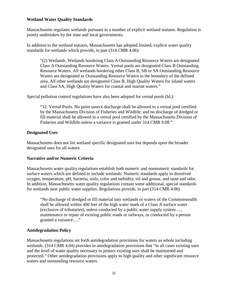# **Wetland Water Quality Standards**

Massachusetts regulates wetlands pursuant to a number of explicit wetland statutes. Regulation is jointly undertaken by the state and local governments.

In addition to the wetland statutes, Massachusetts has adopted limited, explicit water quality standards for wetlands which provide, in part (314 CMR 4.06):

"(2) Wetlands. Wetlands bordering Class A Outstanding Resource Waters are designated Class A Outstanding Resource Waters. Vernal pools are designated Class B Outstanding Resource Waters. All wetlands bordering other Class B, SB or SA Outstanding Resource Waters are designated as Outstanding Resource Waters to the boundary of the defined area. All other wetlands are designated Class B, High Quality Waters for inland waters and Class SA, High Quality Waters for coastal and marine waters."

Special pollution control regulations have also been adopted for vernal pools (Id.):

"12. Vernal Pools. No point source discharge shall be allowed to a vernal pool certified by the Massachusetts Division of Fisheries and Wildlife; and no discharge of dredged or fill material shall be allowed to a vernal pool certified by the Massachusetts Division of Fisheries and Wildlife unless a variance is granted under 314 CMR 9.08."

## **Designated Uses**

Massachusetts does not list wetland specific designated uses but depends upon the broader designated uses for all waters.

## **Narrative and/or Numeric Criteria**

Massachusetts water quality regulations establish both numeric and nonnumeric standards for surface waters which are defined to include wetlands. Numeric standards apply to dissolved oxygen, temperature, pH, bacteria, soils, color and turbidity, oil and grease, and taste and odor. In addition, Massachusetts water quality regulations contain some additional, special standards for wetlands near public water supplies. Regulations provide, in part (314 CMR 4:00)

"No discharge of dredged or fill material into wetlands or waters of the Commonwealth shall be allowed within 400 feet of the high water mark of a Class A surface water (exclusive of tributaries), unless conducted by a public water supply system…., maintenance or repair of existing public roads or railways, or conducted by a person granted a variance…."

## **Antidegradation Policy**

Massachusetts regulations set forth antidegradation provisions for waters as whole including wetlands. (314 CMR 4.04) provides in antidegradation provisions that "in all cases existing uses and the level of water quality necessary to protect existing uses shall be maintained and protected." Other antidegradation provisions apply to high quality and other significant resource waters and outstanding resource waters.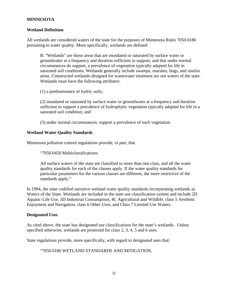# **MINNESOTA**

## **Wetland Definition**

All wetlands are considered waters of the state for the purposes of Minnesota Rules 7050.0186 pertaining to water quality. More specifically, wetlands are defined:

B. "Wetlands" are those areas that are inundated or saturated by surface water or groundwater at a frequency and duration sufficient to support, and that under normal circumstances do support, a prevalence of vegetation typically adapted for life in saturated soil conditions. Wetlands generally include swamps, marshes, bogs, and similar areas. Constructed wetlands designed for wastewater treatment are not waters of the state. Wetlands must have the following attributes:

(1) a predominance of hydric soils;

(2) inundated or saturated by surface water or groundwater at a frequency and duration sufficient to support a prevalence of hydrophytic vegetation typically adapted for life in a saturated soil condition; and

(3) under normal circumstances, support a prevalence of such vegetation.

#### **Wetland Water Quality Standards**

Minnesota pollution control regulations provide, in part, that

"7050.0450 Multiclassifications.

All surface waters of the state are classified in more than one class, and all the water quality standards for each of the classes apply. If the water quality standards for particular parameters for the various classes are different, the more restrictive of the standards apply."

In 1994, the state codified narrative wetland water quality standards incorporating wetlands as Waters of the State. Wetlands are included in the state use classification system and include 2D Aquatic-Life Use, 3D Industrial Consumption, 4C Agricultural and Wildlife, class 5 Aesthetic Enjoyment and Navigation, class 6 Other Uses, and Class 7 Limited Use Waters.

## **Designated Uses**

As cited above, the state has designated use classifications for the state's wetlands. Unless specified otherwise, wetlands are protected for class 2, 3, 4, 5 and 6 uses.

State regulations provide, more specifically, with regard to designated uses that:

"7050.0186 WETLAND STANDARDS AND MITIGATION.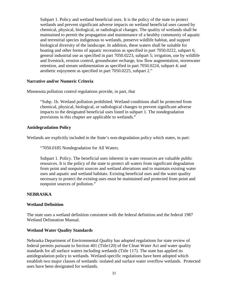Subpart 1. Policy and wetland beneficial uses. It is the policy of the state to protect wetlands and prevent significant adverse impacts on wetland beneficial uses caused by chemical, physical, biological, or radiological changes. The quality of wetlands shall be maintained to permit the propagation and maintenance of a healthy community of aquatic and terrestrial species indigenous to wetlands, preserve wildlife habitat, and support biological diversity of the landscape. In addition, these waters shall be suitable for boating and other forms of aquatic recreation as specified in part [7050.0222,](http://www.loislaw.com/pns/doclink.htp?dockey=8871179@MNREGS&alias=MNREGS&cite=7050.0222) subpart 6; general industrial use as specified in part [7050.0223,](http://www.loislaw.com/pns/doclink.htp?dockey=8871180@MNREGS&alias=MNREGS&cite=7050.0223) subpart 5; irrigation, use by wildlife and livestock, erosion control, groundwater recharge, low flow augmentation, stormwater retention, and stream sedimentation as specified in part [7050.0224,](http://www.loislaw.com/pns/doclink.htp?dockey=8871181@MNREGS&alias=MNREGS&cite=7050.0224) subpart 4; and aesthetic enjoyment as specified in part [7050.0225,](http://www.loislaw.com/pns/doclink.htp?dockey=8871182@MNREGS&alias=MNREGS&cite=7050.0225) subpart 2."

#### **Narrative and/or Numeric Criteria**

Minnesota pollution control regulations provide, in part, that

"Subp. 1b. Wetland pollution prohibited. Wetland conditions shall be protected from chemical, physical, biological, or radiological changes to prevent significant adverse impacts to the designated beneficial uses listed in subpart 1. The nondegradation provisions in this chapter are applicable to wetlands."

#### **Antidegradation Policy**

Wetlands are explicitly included in the State's non-degradation policy which states, in part:

"7050.0185 Nondegradation for All Waters.

Subpart 1. Policy. The beneficial uses inherent in water resources are valuable public resources. It is the policy of the state to protect all waters from significant degradation from point and nonpoint sources and wetland alterations and to maintain existing water uses and aquatic and wetland habitats. Existing beneficial uses and the water quality necessary to protect the existing uses must be maintained and protected from point and nonpoint sources of pollution."

## **NEBRASKA**

## **Wetland Definition**

The state uses a wetland definition consistent with the federal definition and the federal 1987 Wetland Delineation Manual.

#### **Wetland Water Quality Standards**

Nebraska Department of Environmental Quality has adopted regulations for state review of federal permits pursuant to Section 401 (Title120) of the Clean Water Act and water quality standards for all surface waters including wetlands (Title 117). The state has applied its antidegradation policy to wetlands. Wetland-specific regulations have been adopted which establish two major classes of wetlands: isolated and surface water overflow wetlands. Protected uses have been designated for wetlands.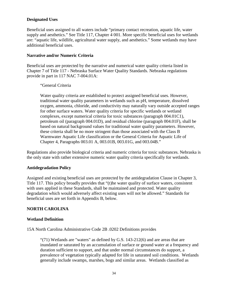# **Designated Uses**

Beneficial uses assigned to all waters include "primary contact recreation, aquatic life, water supply and aesthetics." See Title 117, Chapter 4 001. More specific beneficial uses for wetlands are: "aquatic life, wildlife, agricultural water supply, and aesthetics." Some wetlands may have additional beneficial uses.

## **Narrative and/or Numeric Criteria**

Beneficial uses are protected by the narrative and numerical water quality criteria listed in Chapter 7 of Title 117 - Nebraska Surface Water Quality Standards. Nebraska regulations provide in part in 117 NAC 7-004.01A:

"General Criteria

Water quality criteria are established to protect assigned beneficial uses. However, traditional water quality parameters in wetlands such as pH, temperature, dissolved oxygen, ammonia, chloride, and conductivity may naturally vary outside accepted ranges for other surface waters. Water quality criteria for specific wetlands or wetland complexes, except numerical criteria for toxic substances (paragraph 004.01C1), petroleum oil (paragraph 004.01D), and residual chlorine (paragraph 004.01F), shall be based on natural background values for traditional water quality parameters. However, these criteria shall be no more stringent than those associated with the Class B Warmwater Aquatic Life classification or the General Criteria for Aquatic Life of Chapter 4, Paragraphs 003.01 A, 003.01B, 003.01G, and 003.04B."

Regulations also provide biological criteria and numeric criteria for toxic substances. Nebraska is the only state with rather extensive numeric water quality criteria specifically for wetlands.

## **Antidegradation Policy**

Assigned and existing beneficial uses are protected by the antidegradation Clause in Chapter 3, Title 117. This policy broadly provides that "(t)he water quality of surface waters, consistent with uses applied in these Standards, shall be maintained and protected. Water quality degradation which would adversely affect existing uses will not be allowed." Standards for beneficial uses are set forth in Appendix B, below.

# **NORTH CAROLINA**

## **Wetland Definition**

15A North Carolina Administrative Code 2B .0202 Definitions provides

"(71) Wetlands are "waters" as defined by G.S. [143-212\(](http://www.loislaw.com/pns/doclink.htp?dockey=1820698@NCCODE&alias=NCCODE&cite=143-212)6) and are areas that are inundated or saturated by an accumulation of surface or ground water at a frequency and duration sufficient to support, and that under normal circumstances do support, a prevalence of vegetation typically adapted for life in saturated soil conditions. Wetlands generally include swamps, marshes, bogs and similar areas. Wetlands classified as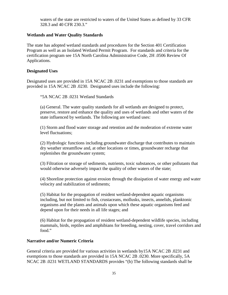waters of the state are restricted to waters of the United States as defined by [33 CFR](http://www.loislaw.com/pns/doclink.htp?dockey=11908973@USCFR&alias=USCFR&cite=33+C.F.R.+%A7+328.3)  [328.3](http://www.loislaw.com/pns/doclink.htp?dockey=11908973@USCFR&alias=USCFR&cite=33+C.F.R.+%A7+328.3) and [40 CFR 230.3.](http://www.loislaw.com/pns/doclink.htp?dockey=7393777@USCFR&alias=USCFR&cite=40+C.F.R.+%A7+230.3)"

# **Wetlands and Water Quality Standards**

The state has adopted wetland standards and procedures for the Section 401 Certification Program as well as an Isolated Wetland Permit Program. For standards and criteria for the certification program see 15A North Carolina Administrative Code, 2H .0506 Review Of Applications.

#### **Designated Uses**

Designated uses are provided in 15A NCAC 2B .0231 and exemptions to those standards are provided in 15A NCAC 2B .0230. Designated uses include the following:

"5A NCAC 2B .0231 Wetland Standards

(a) General. The water quality standards for all wetlands are designed to protect, preserve, restore and enhance the quality and uses of wetlands and other waters of the state influenced by wetlands. The following are wetland uses:

(1) Storm and flood water storage and retention and the moderation of extreme water level fluctuations;

(2) Hydrologic functions including groundwater discharge that contributes to maintain dry weather streamflow and, at other locations or times, groundwater recharge that replenishes the groundwater system;

(3) Filtration or storage of sediments, nutrients, toxic substances, or other pollutants that would otherwise adversely impact the quality of other waters of the state;

(4) Shoreline protection against erosion through the dissipation of water energy and water velocity and stabilization of sediments;

(5) Habitat for the propagation of resident wetland-dependent aquatic organisms including, but not limited to fish, crustaceans, mollusks, insects, annelids, planktonic organisms and the plants and animals upon which these aquatic organisms feed and depend upon for their needs in all life stages; and

(6) Habitat for the propagation of resident wetland-dependent wildlife species, including mammals, birds, reptiles and amphibians for breeding, nesting, cover, travel corridors and food."

## **Narrative and/or Numeric Criteria**

General criteria are provided for various activities in wetlands by15A NCAC 2B .0231 and exemptions to those standards are provided in 15A NCAC 2B .0230. More specifically, 5A NCAC 2B .0231 WETLAND STANDARDS provides "(b) The following standards shall be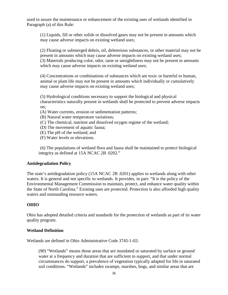used to assure the maintenance or enhancement of the existing uses of wetlands identified in Paragraph (a) of this Rule:

(1) Liquids, fill or other solids or dissolved gases may not be present in amounts which may cause adverse impacts on existing wetland uses;

(2) Floating or submerged debris, oil, deleterious substances, or other material may not be present in amounts which may cause adverse impacts on existing wetland uses; (3) Materials producing color, odor, taste or unsightliness may not be present in amounts which may cause adverse impacts on existing wetland uses;

(4) Concentrations or combinations of substances which are toxic or harmful to human, animal or plant life may not be present in amounts which individually or cumulatively may cause adverse impacts on existing wetland uses;

(5) Hydrological conditions necessary to support the biological and physical characteristics naturally present in wetlands shall be protected to prevent adverse impacts on;

(A) Water currents, erosion or sedimentation patterns;

(B) Natural water temperature variations;

(C) The chemical, nutrient and dissolved oxygen regime of the wetland;

(D) The movement of aquatic fauna;

(E) The pH of the wetland; and

(F) Water levels or elevations.

(6) The populations of wetland flora and fauna shall be maintained to protect biological integrity as defined at [15A NCAC 2B .0202.](http://www.loislaw.com/pns/doclink.htp?dockey=510874@NCADMIN&alias=NCADMIN&cite=15A+NCAC+2B+.0202)"

## **Antidegradation Policy**

The state's antidegradation policy (15A NCAC 2B .0201) applies to wetlands along with other waters. It is general and not specific to wetlands. It provides, in part: "It is the policy of the Environmental Management Commission to maintain, protect, and enhance water quality within the State of North Carolina." Existing uses are protected. Protection is also afforded high quality waters and outstanding resource waters.

## **OHIO**

Ohio has adopted detailed criteria and standards for the protection of wetlands as part of its water quality program.

## **Wetland Definition**

Wetlands are defined in Ohio Administrative Code 3745-1-02:

(90) "Wetlands" means those areas that are inundated or saturated by surface or ground water at a frequency and duration that are sufficient to support, and that under normal circumstances do support, a prevalence of vegetation typically adapted for life in saturated soil conditions. "Wetlands" includes swamps, marshes, bogs, and similar areas that are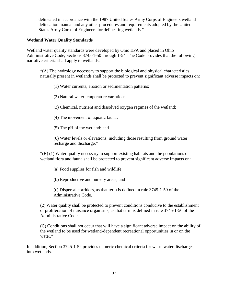delineated in accordance with the 1987 United States Army Corps of Engineers wetland delineation manual and any other procedures and requirements adopted by the United States Army Corps of Engineers for delineating wetlands."

# **Wetland Water Quality Standards**

Wetland water quality standards were developed by Ohio EPA and placed in Ohio Administrative Code, Sections 3745-1-50 through 1-54. The Code provides that the following narrative criteria shall apply to wetlands:

"(A) The hydrology necessary to support the biological and physical characteristics naturally present in wetlands shall be protected to prevent significant adverse impacts on:

(1) Water currents, erosion or sedimentation patterns;

(2) Natural water temperature variations;

(3) Chemical, nutrient and dissolved oxygen regimes of the wetland;

(4) The movement of aquatic fauna;

(5) The pH of the wetland; and

(6) Water levels or elevations, including those resulting from ground water recharge and discharge."

"(B) (1) Water quality necessary to support existing habitats and the populations of wetland flora and fauna shall be protected to prevent significant adverse impacts on:

(a) Food supplies for fish and wildlife;

(b) Reproductive and nursery areas; and

(c) Dispersal corridors, as that term is defined in rule 3745-1-50 of the Administrative Code.

(2) Water quality shall be protected to prevent conditions conducive to the establishment or proliferation of nuisance organisms, as that term is defined in rule 3745-1-50 of the Administrative Code.

(C) Conditions shall not occur that will have a significant adverse impact on the ability of the wetland to be used for wetland-dependent recreational opportunities in or on the water."

In addition, Section 3745-1-52 provides numeric chemical criteria for waste water discharges into wetlands.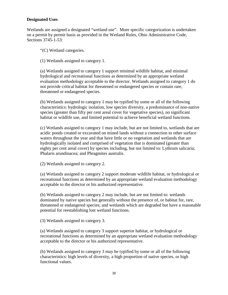# **Designated Uses**

Wetlands are assigned a designated "wetland use". More specific categorization is undertaken on a permit by permit basis as provided in the Wetland Rules, Ohio Administrative Code, Sections 3745-1-53:

"(C) Wetland categories.

(1) Wetlands assigned to category 1.

(a) Wetlands assigned to category 1 support minimal wildlife habitat, and minimal hydrological and recreational functions as determined by an appropriate wetland evaluation methodology acceptable to the director. Wetlands assigned to category 1 do not provide critical habitat for threatened or endangered species or contain rare, threatened or endangered species.

(b) Wetlands assigned to category 1 may be typified by some or all of the following characteristics: hydrologic isolation, low species diversity, a predominance of non-native species (greater than fifty per cent areal cover for vegetative species), no significant habitat or wildlife use, and limited potential to achieve beneficial wetland functions.

(c) Wetlands assigned to category 1 may include, but are not limited to, wetlands that are acidic ponds created or excavated on mined lands without a connection to other surface waters throughout the year and that have little or no vegetation and wetlands that are hydrologically isolated and comprised of vegetation that is dominated (greater than eighty per cent areal cover) by species including, but not limited to: Lythrum salicaria; Phalaris arundinacea; and Phragmites australis.

(2) Wetlands assigned to category 2.

(a) Wetlands assigned to category 2 support moderate wildlife habitat, or hydrological or recreational functions as determined by an appropriate wetland evaluation methodology acceptable to the director or his authorized representative.

(b) Wetlands assigned to category 2 may include, but are not limited to: wetlands dominated by native species but generally without the presence of, or habitat for, rare, threatened or endangered species; and wetlands which are degraded but have a reasonable potential for reestablishing lost wetland functions.

(3) Wetlands assigned to category 3.

(a) Wetlands assigned to category 3 support superior habitat, or hydrological or recreational functions as determined by an appropriate wetland evaluation methodology acceptable to the director or his authorized representative.

(b) Wetlands assigned to category 3 may be typified by some or all of the following characteristics: high levels of diversity, a high proportion of native species, or high functional values.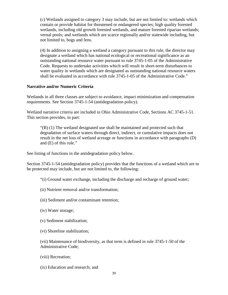(c) Wetlands assigned to category 3 may include, but are not limited to: wetlands which contain or provide habitat for threatened or endangered species; high quality forested wetlands, including old growth forested wetlands, and mature forested riparian wetlands; vernal pools; and wetlands which are scarce regionally and/or statewide including, but not limited to, bogs and fens.

(4) In addition to assigning a wetland a category pursuant to this rule, the director may designate a wetland which has national ecological or recreational significance as an outstanding national resource water pursuant to rule 3745-1-05 of the Administrative Code. Requests to undertake activities which will result in short-term disturbances to water quality in wetlands which are designated as outstanding national resource waters shall be evaluated in accordance with rule 3745-1-05 of the Administrative Code."

#### **Narrative and/or Numeric Criteria**

Wetlands in all three classes are subject to avoidance, impact minimization and compensation requirements. See Section 3745-1-54 (antidegradation policy).

Wetland narrative criteria are included in Ohio Administrative Code, Sections AC 3745-1-51. This section provides, in part:

 $\degree$ (B) (1) The wetland designated use shall be maintained and protected such that degradation of surface waters through direct, indirect, or cumulative impacts does not result in the net loss of wetland acreage or functions in accordance with paragraphs (D) and (E) of this rule."

See listing of functions in the antidegradation policy below.

Section 3745-1-54 (antidegradation policy) provides that the functions of a wetland which are to be protected may include, but are not limited to, the following:

"(i) Ground water exchange, including the discharge and recharge of ground water;

- (ii) Nutrient removal and/or transformation;
- (iii) Sediment and/or contaminant retention;
- (iv) Water storage;
- (v) Sediment stabilization;
- (vi) Shoreline stabilization;

(vii) Maintenance of biodiversity, as that term is defined in rule 3745-1-50 of the Administrative Code;

- (viii) Recreation;
- (ix) Education and research; and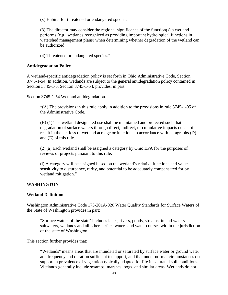(x) Habitat for threatened or endangered species.

(3) The director may consider the regional significance of the function(s) a wetland performs (e.g., wetlands recognized as providing important hydrological functions in watershed management plans) when determining whether degradation of the wetland can be authorized.

(4) Threatened or endangered species."

## **Antidegradation Policy**

A wetland-specific antidegradation policy is set forth in Ohio Administrative Code, Section 3745-1-54. In addition, wetlands are subject to the general antidegradation policy contained in Section 3745-1-5. Section 3745-1-54. provides, in part:

Section 3745-1-54 [Wetland antidegradation.](http://codes.ohio.gov/oac/3745-1-54)

"(A) The provisions in this rule apply in addition to the provisions in rule 3745-1-05 of the Administrative Code.

(B) (1) The wetland designated use shall be maintained and protected such that degradation of surface waters through direct, indirect, or cumulative impacts does not result in the net loss of wetland acreage or functions in accordance with paragraphs (D) and (E) of this rule.

(2) (a) Each wetland shall be assigned a category by Ohio EPA for the purposes of reviews of projects pursuant to this rule.

(i) A category will be assigned based on the wetland's relative functions and values, sensitivity to disturbance, rarity, and potential to be adequately compensated for by wetland mitigation."

## **WASHINGTON**

#### **Wetland Definition**

Washington Administrative Code 173-201A-020 Water Quality Standards for Surface Waters of the State of Washington provides in part:

"Surface waters of the state" includes lakes, rivers, ponds, streams, inland waters, saltwaters, wetlands and all other surface waters and water courses within the jurisdiction of the state of Washington.

This section further provides that:

"Wetlands" means areas that are inundated or saturated by surface water or ground water at a frequency and duration sufficient to support, and that under normal circumstances do support, a prevalence of vegetation typically adapted for life in saturated soil conditions. Wetlands generally include swamps, marshes, bogs, and similar areas. Wetlands do not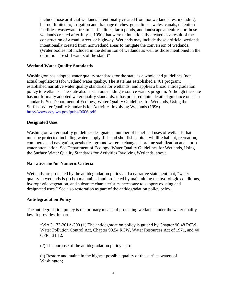include those artificial wetlands intentionally created from nonwetland sites, including, but not limited to, irrigation and drainage ditches, grass-lined swales, canals, detention facilities, wastewater treatment facilities, farm ponds, and landscape amenities, or those wetlands created after July 1, 1990, that were unintentionally created as a result of the construction of a road, street, or highway. Wetlands may include those artificial wetlands intentionally created from nonwetland areas to mitigate the conversion of wetlands. (Water bodies not included in the definition of wetlands as well as those mentioned in the definition are still waters of the state.)"

## **Wetland Water Quality Standards**

Washington has adopted water quality standards for the state as a whole and guidelines (not actual regulations) for wetland water quality. The state has established a 401 program; established narrative water quality standards for wetlands; and applies a broad antidegradation policy to wetlands. The state also has an outstanding resource waters program. Although the state has not formally adopted water quality standards, it has prepared quite detailed guidance on such standards. See Department of Ecology, Water Quality Guidelines for Wetlands, Using the Surface Water Quality Standards for Activities Involving Wetlands (1996) <http://www.ecy.wa.gov/pubs/9606.pdf>

#### **Designated Uses**

Washington water quality guidelines designate a number of beneficial uses of wetlands that must be protected including water supply, fish and shellfish habitat, wildlife habitat, recreation, commerce and navigation, aesthetics, ground water exchange, shoreline stabilization and storm water attenuation. See Department of Ecology, Water Quality Guidelines for Wetlands, Using the Surface Water Quality Standards for Activities Involving Wetlands, above.

#### **Narrative and/or Numeric Criteria**

Wetlands are protected by the antidegradation policy and a narrative statement that, "water quality in wetlands is (to be) maintained and protected by maintaining the hydrologic conditions, hydrophytic vegetation, and substrate characteristics necessary to support existing and designated uses." See also restoration as part of the antidegradation policy below.

#### **Antidegradation Policy**

The antidegradation policy is the primary means of protecting wetlands under the water quality law. It provides, in part,

"WAC 173-201A-300 (1) The antidegradation policy is guided by Chapter [90.48](http://www.loislaw.com/pns/doclink.htp?dockey=17638191@WACODE&alias=WACODE&cite=90.48) RCW, Water Pollution Control Act, Chapter [90.54](http://www.loislaw.com/pns/doclink.htp?dockey=17638195@WACODE&alias=WACODE&cite=90.54) RCW, Water Resources Act of 1971, and [40](http://www.loislaw.com/pns/doclink.htp?dockey=7364573@USCFR&alias=USCFR&cite=40+C.F.R.+%A7+131.12)  [CFR 131.12.](http://www.loislaw.com/pns/doclink.htp?dockey=7364573@USCFR&alias=USCFR&cite=40+C.F.R.+%A7+131.12)

(2) The purpose of the antidegradation policy is to:

(a) Restore and maintain the highest possible quality of the surface waters of Washington;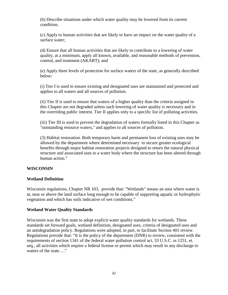(b) Describe situations under which water quality may be lowered from its current condition;

(c) Apply to human activities that are likely to have an impact on the water quality of a surface water;

(d) Ensure that all human activities that are likely to contribute to a lowering of water quality, at a minimum, apply all known, available, and reasonable methods of prevention, control, and treatment (AKART); and

(e) Apply three levels of protection for surface waters of the state, as generally described below:

(i) Tier I is used to ensure existing and designated uses are maintained and protected and applies to all waters and all sources of pollution.

(ii) Tier II is used to ensure that waters of a higher quality than the criteria assigned in this Chapter are not degraded unless such lowering of water quality is necessary and in the overriding public interest. Tier II applies only to a specific list of polluting activities.

(iii) Tier III is used to prevent the degradation of waters formally listed in this Chapter as "outstanding resource waters," and applies to all sources of pollution.

(3) Habitat restoration. Both temporary harm and permanent loss of existing uses may be allowed by the department where determined necessary to secure greater ecological benefits through major habitat restoration projects designed to return the natural physical structure and associated uses to a water body where the structure has been altered through human action."

## **WISCONSIN**

#### **Wetland Definition**

Wisconsin regulations, Chapter NR 103, provide that: "Wetlands" means an area where water is at, near or above the land surface long enough to be capable of supporting aquatic or hydrophytic vegetation and which has soils indicative of wet conditions."

#### **Wetland Water Quality Standards**

Wisconsin was the first state to adopt explicit water quality standards for wetlands. These standards set forward goals, wetland definition, designated uses, criteria of designated uses and an antidegradation policy. Regulations were adopted, in part, to facilitate Section 401 review. Regulations provide that: "It is the policy of the department (DNR) to review, consistent with the requirements of section 1341 of the federal water pollution control act, 33 U.S.C. ss 1251, et. seq., all activities which require a federal license or permit which may result in any discharge to waters of the state…."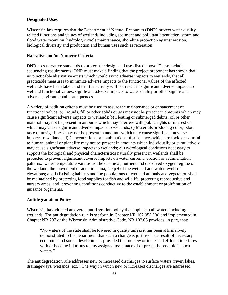# **Designated Uses**

Wisconsin law requires that the Department of Natural Recourses (DNR) protect water quality related functions and values of wetlands including sediment and pollutant attenuation, storm and flood water retention, hydrologic cycle maintenance, shoreline protection against erosion, biological diversity and production and human uses such as recreation.

## **Narrative and/or Numeric Criteria**

DNR uses narrative standards to protect the designated uses listed above. These include sequencing requirements. DNR must make a finding that the project proponent has shown that no practicable alternative exists which would avoid adverse impacts to wetlands, that all practicable measures to minimize adverse impacts to the functional values of the affected wetlands have been taken and that the activity will not result in significant adverse impacts to wetland functional values, significant adverse impacts to water quality or other significant adverse environmental consequences.

A variety of addition criteria must be used to assure the maintenance or enhancement of functional values: a) Liquids, fill or other solids or gas may not be present in amounts which may cause significant adverse impacts to wetlands; b) Floating or submerged debris, oil or other material may not be present in amounts which may interfere with public rights or interest or which may cause significant adverse impacts to wetlands; c) Materials producing color, odor, taste or unsightliness may not be present in amounts which may cause significant adverse impacts to wetlands; d) Concentrations or combinations of substances which are toxic or harmful to human, animal or plant life may not be present in amounts which individually or cumulatively may cause significant adverse impacts to wetlands; e) Hydrological conditions necessary to support the biological and physical characteristics naturally present in wetlands shall be protected to prevent significant adverse impacts on water currents, erosion or sedimentation patterns; water temperature variations, the chemical, nutrient and dissolved oxygen regime of the wetland, the movement of aquatic fauna, the pH of the wetland and water levels or elevations; and f) Existing habitats and the populations of wetland animals and vegetation shall be maintained by protecting food supplies for fish and wildlife, protecting reproductive and nursery areas, and preventing conditions conductive to the establishment or proliferation of nuisance organisms.

# **Antidegradation Policy**

Wisconsin has adopted an overall antidegration policy that applies to all waters including wetlands. The antidegradation rule is set forth in Chapter NR 102.05(1)(a) and implemented in Chapter NR 207 of the Wisconsin Administrative Code. NR 102.05 provides, in part, that:

"No waters of the state shall be lowered in quality unless it has been affirmatively demonstrated to the department that such a change is justified as a result of necessary economic and social development, provided that no new or increased effluent interferes with or become injurious to any assigned uses made of or presently possible in such waters."

The antidegradation rule addresses new or increased discharges to surface waters (river, lakes, drainageways, wetlands, etc.). The way in which new or increased discharges are addressed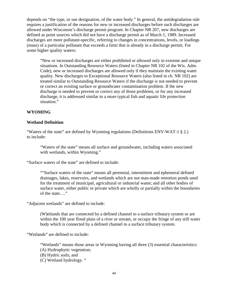depends on "the type, or use designation, of the water body." In general, the antidegradation rule requires a justification of the reasons for new or increased discharges before such discharges are allowed under Wisconsin's discharge permit program. In Chapter NR 207, new discharges are defined as point sources which did not have a discharge permit as of March 1, 1989. Increased discharges are more pollutant-specific, referring to changes in concentrations, levels, or loadings (mass) of a particular pollutant that exceeds a limit that is already in a discharge permit. For some higher quality waters:

"New or increased discharges are either prohibited or allowed only in extreme and unique situations. In Outstanding Resource Waters (listed in Chapter NR 102 of the Wis. Adm. Code), new or increased discharges are allowed only if they maintain the existing water quality. New discharges to Exceptional Resource Waters (also listed in ch. NR 102) are treated similar to Outstanding Resource Waters if the discharge is not needed to prevent or correct an existing surface or groundwater contamination problem. If the new discharge is needed to prevent or correct any of those problems, or for any increased discharge, it is addressed similar to a more typical fish and aquatic life protection situation."

## **WYOMING**

#### **Wetland Definition**

"Waters of the state" are defined by Wyoming regulations (Definitions ENV-WAT-1 § 2.) to include:

"Waters of the state" means all surface and groundwater, including waters associated with wetlands, within Wyoming."

"Surface waters of the state" are defined to include:

""Surface waters of the state" means all perennial, intermittent and ephemeral defined drainages, lakes, reservoirs, and wetlands which are not man-made retention ponds used for the treatment of municipal, agricultural or industrial waste; and all other bodies of surface water, either public or private which are wholly or partially within the boundaries of the state…."

"Adjacent wetlands" are defined to include:

(W)etlands that are connected by a defined channel to a surface tributary system or are within the 100 year flood plain of a river or stream, or occupy the fringe of any still water body which is connected by a defined channel to a surface tributary system.

"Wetlands" are defined to include:

"Wetlands" means those areas in Wyoming having all three (3) essential characteristics:

- (A) Hydrophytic vegetation;
- (B) Hydric soils; and
- (C) Wetland hydrology. "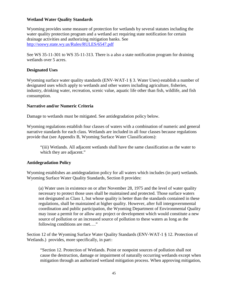# **Wetland Water Quality Standards**

Wyoming provides some measure of protection for wetlands by several statutes including the water quality protection program and a wetland act requiring state notification for certain drainage activities and authorizing mitigation banks. See <http://soswy.state.wy.us/Rules/RULES/6547.pdf>

See WS 35-11-301 to WS 35-11-313. There is a also a state notification program for draining wetlands over 5 acres.

## **Designated Uses**

Wyoming surface water quality standards (ENV-WAT-1 § 3. Water Uses) establish a number of designated uses which apply to wetlands and other waters including agriculture, fisheries, industry, drinking water, recreation, scenic value, aquatic life other than fish, wildlife, and fish consumption.

## **Narrative and/or Numeric Criteria**

Damage to wetlands must be mitigated. See antidegradation policy below.

Wyoming regulations establish four classes of waters with a combination of numeric and general narrative standards for each class. Wetlands are included in all four classes because regulations provide that (see Appendix B, Wyoming Surface Water Classifications):

"(iii) Wetlands. All adjacent wetlands shall have the same classification as the water to which they are adjacent."

## **Antidegradation Policy**

Wyoming establishes an antidegradation policy for all waters which includes (in part) wetlands. Wyoming Surface Water Quality Standards, Section 8 provides:

(a) Water uses in existence on or after November 28, 1975 and the level of water quality necessary to protect those uses shall be maintained and protected. Those surface waters not designated as Class 1, but whose quality is better than the standards contained in these regulations, shall be maintained at higher quality. However, after full intergovernmental coordination and public participation, the Wyoming Department of Environmental Quality may issue a permit for or allow any project or development which would constitute a new source of pollution or an increased source of pollution to these waters as long as the following conditions are met…."

Section 12 of the Wyoming Surface Water Quality Standards (ENV-WAT-1 § 12. Protection of Wetlands.) provides, more specifically, in part:

"Section 12. Protection of Wetlands. Point or nonpoint sources of pollution shall not cause the destruction, damage or impairment of naturally occurring wetlands except when mitigation through an authorized wetland mitigation process. When approving mitigation,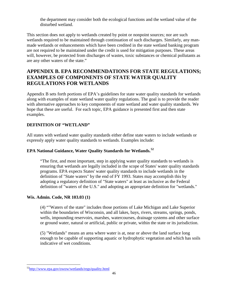the department may consider both the ecological functions and the wetland value of the disturbed wetland.

This section does not apply to wetlands created by point or nonpoint sources; nor are such wetlands required to be maintained through continuation of such discharges. Similarly, any manmade wetlands or enhancements which have been credited in the state wetland banking program are not required to be maintained under the credit is used for mitigation purposes. These areas will, however, be protected from discharges of wastes, toxic substances or chemical pollutants as are any other waters of the state."

# **APPENDIX B. EPA RECOMMENDATIONS FOR STATE REGULATIONS; EXAMPLES OF COMPONENTS OF STATE WATER QUALITY REGULATIONS FOR WETLANDS**

Appendix B sets forth portions of EPA's guidelines for state water quality standards for wetlands along with examples of state wetland water quality regulations. The goal is to provide the reader with alternative approaches to key components of state wetland and water quality standards. We hope that these are useful. For each topic, EPA guidance is presented first and then state examples.

# **DEFINITION OF "WETLAND"**

All states with wetland water quality standards either define state waters to include wetlands or expressly apply water quality standards to wetlands. Examples include:

# **EPA National Guidance, Water Quality Standards for Wetlands. [52](#page-53-0)**

"The first, and most important, step in applying water quality standards to wetlands is ensuring that wetlands are legally included in the scope of States' water quality standards programs. EPA expects States' water quality standards to include wetlands in the definition of "State waters" by the end of FY 1993. States may accomplish this by adopting a regulatory definition of "State waters" at least as inclusive as the Federal definition of "waters of the U.S." and adopting an appropriate definition for "wetlands."

# **Wis. Admin. Code, NR 103.03 (1)**

(4) ""Waters of the state" includes those portions of Lake Michigan and Lake Superior within the boundaries of Wisconsin, and all lakes, bays, rivers, streams, springs, ponds, wells, impounding reservoirs, marshes, watercourses, drainage systems and other surface or ground water, natural or artificial, public or private, within the state or its jurisdiction.

(5) "Wetlands" means an area where water is at, near or above the land surface long enough to be capable of supporting aquatic or hydrophytic vegetation and which has soils indicative of wet conditions.

<span id="page-53-0"></span> [<sup>52</sup>http://www.epa.gov/owow/wetlands/regs/quality.html](http://www.epa.gov/owow/wetlands/regs/quality.html)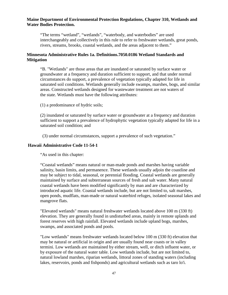# **Maine Department of Environmental Protection Regulations, Chapter 310, Wetlands and Water Bodies Protection.**

"The terms "wetland", "wetlands", "waterbody, and waterbodies" are used interchangeably and collectively in this rule to refer to freshwater wetlands, great ponds, rivers, streams, brooks, coastal wetlands, and the areas adjacent to them."

# **Minnesota Administrative Rules 1a. Definitions.7050.0186 Wetland Standards and Mitigation**

"B. "Wetlands" are those areas that are inundated or saturated by surface water or groundwater at a frequency and duration sufficient to support, and that under normal circumstances do support, a prevalence of vegetation typically adapted for life in saturated soil conditions. Wetlands generally include swamps, marshes, bogs, and similar areas. Constructed wetlands designed for wastewater treatment are not waters of the state. Wetlands must have the following attributes:

(1) a predominance of hydric soils;

(2) inundated or saturated by surface water or groundwater at a frequency and duration sufficient to support a prevalence of hydrophytic vegetation typically adapted for life in a saturated soil condition; and

(3) under normal circumstances, support a prevalence of such vegetation."

#### **Hawaii Administrative Code 11-54-1**

"As used in this chapter:

"Coastal wetlands" means natural or man-made ponds and marshes having variable salinity, basin limits, and permanence. These wetlands usually adjoin the coastline and may be subject to tidal, seasonal, or perennial flooding. Coastal wetlands are generally maintained by surface and subterranean sources of fresh and salt water. Many natural coastal wetlands have been modified significantly by man and are characterized by introduced aquatic life. Coastal wetlands include, but are not limited to, salt marshes, open ponds, mudflats, man-made or natural waterbird refuges, isolated seasonal lakes and mangrove flats.

"Elevated wetlands" means natural freshwater wetlands located above 100 m (330 ft) elevation. They are generally found in undisturbed areas, mainly in remote uplands and forest reserves with high rainfall. Elevated wetlands include upland bogs, marshes, swamps, and associated ponds and pools.

"Low wetlands" means freshwater wetlands located below 100 m (330 ft) elevation that may be natural or artificial in origin and are usually found near coasts or in valley termini. Low wetlands are maintained by either stream, well, or ditch influent water, or by exposure of the natural water table. Low wetlands include, but are not limited to, natural lowland marshes, riparian wetlands, littoral zones of standing waters (including lakes, reservoirs, ponds and fishponds) and agricultural wetlands such as taro lo'i.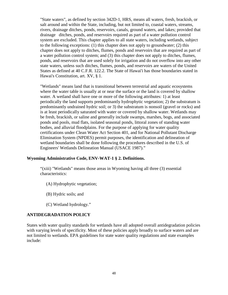"State waters", as defined by section [342D-1,](http://www.loislaw.com/pns/doclink.htp?dockey=4571330@HICODE&alias=HICODE&cite=342D-1) HRS, means all waters, fresh, brackish, or salt around and within the State, including, but not limited to, coastal waters, streams, rivers, drainage ditches, ponds, reservoirs, canals, ground waters, and lakes; provided that drainage ditches, ponds, and reservoirs required as part of a water pollution control system are excluded. This chapter applies to all state waters, including wetlands, subject to the following exceptions: (1) this chapter does not apply to groundwater; (2) this chapter does not apply to ditches, flumes, ponds and reservoirs that are required as part of a water pollution control system; and (3) this chapter does not apply to ditches, flumes, ponds, and reservoirs that are used solely for irrigation and do not overflow into any other state waters, unless such ditches, flumes, ponds, and reservoirs are waters of the United States as defined at [40 C.F.R. 122.2.](http://www.loislaw.com/pns/doclink.htp?dockey=5900304@USCFR&alias=USCFR&cite=40+C.F.R.+%A7+122.2) The State of Hawai'i has those boundaries stated in Hawai's Constitution, art. [XV,](http://www.loislaw.com/pns/doclink.htp?dockey=12673345@HICODE&alias=HICODE&cite=Haw.+Const.%2C+Art.+XV#PR0) § [1.](http://www.loislaw.com/pns/doclink.htp?dockey=12673345@HICODE&alias=HICODE&cite=Haw.+Const.%2C+Art.+XV#PR1)

"Wetlands" means land that is transitional between terrestrial and aquatic ecosystems where the water table is usually at or near the surface or the land is covered by shallow water. A wetland shall have one or more of the following attributes: 1) at least periodically the land supports predominantly hydrophytic vegetation; 2) the substratum is predominantly undrained hydric soil; or 3) the substratum is nonsoil (gravel or rocks) and is at least periodically saturated with water or covered by shallow water. Wetlands may be fresh, brackish, or saline and generally include swamps, marshes, bogs, and associated ponds and pools, mud flats, isolated seasonal ponds, littoral zones of standing water bodies, and alluvial floodplains. For the purpose of applying for water quality certifications under Clean Water Act Section 401, and for National Pollutant Discharge Elimination System (NPDES) permit purposes, the identification and delineation of wetland boundaries shall be done following the procedures described in the U.S. of Engineers' Wetlands Delineation Manual (USACE 1987)."

## **Wyoming Administrative Code, ENV-WAT-1 § 2. Definitions.**

"(xiii) "Wetlands" means those areas in Wyoming having all three (3) essential characteristics:

- (A) Hydrophytic vegetation;
- (B) Hydric soils; and
- (C) Wetland hydrology."

## **ANTIDEGRADATION POLICY**

States with water quality standards for wetlands have all adopted overall antidegradation policies with varying levels of specificity. Most of these policies apply broadly to surface waters and are not limited to wetlands. EPA guidelines for state water quality regulations and state examples include: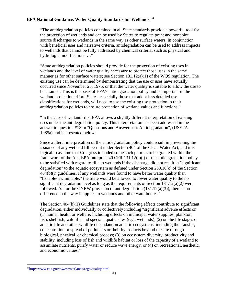# **EPA National Guidance, Water Quality Standards for Wetlands.[53](#page-56-0)**

"The antidegradation policies contained in all State standards provide a powerful tool for the protection of wetlands and can be used by States to regulate point and nonpoint source discharges to wetlands in the same way as other surface waters. In conjunction with beneficial uses and narrative criteria, antidegradation can be used to address impacts to wetlands that cannot be fully addressed by chemical criteria, such as physical and hydrologic modifications…."

"State antidegradation policies should provide for the protection of existing uses in wetlands and the level of water quality necessary to protect those uses in the same manner as for other surface waters; see Section 131.12(a)(1) of the WQS regulation. The existing use can be determined by demonstrating that the use or uses have actually occurred since November 28, 1975, or that the water quality is suitable to allow the use to be attained. This is the basis of EPA's antidegradation policy and is important in the wetland protection effort. States, especially those that adopt less detailed use classifications for wetlands, will need to use the existing use protection in their antidegradation policies to ensure protection of wetland values and functions."

"In the case of wetland fills, EPA allows a slightly different interpretation of existing uses under the antidegradation policy. This interpretation has been addressed in the answer to question #13 in "Questions and Answers on: Antidegradation", (USEPA 1985a) and is presented below:

Since a literal interpretation of the antidegradation policy could result in preventing the issuance of any wetland fill permit under Section 404 of the Clean Water Act, and it is logical to assume that Congress intended some such permits to be granted within the framework of the Act, EPA interprets  $40$  CFR  $131.12(a)(1)$  of the antidegradation policy to be satisfied with regard to fills in wetlands if the discharge did not result in "significant degradation" to the aquatic ecosystem as defined under Section 230.10(c) of the Section 404(b)(l) guidelines. If any wetlands were found to have better water quality than "fishable/ swimmable," the State would be allowed to lower water quality to the no significant degradation level as long as the requirements of Section  $131.12(a)(2)$  were followed. As for the ONRW provision of antidegradation  $(131.12(a)(3))$ , there is no difference in the way it applies to wetlands and other waterbodies."

The Section  $404(b)(1)$  Guidelines state that the following effects contribute to significant degradation, either individually or collectively including "significant adverse effects on (1) human health or welfare, including effects on municipal water supplies, plankton, fish, shellfish, wildlife, and special aquatic sites (e.g., wetlands); (2) on the life stages of aquatic life and other wildlife dependant on aquatic ecosystems, including the transfer, concentration or spread of pollutants or their byproducts beyond the site through biological, physical, or chemical process; (3) on ecosystem diversity, productivity and stability, including loss of fish and wildlife habitat or loss of the capacity of a wetland to assimilate nutrients, purify water or reduce wave energy; or (4) on recreational, aesthetic, and economic values."

<span id="page-56-0"></span> [<sup>53</sup>http://www.epa.gov/owow/wetlands/regs/quality.html](http://www.epa.gov/owow/wetlands/regs/quality.html)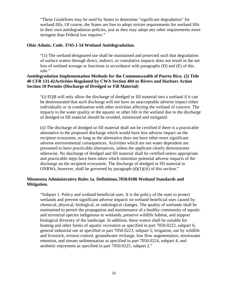"These Guidelines may be used by States to determine "significant degradation" for wetland fills. Of course, the States are free to adopt stricter requirements for wetland fills in their own antidegradation policies, just as they may adopt any other requirements more stringent than Federal law requires."

#### **Ohio Admin. Code. 3745-1-54 Wetland Antidegradation.**

"(1) The wetland designated use shall be maintained and protected such that degradation of surface waters through direct, indirect, or cumulative impacts does not result in the net loss of wetland acreage or functions in accordance with paragraphs (D) and (E) of this rule."

# **Antidegradation Implementation Methods for the Commonwealth of Puerto Rico. (2) Title 40 CFR 131.42Activities Regulated by CWA Section 404 or Rivers and Harbors Action Section 10 Permits (Discharge of Dredged or Fill Material)**

"(i) EQB will only allow the discharge of dredged or fill material into a wetland if it can be demonstrated that such discharge will not have an unacceptable adverse impact either individually or in combination with other activities affecting the wetland of concern. The impacts to the water quality or the aquatic or other life in the wetland due to the discharge of dredged or fill material should be avoided, minimized and mitigated.

(ii) The discharge of dredged or fill material shall not be certified if there is a practicable alternative to the proposed discharge which would have less adverse impact on the recipient ecosystem, so long as the alternative does not have other more significant adverse environmental consequences. Activities which are not water dependent are presumed to have practicable alternatives, unless the applicant clearly demonstrates otherwise. No discharge of dredged and fill material shall be certified unless appropriate and practicable steps have been taken which minimize potential adverse impacts of the discharge on the recipient ecosystem. The discharge of dredged or fill material to ONRWs, however, shall be governed by paragraph  $(d)(1)(iii)$  of this section."

# **Minnesota Administrative Rules 1a. Definitions.7050.0186 Wetland Standards and Mitigation.**

"Subpart 1. Policy and wetland beneficial uses. It is the policy of the state to protect wetlands and prevent significant adverse impacts on wetland beneficial uses caused by chemical, physical, biological, or radiological changes. The quality of wetlands shall be maintained to permit the propagation and maintenance of a healthy community of aquatic and terrestrial species indigenous to wetlands, preserve wildlife habitat, and support biological diversity of the landscape. In addition, these waters shall be suitable for boating and other forms of aquatic recreation as specified in part [7050.0222,](http://www.loislaw.com/pns/doclink.htp?dockey=8871179@MNREGS&alias=MNREGS&cite=7050.0222) subpart 6; general industrial use as specified in part [7050.0223,](http://www.loislaw.com/pns/doclink.htp?dockey=8871180@MNREGS&alias=MNREGS&cite=7050.0223) subpart 5; irrigation, use by wildlife and livestock, erosion control, groundwater recharge, low flow augmentation, stormwater retention, and stream sedimentation as specified in part [7050.0224,](http://www.loislaw.com/pns/doclink.htp?dockey=8871181@MNREGS&alias=MNREGS&cite=7050.0224) subpart 4; and aesthetic enjoyment as specified in part [7050.0225,](http://www.loislaw.com/pns/doclink.htp?dockey=8871182@MNREGS&alias=MNREGS&cite=7050.0225) subpart 2."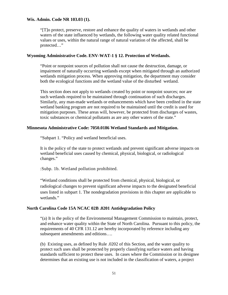#### **Wis. Admin. Code NR 103.03 (1).**

"[T]o protect, preserve, restore and enhance the quality of waters in wetlands and other waters of the state influenced by wetlands, the following water quality related functional values or uses, within the natural range of natural variation of the affected, shall be protected…"

#### **Wyoming Administrative Code. ENV-WAT-1 § 12. Protection of Wetlands.**

"Point or nonpoint sources of pollution shall not cause the destruction, damage, or impairment of naturally occurring wetlands except when mitigated through an authorized wetlands mitigation process. When approving mitigation, the department may consider both the ecological functions and the wetland value of the disturbed wetland.

This section does not apply to wetlands created by point or nonpoint sources; nor are such wetlands required to be maintained through continuation of such discharges. Similarly, any man-made wetlands or enhancements which have been credited in the state wetland banking program are not required to be maintained until the credit is used for mitigation purposes. These areas will, however, be protected from discharges of wastes, toxic substances or chemical pollutants as are any other waters of the state."

#### **Minnesota Administrative Code: 7050.0186 Wetland Standards and Mitigation.**

"Subpart 1. "Policy and wetland beneficial uses.

It is the policy of the state to protect wetlands and prevent significant adverse impacts on wetland beneficial uses caused by chemical, physical, biological, or radiological changes."

:Subp. 1b. Wetland pollution prohibited.

"Wetland conditions shall be protected from chemical, physical, biological, or radiological changes to prevent significant adverse impacts to the designated beneficial uses listed in subpart 1. The nondegradation provisions in this chapter are applicable to wetlands."

#### **North Carolina Code 15A NCAC 02B .0201 Antidegradation Policy**

"(a) It is the policy of the Environmental Management Commission to maintain, protect, and enhance water quality within the State of North Carolina. Pursuant to this policy, the requirements of 40 CFR 131.12 are hereby incorporated by reference including any subsequent amendments and editions….

(b) Existing uses, as defined by Rule .0202 of this Section, and the water quality to protect such uses shall be protected by properly classifying surface waters and having standards sufficient to protect these uses. In cases where the Commission or its designee determines that an existing use is not included in the classification of waters, a project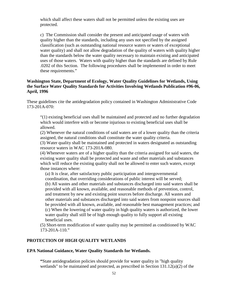which shall affect these waters shall not be permitted unless the existing uses are protected.

c) The Commission shall consider the present and anticipated usage of waters with quality higher than the standards, including any uses not specified by the assigned classification (such as outstanding national resource waters or waters of exceptional water quality) and shall not allow degradation of the quality of waters with quality higher than the standards below the water quality necessary to maintain existing and anticipated uses of those waters. Waters with quality higher than the standards are defined by Rule .0202 of this Section. The following procedures shall be implemented in order to meet these requirements."

## **Washington State, Department of Ecology, Water Quality Guidelines for Wetlands, Using the Surface Water Quality Standards for Activities Involving Wetlands Publication #96-06, April, 1996**

These guidelines cite the antidegradation policy contained in Washington Administrative Code 173-201A-070:

"(1) existing beneficial uses shall be maintained and protected and no further degradation which would interfere with or become injurious to existing beneficial uses shall be allowed.

(2) Whenever the natural conditions of said waters are of a lower quality than the criteria assigned, the natural conditions shall constitute the water quality criteria.

(3) Water quality shall be maintained and protected in waters designated as outstanding resource waters in WAC 173-201A-080.

(4) Whenever waters are of a higher quality than the criteria assigned for said waters, the existing water quality shall be protected and waste and other materials and substances which will reduce the existing quality shall not be allowed to enter such waters, except those instances where:

(a) It is clear, after satisfactory public participation and intergovernmental coordination, that overriding considerations of public interest will be served; (b) All wastes and other materials and substances discharged into said waters shall be provided with all known, available, and reasonable methods of prevention, control, and treatment by new and existing point sources before discharge. All wastes and other materials and substances discharged into said waters from nonpoint sources shall be provided with all known, available, and reasonable best management practices; and (c) When the lowering of water quality in high quality waters is authorized, the lower water quality shall still be of high enough quality to fully support all existing beneficial uses.

(5) Short-term modification of water quality may be permitted as conditioned by WAC 173-201A-110."

## **PROTECTION OF HIGH QUALITY WETLANDS**

#### **EPA National Guidance, Water Quality Standards for Wetlands.**

**"**State antidegradation policies should provide for water quality in "high quality wetlands" to be maintained and protected, as prescribed in Section 131.12(a)(2) of the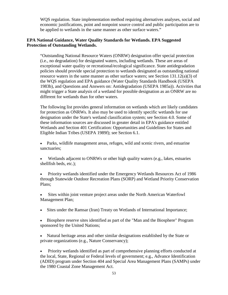WQS regulation. State implementation method requiring alternatives analyses, social and economic justifications, point and nonpoint source control and public participation are to be applied to wetlands in the same manner as other surface waters."

# **EPA National Guidance, Water Quality Standards for Wetlands. EPA Suggested Protection of Outstanding Wetlands.**

"Outstanding National Resource Waters (ONRW) designation offer special protection (i.e., no degradation) for designated waters, including wetlands. These are areas of exceptional water quality or recreational/ecological significance. State antidegradation policies should provide special protection to wetlands designated as outstanding national resource waters in the same manner as other surface waters; see Section 131.12(a)(3) of the WQS regulation and EPA guidance (Water Quality Standards Handbook (USEPA 1983b), and Questions and Answers on: Antidegradation (USEPA 1985a)). Activities that might trigger a State analysis of a wetland for possible designation as an ONRW are no different for wetlands than for other waters.

The following list provides general information on wetlands which are likely candidates for protection as ONRWs. It also may be used to identify specific wetlands for use designation under the State's wetland classification system; see Section 4.0. Some of these information sources are discussed in greater detail in EPA's guidance entitled Wetlands and Section 401 Certification: Opportunities and Guidelines for States and Eligible Indian Tribes (USEPA 1989f); see Section 6.1.

- Parks, wildlife management areas, refuges, wild and scenic rivers, and estuarine sanctuaries;
- Wetlands adjacent to ONRWs or other high quality waters (e.g., lakes, estuaries shellfish beds, etc.);

• Priority wetlands identified under the Emergency Wetlands Resources Act of 1986 through Statewide Outdoor Recreation Plans (SORP) and Wetland Priority Conservation Plans;

- Sites within joint venture project areas under the North American Waterfowl Management Plan;
- Sites under the Ramsar (Iran) Treaty on Wetlands of International Importance;
- Biosphere reserve sites identified as part of the "Man and the Biosphere" Program sponsored by the United Nations;

• Natural heritage areas and other similar designations established by the State or private organizations (e.g., Nature Conservancy);

• Priority wetlands identified as part of comprehensive planning efforts conducted at the local, State, Regional or Federal levels of government; e.g., Advance Identification (ADID) program under Section 404 and Special Area Management Plans (SAMPs) under the 1980 Coastal Zone Management Act.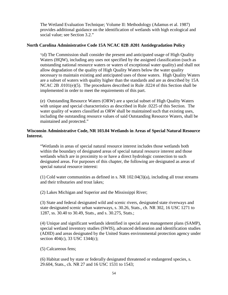The Wetland Evaluation Technique; Volume II: Methodology (Adamus et al. 1987) provides additional guidance on the identification of wetlands with high ecological and social value; see Section 3.2."

#### **North Carolina Administrative Code 15A NCAC 02B .0201 Antidegradation Policy**

"(d) The Commission shall consider the present and anticipated usage of High Quality Waters (HQW), including any uses not specified by the assigned classification (such as outstanding national resource waters or waters of exceptional water quality) and shall not allow degradation of the quality of High Quality Waters below the water quality necessary to maintain existing and anticipated uses of those waters. High Quality Waters are a subset of waters with quality higher than the standards and are as described by 15A NCAC 2B .0101(e)(5). The procedures described in Rule .0224 of this Section shall be implemented in order to meet the requirements of this part.

(e) Outstanding Resource Waters (ORW) are a special subset of High Quality Waters with unique and special characteristics as described in Rule .0225 of this Section. The water quality of waters classified as ORW shall be maintained such that existing uses, including the outstanding resource values of said Outstanding Resource Waters, shall be maintained and protected."

## **Wisconsin Administrative Code, NR 103.04 Wetlands in Areas of Special Natural Resource Interest.**

"Wetlands in areas of special natural resource interest includes those wetlands both within the boundary of designated areas of special natural resource interest and those wetlands which are in proximity to or have a direct hydrologic connection to such designated areas. For purposes of this chapter, the following are designated as areas of special natural resource interest:

(1) Cold water communities as defined in s. [NR 102.04\(](http://www.loislaw.com/pns/doclink.htp?dockey=2479680@WIADMIN&alias=WIADMIN&cite=NR+102.04)3)(a), including all trout streams and their tributaries and trout lakes;

(2) Lakes Michigan and Superior and the Mississippi River;

(3) State and federal designated wild and scenic rivers, designated state riverways and state designated scenic urban waterways, s. [30.26,](http://www.loislaw.com/pns/doclink.htp?dockey=6122189@WICODE&alias=WICODE&cite=30.26) Stats., ch. [NR 302,](http://www.loislaw.com/pns/doclink.htp?dockey=2482389@WIADMIN&alias=WIADMIN&cite=NR+302) [16 USC 1271](http://www.loislaw.com/pns/doclink.htp?dockey=7631448@USCODE&alias=USCODE&cite=16+U.S.C.+%A7+1271) to [1287,](http://www.loislaw.com/pns/doclink.htp?dockey=7631466@USCODE&alias=USCODE&cite=16+U.S.C.+%A7+1287) ss. [30.40](http://www.loislaw.com/pns/doclink.htp?dockey=6122208@WICODE&alias=WICODE&cite=30.40) to [30.49,](http://www.loislaw.com/pns/doclink.htp?dockey=6122222@WICODE&alias=WICODE&cite=30.49) Stats., and s. [30.275,](http://www.loislaw.com/pns/doclink.htp?dockey=6122191@WICODE&alias=WICODE&cite=30.275) Stats.;

(4) Unique and significant wetlands identified in special area management plans (SAMP), special wetland inventory studies (SWIS), advanced delineation and identification studies (ADID) and areas designated by the United States environmental protection agency under section 404(c), [33 USC 1344\(](http://www.loislaw.com/pns/doclink.htp?dockey=5944392@USCODE&alias=USCODE&cite=33+U.S.C.+%A7+1344)c);

(5) Calcareous fens;

(6) Habitat used by state or federally designated threatened or endangered species, s. [29.604,](http://www.loislaw.com/pns/doclink.htp?dockey=6122077@WICODE&alias=WICODE&cite=29.604) Stats., ch. [NR 27](http://www.loislaw.com/pns/doclink.htp?dockey=3802588@WIADMIN&alias=WIADMIN&cite=NR+27) and [16 USC 1531](http://www.loislaw.com/pns/doclink.htp?dockey=7631599@USCODE&alias=USCODE&cite=16+U.S.C.+%A7+1531) to [1543;](http://www.loislaw.com/pns/doclink.htp?dockey=7631612@USCODE&alias=USCODE&cite=16+U.S.C.+%A7+1543)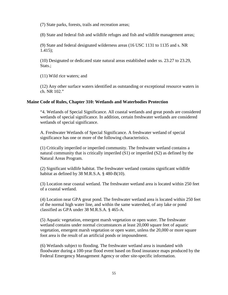(7) State parks, forests, trails and recreation areas;

(8) State and federal fish and wildlife refuges and fish and wildlife management areas;

(9) State and federal designated wilderness areas [\(16 USC 1131](http://www.loislaw.com/pns/doclink.htp?dockey=7631374@USCODE&alias=USCODE&cite=16+U.S.C.+%A7+1131) to [1135](http://www.loislaw.com/pns/doclink.htp?dockey=7631378@USCODE&alias=USCODE&cite=16+U.S.C.+%A7+1135) and s. [NR](http://www.loislaw.com/pns/doclink.htp?dockey=8661369@WIADMIN&alias=WIADMIN&cite=NR+1.415)  [1.415\)](http://www.loislaw.com/pns/doclink.htp?dockey=8661369@WIADMIN&alias=WIADMIN&cite=NR+1.415);

(10) Designated or dedicated state natural areas established under ss. [23.27](http://www.loislaw.com/pns/doclink.htp?dockey=15607998@WICODE&alias=WICODE&cite=23.27) to [23.29,](http://www.loislaw.com/pns/doclink.htp?dockey=15608000@WICODE&alias=WICODE&cite=23.29) Stats.:

(11) Wild rice waters; and

(12) Any other surface waters identified as outstanding or exceptional resource waters in ch. [NR 102.](http://www.loislaw.com/pns/doclink.htp?dockey=2479676@WIADMIN&alias=WIADMIN&cite=NR+102)"

#### **Maine Code of Rules, Chapter 310: Wetlands and Waterbodies Protection**

"4. Wetlands of Special Significance. All coastal wetlands and great ponds are considered wetlands of special significance. In addition, certain freshwater wetlands are considered wetlands of special significance.

A. Freshwater Wetlands of Special Significance. A freshwater wetland of special significance has one or more of the following characteristics.

(1) Critically imperiled or imperiled community. The freshwater wetland contains a natural community that is critically imperiled (S1) or imperiled (S2) as defined by the Natural Areas Program.

(2) Significant wildlife habitat. The freshwater wetland contains significant wildlife habitat as defined by  $38$  M.R.S.A.  $\S$  480-B(10).

(3) Location near coastal wetland. The freshwater wetland area is located within 250 feet of a coastal wetland.

(4) Location near GPA great pond. The freshwater wetland area is located within 250 feet of the normal high water line, and within the same watershed, of any lake or pond classified as GPA under [38 M.R.S.A. § 465-A.](http://www.loislaw.com/pns/doclink.htp?dockey=5821183@MECODE&alias=MECODE&cite=38+M.R.S.A.+%A7+465-A)

(5) Aquatic vegetation, emergent marsh vegetation or open water. The freshwater wetland contains under normal circumstances at least 20,000 square feet of aquatic vegetation, emergent marsh vegetation or open water, unless the 20,000 or more square foot area is the result of an artificial ponds or impoundment.

(6) Wetlands subject to flooding. The freshwater wetland area is inundated with floodwater during a 100-year flood event based on flood insurance maps produced by the Federal Emergency Management Agency or other site-specific information.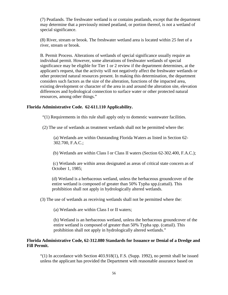(7) Peatlands. The freshwater wetland is or contains peatlands, except that the department may determine that a previously mined peatland, or portion thereof, is not a wetland of special significance.

(8) River, stream or brook. The freshwater wetland area is located within 25 feet of a river, stream or brook.

B. Permit Process. Alterations of wetlands of special significance usually require an individual permit. However, some alterations of freshwater wetlands of special significance may be eligible for Tier 1 or 2 review if the department determines, at the applicant's request, that the activity will not negatively affect the freshwater wetlands or other protected natural resources present. In making this determination, the department considers such factors as the size of the alteration, functions of the impacted area, existing development or character of the area in and around the alteration site, elevation differences and hydrological connection to surface water or other protected natural resources, among other things."

## **Florida Administrative Code. 62-611.110 Applicability.**

"(1) Requirements in this rule shall apply only to domestic wastewater facilities.

(2) The use of wetlands as treatment wetlands shall not be permitted where the:

(a) Wetlands are within Outstanding Florida Waters as listed in Section [62-](http://www.loislaw.com/pns/doclink.htp?dockey=2324910@FLREGS&alias=FLREGS&cite=62-302.700) [302.700,](http://www.loislaw.com/pns/doclink.htp?dockey=2324910@FLREGS&alias=FLREGS&cite=62-302.700) F.A.C.;

(b) Wetlands are within Class I or Class II waters (Section [62-302.400,](http://www.loislaw.com/pns/doclink.htp?dockey=2324904@FLREGS&alias=FLREGS&cite=62-302.400) F.A.C.);

(c) Wetlands are within areas designated as areas of critical state concern as of October 1, 1985;

(d) Wetland is a herbaceous wetland, unless the herbaceous groundcover of the entire wetland is composed of greater than 50% Typha spp.(cattail). This prohibition shall not apply in hydrologically altered wetlands.

(3) The use of wetlands as receiving wetlands shall not be permitted where the:

(a) Wetlands are within Class I or II waters;

(b) Wetland is an herbaceous wetland, unless the herbaceous groundcover of the entire wetland is composed of greater than 50% Typha spp. (cattail). This prohibition shall not apply in hydrologically altered wetlands."

# **Florida Administrative Code, 62-312.080 Standards for Issuance or Denial of a Dredge and Fill Permit.**

"(1) In accordance with Section 403.918(1), F.S. (Supp. 1992), no permit shall be issued unless the applicant has provided the Department with reasonable assurance based on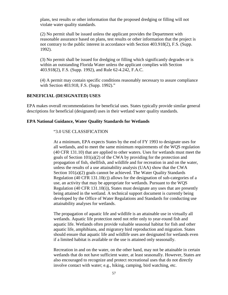plans, test results or other information that the proposed dredging or filling will not violate water quality standards.

(2) No permit shall be issued unless the applicant provides the Department with reasonable assurance based on plans, test results or other information that the project is not contrary to the public interest in accordance with Section 403.918(2), F.S. (Supp. 1992).

(3) No permit shall be issued for dredging or filling which significantly degrades or is within an outstanding Florida Water unless the applicant complies with Section 403.918(2), F.S. (Supp. 1992), and Rule [62-4.242,](http://www.loislaw.com/pns/doclink.htp?dockey=2324167@FLREGS&alias=FLREGS&cite=62-4.242) F.A.C.

(4) A permit may contain specific conditions reasonably necessary to assure compliance with Section 403.918, F.S. (Supp. 1992)."

#### **BENEFICIAL (DESIGNATED) USES**

EPA makes overall recommendations for beneficial uses. States typically provide similar general descriptions for beneficial (designated) uses in their wetland water quality standards.

#### **EPA National Guidance, Water Quality Standards for Wetlands**

#### "3.0 USE CLASSIFICATION

At a minimum, EPA expects States by the end of FY 1993 to designate uses for all wetlands, and to meet the same minimum requirements of the WQS regulation (40 CFR 131.10) that are applied to other waters. Uses for wetlands must meet the goals of Section 101(a)(2) of the CWA by providing for the protection and propagation of fish, shellfish, and wildlife and for recreation in and on the water, unless the results of a use attainability analysis (UAA) show that the CWA Section 101(a)(2) goals cannot be achieved. The Water Quality Standards Regulation (40 CFR 131.10(c)) allows for the designation of sub-categories of a use, an activity that may be appropriate for wetlands. Pursuant to the WQS Regulation (40 CFR 131.10(i)), States must designate any uses that are presently being attained in the wetland. A technical support document is currently being developed by the Office of Water Regulations and Standards for conducting use attainability analyses for wetlands.

The propagation of aquatic life and wildlife is an attainable use in virtually all wetlands. Aquatic life protection need not refer only to year-round fish and aquatic life. Wetlands often provide valuable seasonal habitat for fish and other aquatic life, amphibians, and migratory bird reproduction and migration. States should ensure that aquatic life and wildlife uses are designated for wetlands even if a limited habitat is available or the use is attained only seasonally.

Recreation in and on the water, on the other hand, may not be attainable in certain wetlands that do not have sufficient water, at least seasonally. However, States are also encouraged to recognize and protect recreational uses that do not directly involve contact with water; e.g., hiking, camping, bird watching, etc.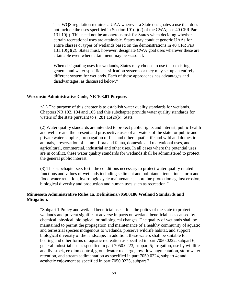The WQS regulation requires a UAA wherever a State designates a use that does not include the uses specified in Section  $101(a)(2)$  of the CWA; see 40 CFR Part 131.10(j). This need not be an onerous task for States when deciding whether certain recreational uses are attainable. States may conduct generic UAAs for entire classes or types of wetlands based on the demonstrations in 40 CFR Part  $131.10(g)(2)$ . States must, however, designate CWA goal uses wherever these are attainable even where attainment may be seasonal.

When designating uses for wetlands, States may choose to use their existing general and water specific classification systems or they may set up an entirely different system for wetlands. Each of these approaches has advantages and disadvantages, as discussed below."

#### **Wisconsin Administrative Code, NR 103.01 Purpose.**

"(1) The purpose of this chapter is to establish water quality standards for wetlands. Chapters [NR 102,](http://www.loislaw.com/pns/doclink.htp?dockey=2479676@WIADMIN&alias=WIADMIN&cite=NR+102) [104](http://www.loislaw.com/pns/doclink.htp?dockey=2479702@WIADMIN&alias=WIADMIN&cite=NR+104) and [105](http://www.loislaw.com/pns/doclink.htp?dockey=10415524@WIADMIN&alias=WIADMIN&cite=NR+105) and this subchapter provide water quality standards for waters of the state pursuant to s.  $281.15(2)(b)$  $281.15(2)(b)$ , Stats.

(2) Water quality standards are intended to protect public rights and interest, public health and welfare and the present and prospective uses of all waters of the state for public and private water supplies, propagation of fish and other aquatic life and wild and domestic animals, preservation of natural flora and fauna, domestic and recreational uses, and agricultural, commercial, industrial and other uses. In all cases where the potential uses are in conflict, these water quality standards for wetlands shall be administered to protect the general public interest.

(3) This subchapter sets forth the conditions necessary to protect water quality related functions and values of wetlands including sediment and pollutant attenuation, storm and flood water retention, hydrologic cycle maintenance, shoreline protection against erosion, biological diversity and production and human uses such as recreation."

#### **Minnesota Administrative Rules 1a. Definitions.7050.0186 Wetland Standards and Mitigation.**

"Subpart 1.Policy and wetland beneficial uses. It is the policy of the state to protect wetlands and prevent significant adverse impacts on wetland beneficial uses caused by chemical, physical, biological, or radiological changes. The quality of wetlands shall be maintained to permit the propagation and maintenance of a healthy community of aquatic and terrestrial species indigenous to wetlands, preserve wildlife habitat, and support biological diversity of the landscape. In addition, these waters shall be suitable for boating and other forms of aquatic recreation as specified in part [7050.0222,](http://www.loislaw.com/pns/doclink.htp?dockey=8871179@MNREGS&alias=MNREGS&cite=7050.0222) subpart 6; general industrial use as specified in part [7050.0223,](http://www.loislaw.com/pns/doclink.htp?dockey=8871180@MNREGS&alias=MNREGS&cite=7050.0223) subpart 5; irrigation, use by wildlife and livestock, erosion control, groundwater recharge, low flow augmentation, stormwater retention, and stream sedimentation as specified in part [7050.0224,](http://www.loislaw.com/pns/doclink.htp?dockey=8871181@MNREGS&alias=MNREGS&cite=7050.0224) subpart 4; and aesthetic enjoyment as specified in part [7050.0225,](http://www.loislaw.com/pns/doclink.htp?dockey=8871182@MNREGS&alias=MNREGS&cite=7050.0225) subpart 2.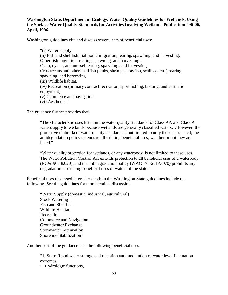# **Washington State, Department of Ecology, Water Quality Guidelines for Wetlands, Using the Surface Water Quality Standards for Activities Involving Wetlands Publication #96-06, April, 1996**

Washington guidelines cite and discuss several sets of beneficial uses:

"(i) Water supply. (ii) Fish and shellfish: Salmonid migration, rearing, spawning, and harvesting. Other fish migration, rearing, spawning, and harvesting. Clam, oyster, and mussel rearing, spawning, and harvesting. Crustaceans and other shellfish (crabs, shrimps, crayfish, scallops, etc.) rearing, spawning, and harvesting. (iii) Wildlife habitat. (iv) Recreation (primary contract recreation, sport fishing, boating, and aesthetic enjoyment).

- (v) Commerce and navigation.
- (vi) Aesthetics."

The guidance further provides that:

"The characteristic uses listed in the water quality standards for Class AA and Class A waters apply to wetlands because wetlands are generally classified waters…However, the protective umbrella of water quality standards is not limited to only those uses listed; the antidegradation policy extends to all existing beneficial uses, whether or not they are listed."

"Water quality protection for wetlands, or any waterbody, is not limited to these uses. The Water Pollution Control Act extends protection to all beneficial uses of a waterbody (RCW 90.48.020), and the antidegradation policy (WAC 173-201A-070) prohibits any degradation of existing beneficial uses of waters of the state."

Beneficial uses discussed in greater depth in the Washington State guidelines include the following. See the guidelines for more detailed discussion.

"Water Supply (domestic, industrial, agricultural) Stock Watering Fish and Shellfish Wildlife Habitat Recreation Commerce and Navigation Groundwater Exchange Stormwater Attenuation Shoreline Stabilization"

Another part of the guidance lists the following beneficial uses:

"1. Storm/flood water storage and retention and moderation of water level fluctuation extremes,

2. Hydrologic functions,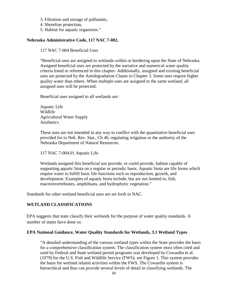- 3. Filtration and storage of pollutants,
- 4. Shoreline protection,
- 5. Habitat for aquatic organisms."

# **Nebraska Administrative Code, 117 NAC 7-002.**

117 NAC 7-004 Beneficial Uses

"Beneficial uses are assigned to wetlands within or bordering upon the State of Nebraska. Assigned beneficial uses are protected by the narrative and numerical water quality criteria listed or referenced in this chapter. Additionally, assigned and existing beneficial uses are protected by the Antidegradation Clause in Chapter 3. Some uses require higher quality water than others. When multiple uses are assigned to the same wetland, all assigned uses will be protected.

Beneficial uses assigned to all wetlands are:

Aquatic Life Wildlife Agricultural Water Supply **Aesthetics** 

These uses are not intended in any way to conflict with the quantitative beneficial uses provided for in Neb. Rev. Stat., Ch 46, regulating irrigation or the authority of the Nebraska Department of Natural Resources.

117 NAC 7-004.01 Aquatic Life

Wetlands assigned this beneficial use provide, or could provide, habitat capable of supporting aquatic biota on a regular or periodic basis. Aquatic biota are life forms which require water to fulfill basic life functions such as reproduction, growth, and development. Examples of aquatic biota include, but are not limited to, fish, macroinvertebrates, amphibians, and hydrophytic vegetation."

Standards for other wetland beneficial uses are set forth in NAC.

# **WETLAND CLASSIFICATIONS**

EPA suggests that state classify their wetlands for the purpose of water quality standards. A number of states have done so.

## **EPA National Guidance, Water Quality Standards for Wetlands, 3.1 Wetland Types**

"A detailed understanding of the various wetland types within the State provides the basis for a comprehensive classification system. The classification system most often cited and used by Federal and State wetland permit programs was developed by Cowardin et al. (1979) for the U.S. Fish and Wildlife Service (FWS); see Figure 1. This system provides the basis for wetland related activities within the FWS. The Cowardin system is hierarchical and thus can provide several levels of detail in classifying wetlands. The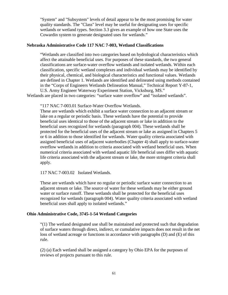"System" and "Subsystem" levels of detail appear to be the most promising for water quality standards. The "Class" level may be useful for designating uses for specific wetlands or wetland types. Section 3.3 gives an example of how one State uses the Cowardin system to generate designated uses for wetlands."

## **Nebraska Administrative Code 117 NAC 7-003, Wetland Classifications**

"Wetlands are classified into two categories based on hydrological characteristics which affect the attainable beneficial uses. For purposes of these standards, the two general classifications are surface-water overflow wetlands and isolated wetlands. Within each classification, specific wetland complexes and individual wetlands may be identified by their physical, chemical, and biological characteristics and functional values. Wetlands are defined in Chapter 1. Wetlands are identified and delineated using methods contained in the "Corps of Engineers Wetlands Delineation Manual," Technical Report Y-87-1, U.S. Army Engineer Waterway Experiment Station, Vicksburg, MS."

Wetlands are placed in two categories: "surface water overflow" and "isolated wetlands".

"117 NAC 7-003.01 Surface-Water Overflow Wetlands.

These are wetlands which exhibit a surface water connection to an adjacent stream or lake on a regular or periodic basis. These wetlands have the potential to provide beneficial uses identical to those of the adjacent stream or lake in addition to the beneficial uses recognized for wetlands (paragraph 004). These wetlands shall be protected for the beneficial uses of the adjacent stream or lake as assigned in Chapters 5 or 6 in addition to those identified for wetlands. Water quality criteria associated with assigned beneficial uses of adjacent waterbodies (Chapter 4) shall apply to surface-water overflow wetlands in addition to criteria associated with wetland beneficial uses. When numerical criteria associated with wetland aquatic life beneficial uses differ with aquatic life criteria associated with the adjacent stream or lake, the more stringent criteria shall apply.

117 NAC 7-003.02 Isolated Wetlands.

These are wetlands which have no regular or periodic surface water connection to an adjacent stream or lake. The source of water for these wetlands may be either ground water or surface runoff. These wetlands shall be protected for the beneficial uses recognized for wetlands (paragraph 004). Water quality criteria associated with wetland beneficial uses shall apply to isolated wetlands."

#### **Ohio Administrative Code, 3745-1-54 Wetland Categories**

"(1) The wetland designated use shall be maintained and protected such that degradation of surface waters through direct, indirect, or cumulative impacts does not result in the net loss of wetland acreage or functions in accordance with paragraphs (D) and (E) of this rule.

(2) (a) Each wetland shall be assigned a category by Ohio EPA for the purposes of reviews of projects pursuant to this rule.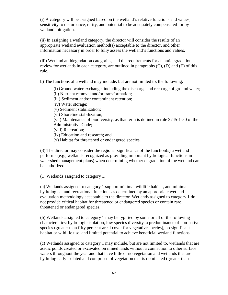(i) A category will be assigned based on the wetland's relative functions and values, sensitivity to disturbance, rarity, and potential to be adequately compensated for by wetland mitigation.

(ii) In assigning a wetland category, the director will consider the results of an appropriate wetland evaluation method(s) acceptable to the director, and other information necessary in order to fully assess the wetland's functions and values.

(iii) Wetland antidegradation categories, and the requirements for an antidegradation review for wetlands in each category, are outlined in paragraphs (C), (D) and (E) of this rule.

b) The functions of a wetland may include, but are not limited to, the following:

(i) Ground water exchange, including the discharge and recharge of ground water;

(ii) Nutrient removal and/or transformation;

(iii) Sediment and/or contaminant retention;

(iv) Water storage;

(v) Sediment stabilization;

(vi) Shoreline stabilization;

(vii) Maintenance of biodiversity, as that term is defined in rule 3745-1-50 of the Administrative Code;

(viii) Recreation;

(ix) Education and research; and

(x) Habitat for threatened or endangered species.

(3) The director may consider the regional significance of the function(s) a wetland performs (e.g., wetlands recognized as providing important hydrological functions in watershed management plans) when determining whether degradation of the wetland can be authorized.

(1) Wetlands assigned to category 1.

(a) Wetlands assigned to category 1 support minimal wildlife habitat, and minimal hydrological and recreational functions as determined by an appropriate wetland evaluation methodology acceptable to the director. Wetlands assigned to category 1 do not provide critical habitat for threatened or endangered species or contain rare, threatened or endangered species.

(b) Wetlands assigned to category 1 may be typified by some or all of the following characteristics: hydrologic isolation, low species diversity, a predominance of non-native species (greater than fifty per cent areal cover for vegetative species), no significant habitat or wildlife use, and limited potential to achieve beneficial wetland functions.

(c) Wetlands assigned to category 1 may include, but are not limited to, wetlands that are acidic ponds created or excavated on mined lands without a connection to other surface waters throughout the year and that have little or no vegetation and wetlands that are hydrologically isolated and comprised of vegetation that is dominated (greater than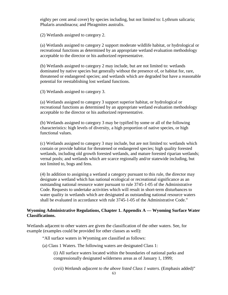eighty per cent areal cover) by species including, but not limited to: Lythrum salicaria; Phalaris arundinacea; and Phragmites australis.

(2) Wetlands assigned to category 2.

(a) Wetlands assigned to category 2 support moderate wildlife habitat, or hydrological or recreational functions as determined by an appropriate wetland evaluation methodology acceptable to the director or his authorized representative.

(b) Wetlands assigned to category 2 may include, but are not limited to: wetlands dominated by native species but generally without the presence of, or habitat for, rare, threatened or endangered species; and wetlands which are degraded but have a reasonable potential for reestablishing lost wetland functions.

(3) Wetlands assigned to category 3.

(a) Wetlands assigned to category 3 support superior habitat, or hydrological or recreational functions as determined by an appropriate wetland evaluation methodology acceptable to the director or his authorized representative.

(b) Wetlands assigned to category 3 may be typified by some or all of the following characteristics: high levels of diversity, a high proportion of native species, or high functional values.

(c) Wetlands assigned to category 3 may include, but are not limited to: wetlands which contain or provide habitat for threatened or endangered species; high quality forested wetlands, including old growth forested wetlands, and mature forested riparian wetlands; vernal pools; and wetlands which are scarce regionally and/or statewide including, but not limited to, bogs and fens.

(4) In addition to assigning a wetland a category pursuant to this rule, the director may designate a wetland which has national ecological or recreational significance as an outstanding national resource water pursuant to rule 3745-1-05 of the Administrative Code. Requests to undertake activities which will result in short-term disturbances to water quality in wetlands which are designated as outstanding national resource waters shall be evaluated in accordance with rule 3745-1-05 of the Administrative Code."

# **Wyoming Administrative Regulations, Chapter 1. Appendix A — Wyoming Surface Water Classifications.**

Wetlands adjacent to other waters are given the classification of the other waters. See, for example (examples could be provided for other classes as well):

"All surface waters in Wyoming are classified as follows:

(a) Class 1 Waters. The following waters are designated Class 1:

(i) All surface waters located within the boundaries of national parks and congressionally designated wilderness areas as of January 1, 1999;

(xvii) *Wetlands adjacent to the above listed Class 1 waters.* (Emphasis added)"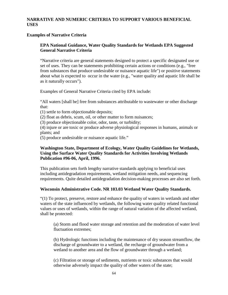# **NARRATIVE AND NUMERIC CRITERIA TO SUPPORT VARIOUS BENEFICIAL USES**

## **Examples of Narrative Criteria**

# **EPA National Guidance, Water Quality Standards for Wetlands EPA Suggested General Narrative Criteria**

"Narrative criteria are general statements designed to protect a specific designated use or set of uses. They can be statements prohibiting certain actions or conditions (e.g., "free from substances that produce undesirable or nuisance aquatic life") or positive statements about what is expected to occur in the water (e.g., "water quality and aquatic life shall be as it naturally occurs").

Examples of General Narrative Criteria cited by EPA include:

"All waters [shall be] free from substances attributable to wastewater or other discharge that:

(1) settle to form objectionable deposits;

(2) float as debris, scum, oil, or other matter to form nuisances;

(3) produce objectionable color, odor, taste, or turbidity;

(4) injure or are toxic or produce adverse physiological responses in humans, animals or plants; and

(5) produce undesirable or nuisance aquatic life."

# **Washington State, Department of Ecology, Water Quality Guidelines for Wetlands, Using the Surface Water Quality Standards for Activities Involving Wetlands Publication #96-06, April, 1996.**

This publication sets forth lengthy narrative standards applying to beneficial uses including antidegradation requirements, wetland mitigation needs, and sequencing requirements. Quite detailed antidegradation decision-making processes are also set forth.

# **Wisconsin Administrative Code. NR 103.03 Wetland Water Quality Standards.**

"(1) To protect, preserve, restore and enhance the quality of waters in wetlands and other waters of the state influenced by wetlands, the following water quality related functional values or uses of wetlands, within the range of natural variation of the affected wetland, shall be protected:

(a) Storm and flood water storage and retention and the moderation of water level fluctuation extremes;

(b) Hydrologic functions including the maintenance of dry season streamflow, the discharge of groundwater to a wetland, the recharge of groundwater from a wetland to another area and the flow of groundwater through a wetland;

(c) Filtration or storage of sediments, nutrients or toxic substances that would otherwise adversely impact the quality of other waters of the state;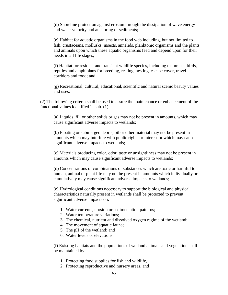(d) Shoreline protection against erosion through the dissipation of wave energy and water velocity and anchoring of sediments;

(e) Habitat for aquatic organisms in the food web including, but not limited to fish, crustaceans, mollusks, insects, annelids, planktonic organisms and the plants and animals upon which these aquatic organisms feed and depend upon for their needs in all life stages;

(f) Habitat for resident and transient wildlife species, including mammals, birds, reptiles and amphibians for breeding, resting, nesting, escape cover, travel corridors and food; and

(g) Recreational, cultural, educational, scientific and natural scenic beauty values and uses.

(2) The following criteria shall be used to assure the maintenance or enhancement of the functional values identified in sub. (1):

(a) Liquids, fill or other solids or gas may not be present in amounts, which may cause significant adverse impacts to wetlands;

(b) Floating or submerged debris, oil or other material may not be present in amounts which may interfere with public rights or interest or which may cause significant adverse impacts to wetlands;

(c) Materials producing color, odor, taste or unsightliness may not be present in amounts which may cause significant adverse impacts to wetlands;

(d) Concentrations or combinations of substances which are toxic or harmful to human, animal or plant life may not be present in amounts which individually or cumulatively may cause significant adverse impacts to wetlands;

(e) Hydrological conditions necessary to support the biological and physical characteristics naturally present in wetlands shall be protected to prevent significant adverse impacts on:

- 1. Water currents, erosion or sedimentation patterns;
- 2. Water temperature variations;
- 3. The chemical, nutrient and dissolved oxygen regime of the wetland;
- 4. The movement of aquatic fauna;
- 5. The pH of the wetland; and
- 6. Water levels or elevations.

(f) Existing habitats and the populations of wetland animals and vegetation shall be maintained by:

- 1. Protecting food supplies for fish and wildlife,
- 2. Protecting reproductive and nursery areas, and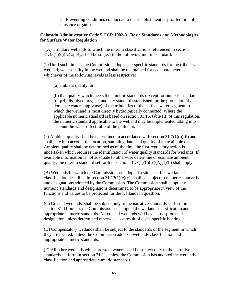3. Preventing conditions conducive to the establishment or proliferation of nuisance organisms."

# **Colorado Administrative Code 5 CCR 1002-31 Basic Standards and Methodologies for Surface Water Regulation**

"(A) Tributary wetlands to which the interim classifications referenced in section 31.13(1)(e)(iv) apply, shall be subject to the following interim standard:

(1) Until such time as the Commission adopts site-specific standards for the tributary wetland, water quality in the wetland shall be maintained for each parameter at whichever of the following levels is less restrictive:

(a) ambient quality, or

(b) that quality which meets the numeric standards (except for numeric standards for pH, dissolved oxygen, and any standard established for the protection of a domestic water supply use) of the tributaries of the surface water segment to which the wetland is most directly hydrologically connected. Where the applicable numeric standard is based on section 31.16, table III, of this regulation, the numeric standard applicable to the wetland may be implemented taking into account the water effect ratio of the pollutant.

(2) Ambient quality shall be determined in accordance with section  $31.7(1)(b)(ii)$  and shall take into account the location, sampling date, and quality of all available data. Ambient quality shall be determined as of the time the first regulatory action is undertaken which requires the identification of water quality standards for wetlands. If available information is not adequate to otherwise determine or estimate ambient quality, the interim standard set forth in section  $31.7(1)(b)(iv)(A)(1)(b)$  shall apply.

(B) Wetlands for which the Commission has adopted a site-specific "wetlands" classification described in section  $31.13(1)(e)(v)$ , shall be subject to numeric standards and designations adopted by the Commission. The Commission shall adopt any numeric standards and designations determined to be appropriate in view of the functions and values to be protected for the wetlands in question.

(C) Created wetlands, shall be subject only to the narrative standards set forth in section 31.11, unless the Commission has adopted the wetlands classification and appropriate numeric standards. All created wetlands will have a use-protected designation unless determined otherwise as a result of a site-specific hearing.

(D) Compensatory wetlands shall be subject to the standards of the segment in which they are located, unless the Commission adopts a wetlands classification and appropriate numeric standards.

(E) All other wetlands which are state waters shall be subject only to the narrative standards set forth in section 31.11, unless the Commission has adopted the wetlands classification and appropriate numeric standards.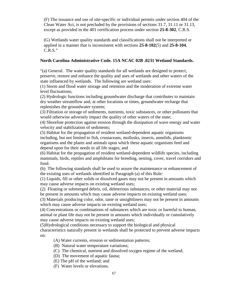(F) The issuance and use of site-specific or individual permits under section 404 of the Clean Water Act, is not precluded by the provisions of sections 31.7, 31.11 or 31.13, except as provided in the 401 certification process under section **[25-8-302](http://www.loislaw.com/pns/doclink.htp?dockey=2548261@COCODE&alias=COCODE&cite=25-8-302)**, C.R.S.

(G) Wetlands water quality standards and classifications shall not be interpreted or applied in a manner that is inconsistent with sections **[25-8-102](http://www.loislaw.com/pns/doclink.htp?dockey=2548244@COCODE&alias=COCODE&cite=25-8-102)**(5) and **[25-8-104](http://www.loislaw.com/pns/doclink.htp?dockey=2548246@COCODE&alias=COCODE&cite=25-8-104)**, C.R.S."

## **North Carolina Administrative Code. 15A NCAC 02B .0231 Wetland Standards.**

"(a) General. The water quality standards for all wetlands are designed to protect, preserve, restore and enhance the quality and uses of wetlands and other waters of the state influenced by wetlands. The following are wetland uses:

(1) Storm and flood water storage and retention and the moderation of extreme water level fluctuations;

(2) Hydrologic functions including groundwater discharge that contributes to maintain dry weather streamflow and, at other locations or times, groundwater recharge that replenishes the groundwater system;

(3) Filtration or storage of sediments, nutrients, toxic substances, or other pollutants that would otherwise adversely impact the quality of other waters of the state;

(4) Shoreline protection against erosion through the dissipation of wave energy and water velocity and stabilization of sediments;

(5) Habitat for the propagation of resident wetland-dependent aquatic organisms including, but not limited to fish, crustaceans, mollusks, insects, annelids, planktonic organisms and the plants and animals upon which these aquatic organisms feed and depend upon for their needs in all life stages; and

(6) Habitat for the propagation of resident wetland-dependent wildlife species, including mammals, birds, reptiles and amphibians for breeding, nesting, cover, travel corridors and food.

(b) The following standards shall be used to assure the maintenance or enhancement of the existing uses of wetlands identified in Paragraph (a) of this Rule:

(1) Liquids, fill or other solids or dissolved gases may not be present in amounts which may cause adverse impacts on existing wetland uses;

(2) Floating or submerged debris, oil, deleterious substances, or other material may not be present in amounts which may cause adverse impacts on existing wetland uses;

(3) Materials producing color, odor, taste or unsightliness may not be present in amounts which may cause adverse impacts on existing wetland uses;

(4) Concentrations or combinations of substances which are toxic or harmful to human, animal or plant life may not be present in amounts which individually or cumulatively may cause adverse impacts on existing wetland uses;

(5)Hydrological conditions necessary to support the biological and physical

characteristics naturally present in wetlands shall be protected to prevent adverse impacts on:

(A) Water currents, erosion or sedimentation patterns;

- (B) Natural water temperature variations;
- (C) The chemical, nutrient and dissolved oxygen regime of the wetland;
- (D) The movement of aquatic fauna;
- (E) The pH of the wetland; and
- (F) Water levels or elevations.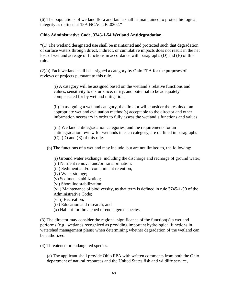(6) The populations of wetland flora and fauna shall be maintained to protect biological integrity as defined at 15A NCAC 2B .0202."

# **Ohio Administrative Code, 3745-1-54 Wetland Antidegradation.**

"(1) The wetland designated use shall be maintained and protected such that degradation of surface waters through direct, indirect, or cumulative impacts does not result in the net loss of wetland acreage or functions in accordance with paragraphs (D) and (E) of this rule.

(2)(a) Each wetland shall be assigned a category by Ohio EPA for the purposes of reviews of projects pursuant to this rule.

(i) A category will be assigned based on the wetland's relative functions and values, sensitivity to disturbance, rarity, and potential to be adequately compensated for by wetland mitigation.

(ii) In assigning a wetland category, the director will consider the results of an appropriate wetland evaluation method(s) acceptable to the director and other information necessary in order to fully assess the wetland's functions and values.

(iii) Wetland antidegradation categories, and the requirements for an antidegradation review for wetlands in each category, are outlined in paragraphs (C), (D) and (E) of this rule.

(b) The functions of a wetland may include, but are not limited to, the following:

| (i) Ground water exchange, including the discharge and recharge of ground water;     |
|--------------------------------------------------------------------------------------|
| (ii) Nutrient removal and/or transformation;                                         |
| (iii) Sediment and/or contaminant retention;                                         |
| (iv) Water storage;                                                                  |
| (v) Sediment stabilization;                                                          |
| (vi) Shoreline stabilization;                                                        |
| (vii) Maintenance of biodiversity, as that term is defined in rule 3745-1-50 of the  |
| Administrative Code;                                                                 |
| (viii) Recreation;                                                                   |
| (ix) Education and research; and                                                     |
| (x) Habitat for threatened or endangered species.                                    |
|                                                                                      |
| (3) The director may consider the regional significance of the function(s) a wetland |
| performs (e.g., wetlands recognized as providing important hydrological functions in |

performs (e.g., wetlands recognized as providing important hydrological functions in watershed management plans) when determining whether degradation of the wetland can be authorized.

(4) Threatened or endangered species.

(a) The applicant shall provide Ohio EPA with written comments from both the Ohio department of natural resources and the United States fish and wildlife service,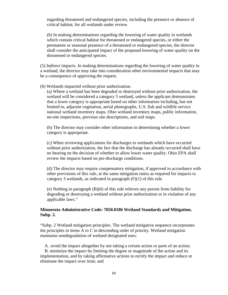regarding threatened and endangered species, including the presence or absence of critical habitat, for all wetlands under review.

(b) In making determinations regarding the lowering of water quality in wetlands which contain critical habitat for threatened or endangered species, or either the permanent or seasonal presence of a threatened or endangered species, the director shall consider the anticipated impact of the proposed lowering of water quality on the threatened or endangered species.

(5) Indirect impacts. In making determinations regarding the lowering of water quality in a wetland, the director may take into consideration other environmental impacts that may be a consequence of approving the request.

(6) Wetlands impacted without prior authorization.

(a) Where a wetland has been degraded or destroyed without prior authorization, the wetland will be considered a category 3 wetland, unless the applicant demonstrates that a lower category is appropriate based on other information including, but not limited to, adjacent vegetation, aerial photographs, U.S. fish and wildlife service national wetland inventory maps, Ohio wetland inventory maps, public information, on-site inspections, previous site descriptions, and soil maps.

(b) The director may consider other information in determining whether a lower category is appropriate.

(c) When reviewing applications for discharges to wetlands which have occurred without prior authorization, the fact that the discharge has already occurred shall have no bearing on the decision of whether to allow lower water quality. Ohio EPA shall review the impacts based on pre-discharge conditions.

(d) The director may require compensatory mitigation, if approved in accordance with other provisions of this rule, at the same mitigation ratios as required for impacts to category 3 wetlands, as indicated in paragraph (F)(1) of this rule.

(e) Nothing in paragraph (B)(6) of this rule relieves any person from liability for degrading or destroying a wetland without prior authorization or in violation of any applicable laws."

#### **Minnesota Administrative Code: 7050.0186 Wetland Standards and Mitigation. Subp. 2.**

"Subp. 2 Wetland mitigation principles. The wetland mitigative sequence incorporates the principles in items A to C in descending order of priority. Wetland mitigation maintains nondegradation of wetland designated uses:

A. avoid the impact altogether by not taking a certain action or parts of an action;

B. minimize the impact by limiting the degree or magnitude of the action and its implementation, and by taking affirmative actions to rectify the impact and reduce or eliminate the impact over time; and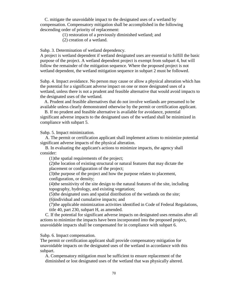C. mitigate the unavoidable impact to the designated uses of a wetland by compensation. Compensatory mitigation shall be accomplished in the following descending order of priority of replacement:

(1) restoration of a previously diminished wetland; and

(2) creation of a wetland.

Subp. 3. Determination of wetland dependency.

A project is wetland dependent if wetland designated uses are essential to fulfill the basic purpose of the project. A wetland dependent project is exempt from subpart 4, but will follow the remainder of the mitigation sequence. Where the proposed project is not wetland dependent, the wetland mitigation sequence in subpart 2 must be followed.

Subp. 4. Impact avoidance. No person may cause or allow a physical alteration which has the potential for a significant adverse impact on one or more designated uses of a wetland, unless there is not a prudent and feasible alternative that would avoid impacts to the designated uses of the wetland.

A. Prudent and feasible alternatives that do not involve wetlands are presumed to be available unless clearly demonstrated otherwise by the permit or certification applicant.

B. If no prudent and feasible alternative is available for avoidance, potential significant adverse impacts to the designated uses of the wetland shall be minimized in compliance with subpart 5.

Subp. 5. Impact minimization.

A. The permit or certification applicant shall implement actions to minimize potential significant adverse impacts of the physical alteration.

B. In evaluating the applicant's actions to minimize impacts, the agency shall consider:

(1)the spatial requirements of the project;

(2)the location of existing structural or natural features that may dictate the placement or configuration of the project;

(3)the purpose of the project and how the purpose relates to placement, configuration, or density;

(4)the sensitivity of the site design to the natural features of the site, including topography, hydrology, and existing vegetation;

(5)the designated uses and spatial distribution of the wetlands on the site;

(6)individual and cumulative impacts; and

(7)the applicable minimization activities identified in Code of Federal Regulations, title 40, part 230, subpart H, as amended.

C. If the potential for significant adverse impacts on designated uses remains after all actions to minimize the impacts have been incorporated into the proposed project, unavoidable impacts shall be compensated for in compliance with subpart 6.

Subp. 6. Impact compensation.

The permit or certification applicant shall provide compensatory mitigation for unavoidable impacts on the designated uses of the wetland in accordance with this subpart.

A. Compensatory mitigation must be sufficient to ensure replacement of the diminished or lost designated uses of the wetland that was physically altered.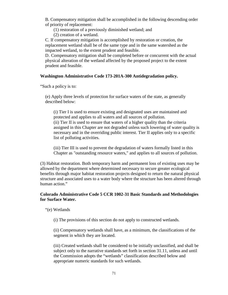B. Compensatory mitigation shall be accomplished in the following descending order of priority of replacement:

(1) restoration of a previously diminished wetland; and

(2) creation of a wetland.

C. If compensatory mitigation is accomplished by restoration or creation, the replacement wetland shall be of the same type and in the same watershed as the impacted wetland, to the extent prudent and feasible.

D. Compensatory mitigation shall be completed before or concurrent with the actual physical alteration of the wetland affected by the proposed project to the extent prudent and feasible.

## **Washington Administrative Code 173-201A-300 Antidegradation policy.**

"Such a policy is to:

(e) Apply three levels of protection for surface waters of the state, as generally described below:

(i) Tier I is used to ensure existing and designated uses are maintained and protected and applies to all waters and all sources of pollution. (ii) Tier II is used to ensure that waters of a higher quality than the criteria assigned in this Chapter are not degraded unless such lowering of water quality is necessary and in the overriding public interest. Tier II applies only to a specific list of polluting activities.

(iii) Tier III is used to prevent the degradation of waters formally listed in this Chapter as "outstanding resource waters," and applies to all sources of pollution.

(3) Habitat restoration. Both temporary harm and permanent loss of existing uses may be allowed by the department where determined necessary to secure greater ecological benefits through major habitat restoration projects designed to return the natural physical structure and associated uses to a water body where the structure has been altered through human action."

## **Colorado Administrative Code 5 CCR 1002-31 Basic Standards and Methodologies for Surface Water.**

"(e) Wetlands

(i) The provisions of this section do not apply to constructed wetlands.

(ii) Compensatory wetlands shall have, as a minimum, the classifications of the segment in which they are located.

(iii) Created wetlands shall be considered to be initially unclassified, and shall be subject only to the narrative standards set forth in section 31.11, unless and until the Commission adopts the "wetlands" classification described below and appropriate numeric standards for such wetlands.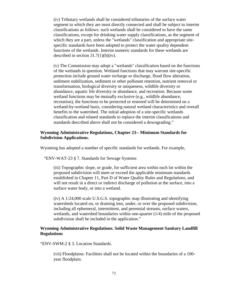(iv) Tributary wetlands shall be considered tributaries of the surface water segment to which they are most directly connected and shall be subject to interim classifications as follows: such wetlands shall be considered to have the same classifications, except for drinking water supply classifications, as the segment of which they are a part, unless the "wetlands" classification and appropriate sitespecific standards have been adopted to protect the water quality dependent functions of the wetlands. Interim numeric standards for these wetlands are described in section  $31.7(1)(b)(iv)$ .

(v) The Commission may adopt a "wetlands" classification based on the functions of the wetlands in question. Wetland functions that may warrant site-specific protection include ground water recharge or discharge, flood flow alteration, sediment stabilization, sediment or other pollutant retention, nutrient removal or transformation, biological diversity or uniqueness, wildlife diversity or abundance, aquatic life diversity or abundance, and recreation. Because some wetland functions may be mutually exclusive (e.g., wildlife abundance, recreation), the functions to be protected or restored will be determined on a wetland-by-wetland basis, considering natural wetland characteristics and overall benefits to the watershed. The initial adoption of a site-specific wetlands classification and related standards to replace the interim classifications and standards described above shall not be considered a downgrading."

## **Wyoming Administrative Regulations, Chapter 23-- Minimum Standards for Subdivision Applications.**

Wyoming has adopted a number of specific standards for wetlands. For example,

"ENV-WAT-23 § 7. Standards for Sewage Systems

(iii) Topographic slope, or grade, for sufficient area within each lot within the proposed subdivision will meet or exceed the applicable minimum standards established in Chapter 11, Part D of Water Quality Rules and Regulations, and will not result in a direct or indirect discharge of pollution at the surface, into a surface water body, or into a wetland.

(iv) A 1:24,000 scale U.S.G.S. topographic map illustrating and identifying watersheds located on, or draining into, under, or over the proposed subdivision, including all ephemeral, intermittent, and perennial streams, surface waters, wetlands, and watershed boundaries within one-quarter (1/4) mile of the proposed subdivision shall be included in the application."

#### **Wyoming Administrative Regulations. Solid Waste Management Sanitary Landfill Regulations**

"ENV-SWM-2 § 3. Location Standards.

(vii) Floodplains: Facilities shall not be located within the boundaries of a 100 year floodplain.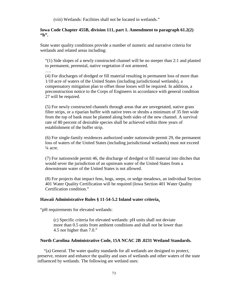(viii) Wetlands: Facilities shall not be located in wetlands."

#### **Iowa Code Chapter 455B, division 111, part 1. Amendment to paragraph 61.2(2) "h".**

State water quality conditions provide a number of numeric and narrative criteria for wetlands and related areas including:

"(1) Side slopes of a newly constructed channel will be no steeper than 2:1 and planted to permanent, perennial, native vegetation if not armored.

(4) For discharges of dredged or fill material resulting in permanent loss of more than 1/10 acre of waters of the United States (including jurisdictional wetlands), a compensatory mitigation plan to offset those losses will be required. In addition, a preconstruction notice to the Corps of Engineers in accordance with general condition 27 will be required.

(5) For newly constructed channels through areas that are unvegetated, native grass filter strips, or a riparian buffer with native trees or shrubs a minimum of 35 feet wide from the top of bank must be planted along both sides of the new channel. A survival rate of 80 percent of desirable species shall be achieved within three years of establishment of the buffer strip.

(6) For single-family residences authorized under nationwide permit 29, the permanent loss of waters of the United States (including jurisdictional wetlands) must not exceed  $\frac{1}{4}$  acre.

(7) For nationwide permit 46, the discharge of dredged or fill material into ditches that would sever the jurisdiction of an upstream water of the United States from a downstream water of the United States is not allowed.

(8) For projects that impact fens, bogs, seeps, or sedge meadows, an individual Section 401 Water Quality Certification will be required (Iowa Section 401 Water Quality Certification condition."

# **Hawaii Administrative Rules § 11-54-5.2 Inland water criteria.**

"pH requirements for elevated wetlands:

….

(c) Specific criteria for elevated wetlands: pH units shall not deviate more than 0.5 units from ambient conditions and shall not be lower than 4.5 nor higher than 7.0."

#### **North Carolina Administrative Code, 15A NCAC 2B .0231 Wetland Standards.**

"(a) General. The water quality standards for all wetlands are designed to protect, preserve, restore and enhance the quality and uses of wetlands and other waters of the state influenced by wetlands. The following are wetland uses: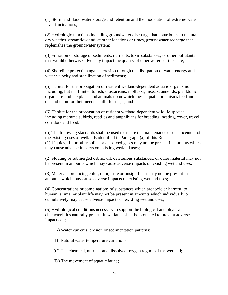(1) Storm and flood water storage and retention and the moderation of extreme water level fluctuations;

(2) Hydrologic functions including groundwater discharge that contributes to maintain dry weather streamflow and, at other locations or times, groundwater recharge that replenishes the groundwater system;

(3) Filtration or storage of sediments, nutrients, toxic substances, or other pollutants that would otherwise adversely impact the quality of other waters of the state;

(4) Shoreline protection against erosion through the dissipation of water energy and water velocity and stabilization of sediments;

(5) Habitat for the propagation of resident wetland-dependent aquatic organisms including, but not limited to fish, crustaceans, mollusks, insects, annelids, planktonic organisms and the plants and animals upon which these aquatic organisms feed and depend upon for their needs in all life stages; and

(6) Habitat for the propagation of resident wetland-dependent wildlife species, including mammals, birds, reptiles and amphibians for breeding, nesting, cover, travel corridors and food.

(b) The following standards shall be used to assure the maintenance or enhancement of the existing uses of wetlands identified in Paragraph (a) of this Rule: (1) Liquids, fill or other solids or dissolved gases may not be present in amounts which may cause adverse impacts on existing wetland uses;

(2) Floating or submerged debris, oil, deleterious substances, or other material may not be present in amounts which may cause adverse impacts on existing wetland uses;

(3) Materials producing color, odor, taste or unsightliness may not be present in amounts which may cause adverse impacts on existing wetland uses;

(4) Concentrations or combinations of substances which are toxic or harmful to human, animal or plant life may not be present in amounts which individually or cumulatively may cause adverse impacts on existing wetland uses;

(5) Hydrological conditions necessary to support the biological and physical characteristics naturally present in wetlands shall be protected to prevent adverse impacts on;

(A) Water currents, erosion or sedimentation patterns;

(B) Natural water temperature variations;

(C) The chemical, nutrient and dissolved oxygen regime of the wetland;

(D) The movement of aquatic fauna;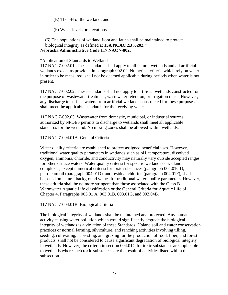(E) The pH of the wetland; and

(F) Water levels or elevations.

# (6) The populations of wetland flora and fauna shall be maintained to protect biological integrity as defined at **[15A NCAC 2B .0202.](http://www.loislaw.com/pns/doclink.htp?dockey=510874@NCADMIN&alias=NCADMIN&cite=15A+NCAC+2B+.0202)" Nebraska Administrative Code 117 NAC 7-002.**

#### "Application of Standards to Wetlands.

117 NAC 7-002.01. These standards shall apply to all natural wetlands and all artificial wetlands except as provided in paragraph 002.02. Numerical criteria which rely on water in order to be measured, shall not be deemed applicable during periods when water is not present.

117 NAC 7-002.02. These standards shall not apply to artificial wetlands constructed for the purpose of wastewater treatment, wastewater retention, or irrigation reuse. However, any discharge to surface waters from artificial wetlands constructed for these purposes shall meet the applicable standards for the receiving water.

117 NAC 7-002.03. Wastewater from domestic, municipal, or industrial sources authorized by NPDES permits to discharge to wetlands shall meet all applicable standards for the wetland. No mixing zones shall be allowed within wetlands.

#### 117 NAC 7-004.01A. General Criteria

Water quality criteria are established to protect assigned beneficial uses. However, traditional water quality parameters in wetlands such as pH, temperature, dissolved oxygen, ammonia, chloride, and conductivity may naturally vary outside accepted ranges for other surface waters. Water quality criteria for specific wetlands or wetland complexes, except numerical criteria for toxic substances (paragraph 004.01C1), petroleum oil (paragraph 004.01D), and residual chlorine (paragraph 004.01F), shall be based on natural background values for traditional water quality parameters. However, these criteria shall be no more stringent than those associated with the Class B Warmwater Aquatic Life classification or the General Criteria for Aquatic Life of Chapter 4, Paragraphs 003.01 A, 003.01B, 003.01G, and 003.04B.

#### 117 NAC 7-004.01B. Biological Criteria

The biological integrity of wetlands shall be maintained and protected. Any human activity causing water pollution which would significantly degrade the biological integrity of wetlands is a violation of these Standards. Upland soil and water conservation practices or normal farming, silviculture, and ranching activities involving tilling, seeding, cultivating, harvesting, and grazing for the production of food, fiber, and forest products, shall not be considered to cause significant degradation of biological integrity in wetlands. However, the criteria in section 004.01C for toxic substances are applicable to wetlands where such toxic substances are the result of activities listed within this subsection.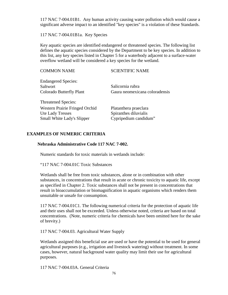117 NAC 7-004.01B1. Any human activity causing water pollution which would cause a significant adverse impact to an identified "key species" is a violation of these Standards.

117 NAC 7-004.01B1a. Key Species

Key aquatic species are identified endangered or threatened species. The following list defines the aquatic species considered by the Department to be key species. In addition to this list, any key species listed in Chapter 5 for a waterbody adjacent to a surface-water overflow wetland will be considered a key species for the wetland.

| <b>COMMON NAME</b>                     | <b>SCIENTIFIC NAME</b>         |
|----------------------------------------|--------------------------------|
| <b>Endangered Species:</b><br>Saltwort | Salicornia rubra               |
|                                        |                                |
| Colorado Butterfly Plant               | Gaura neomexicana coloradensis |
| <b>Threatened Species:</b>             |                                |
| Western Prairie Fringed Orchid         | Platanthera praeclara          |
| Ute Lady Tresses                       | Spiranthes diluvialis          |
| Small White Lady's Slipper             | Cypripedium candidum"          |

# **EXAMPLES OF NUMERIC CRITERIA**

## **Nebraska Administrative Code 117 NAC 7-002.**

Numeric standards for toxic materials in wetlands include:

"117 NAC 7-004.01C Toxic Substances

Wetlands shall be free from toxic substances, alone or in combination with other substances, in concentrations that result in acute or chronic toxicity to aquatic life, except as specified in Chapter 2. Toxic substances shall not be present in concentrations that result in bioaccumulation or biomagnification in aquatic organisms which renders them unsuitable or unsafe for consumption.

117 NAC 7-004.01C1. The following numerical criteria for the protection of aquatic life and their uses shall not be exceeded. Unless otherwise noted, criteria are based on total concentrations. (Note, numeric criteria for chemicals have been omitted here for the sake of brevity.)

117 NAC 7-004.03. Agricultural Water Supply

Wetlands assigned this beneficial use are used or have the potential to be used for general agricultural purposes (e.g., irrigation and livestock watering) without treatment. In some cases, however, natural background water quality may limit their use for agricultural purposes.

117 NAC 7-004.03A. General Criteria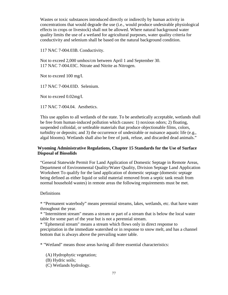Wastes or toxic substances introduced directly or indirectly by human activity in concentrations that would degrade the use (i.e., would produce undesirable physiological effects in crops or livestock) shall not be allowed. Where natural background water quality limits the use of a wetland for agricultural purposes, water quality criteria for conductivity and selenium shall be based on the natural background condition.

117 NAC 7-004.03B. Conductivity.

Not to exceed 2,000 umhos/cm between April 1 and September 30. 117 NAC 7-004.03C. Nitrate and Nitrite as Nitrogen.

Not to exceed 100 mg/l.

117 NAC 7-004.03D. Selenium.

Not to exceed 0.02mg/l.

117 NAC 7-004.04. Aesthetics.

This use applies to all wetlands of the state. To be aesthetically acceptable, wetlands shall be free from human-induced pollution which causes: 1) noxious odors; 2) floating, suspended colloidal, or settleable materials that produce objectionable films, colors, turbidity or deposits; and 3) the occurrence of undesirable or nuisance aquatic life (e.g., algal blooms). Wetlands shall also be free of junk, refuse, and discarded dead animals."

# **Wyoming Administrative Regulations, Chapter 15 Standards for the Use of Surface Disposal of Biosolids**

"General Statewide Permit For Land Application of Domestic Septage in Remote Areas, Department of Environmental Quality/Water Quality, Division Septage Land Application Worksheet To qualify for the land application of domestic septage (domestic septage being defined as either liquid or solid material removed from a septic tank result from normal household wastes) in remote areas the following requirements must be met.

## **Definitions**

\* "Permanent waterbody" means perennial streams, lakes, wetlands, etc. that have water throughout the year.

\* "Intermittent stream" means a stream or part of a stream that is below the local water table for some part of the year but is not a perennial stream.

\* "Ephemeral stream" means a stream which flows only in direct response to precipitation in the immediate watershed or in response to snow melt, and has a channel bottom that is always above the prevailing water table.

\* "Wetland" means those areas having all three essential characteristics:

(A) Hydrophytic vegetation;

- (B) Hydric soils;
- (C) Wetlands hydrology.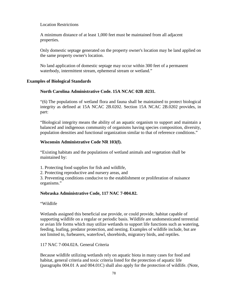## Location Restrictions

A minimum distance of at least 1,000 feet must be maintained from all adjacent properties.

Only domestic septage generated on the property owner's location may be land applied on the same property owner's location.

No land application of domestic septage may occur within 300 feet of a permanent waterbody, intermittent stream, ephemeral stream or wetland."

#### **Examples of Biological Standards**

## **North Carolina Administrative Code. 15A NCAC 02B .0231.**

"(6) The populations of wetland flora and fauna shall be maintained to protect biological integrity as defined at 15A NCAC 2B.0202. Section 15A NCAC 2B.0202 provides, in part:

"Biological integrity means the ability of an aquatic organism to support and maintain a balanced and indigenous community of organisms having species composition, diversity, population densities and functional organization similar to that of reference conditions."

## **Wisconsin Administrative Code NR 103(f).**

"Existing habitats and the populations of wetland animals and vegetation shall be maintained by:

- 1. Protecting food supplies for fish and wildlife,
- 2. Protecting reproductive and nursery areas, and

3. Preventing conditions conducive to the establishment or proliferation of nuisance organisms."

## **Nebraska Administrative Code, 117 NAC 7-004.02.**

"Wildlife

Wetlands assigned this beneficial use provide, or could provide, habitat capable of supporting wildlife on a regular or periodic basis. Wildlife are undomesticated terrestrial or avian life forms which may utilize wetlands to support life functions such as watering, feeding, loafing, predator protection, and nesting. Examples of wildlife include, but are not limited to, furbearers, waterfowl, shorebirds, migratory birds, and reptiles.

117 NAC 7-004.02A. General Criteria

Because wildlife utilizing wetlands rely on aquatic biota in many cases for food and habitat, general criteria and toxic criteria listed for the protection of aquatic life (paragraphs 004.01 A and 004.01C) shall also apply for the protection of wildlife. (Note,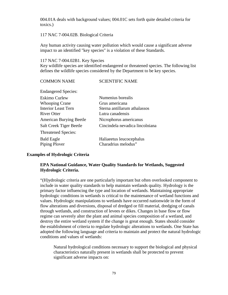004.01A deals with background values; 004.01C sets forth quite detailed criteria for toxics.)

## 117 NAC 7-004.02B. Biological Criteria

Any human activity causing water pollution which would cause a significant adverse impact to an identified "key species" is a violation of these Standards.

#### 117 NAC 7-004.02B1. Key Species

Key wildlife species are identified endangered or threatened species. The following list defines the wildlife species considered by the Department to be key species.

# COMMON NAME SCIENTIFIC NAME

Endangered Species:

| <b>Eskimo Curlew</b>               | Numenius borealis                               |  |  |
|------------------------------------|-------------------------------------------------|--|--|
| <b>Whooping Crane</b>              | Grus americana                                  |  |  |
| <b>Interior Least Tern</b>         | Sterna antillarum athalassos                    |  |  |
| <b>River Otter</b>                 | Lutra canadensis                                |  |  |
| <b>American Burying Beetle</b>     | Nicrophorus americanus                          |  |  |
| Salt Creek Tiger Beetle            | Cincindela nevadica lincolniana                 |  |  |
| <b>Threatened Species:</b>         |                                                 |  |  |
| <b>Bald Eagle</b><br>Piping Plover | Haliaeetus leucocephalus<br>Charadrius melodus" |  |  |

## **Examples of Hydrologic Criteria**

## **EPA National Guidance, Water Quality Standards for Wetlands, Suggested Hydrologic Criteria.**

"(H)ydrologic criteria are one particularly important but often overlooked component to include in water quality standards to help maintain wetlands quality. Hydrology is the primary factor influencing the type and location of wetlands. Maintaining appropriate hydrologic conditions in wetlands is critical to the maintenance of wetland functions and values. Hydrologic manipulations to wetlands have occurred nationwide in the form of flow alterations and diversions, disposal of dredged or fill material, dredging of canals through wetlands, and construction of levees or dikes. Changes in base flow or flow regime can severely alter the plant and animal species composition of a wetland, and destroy the entire wetland system if the change is great enough. States should consider the establishment of criteria to regulate hydrologic alterations to wetlands. One State has adopted the following language and criteria to maintain and protect the natural hydrologic conditions and values of wetlands:

Natural hydrological conditions necessary to support the biological and physical characteristics naturally present in wetlands shall be protected to prevent significant adverse impacts on: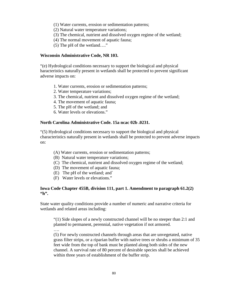- (1) Water currents, erosion or sedimentation patterns;
- (2) Natural water temperature variations;
- (3) The chemical, nutrient and dissolved oxygen regime of the wetland;
- (4) The normal movement of aquatic fauna;
- (5) The pH of the wetland…."

## **Wisconsin Administrative Code, NR 103.**

"(e) Hydrological conditions necessary to support the biological and physical haracteristics naturally present in wetlands shall be protected to prevent significant adverse impacts on:

- 1. Water currents, erosion or sedimentation patterns;
- 2. Water temperature variations;
- 3. The chemical, nutrient and dissolved oxygen regime of the wetland;
- 4. The movement of aquatic fauna;
- 5. The pH of the wetland; and
- 6. Water levels or elevations."

#### **North Carolina Administrative Code. 15a ncac 02b .0231.**

"(5) Hydrological conditions necessary to support the biological and physical characteristics naturally present in wetlands shall be protected to prevent adverse impacts on:

- (A) Water currents, erosion or sedimentation patterns;
- (B) Natural water temperature variations;
- (C) The chemical, nutrient and dissolved oxygen regime of the wetland;
- (D) The movement of aquatic fauna;
- (E) The pH of the wetland; and`
- (F) Water levels or elevations."

## **Iowa Code Chapter 455B, division 111, part 1. Amendment to paragraph 61.2(2) "h".**

State water quality conditions provide a number of numeric and narrative criteria for wetlands and related areas including:

"(1) Side slopes of a newly constructed channel will be no steeper than 2:1 and planted to permanent, perennial, native vegetation if not armored.

…. (5) For newly constructed channels through areas that are unvegetated, native grass filter strips, or a riparian buffer with native trees or shrubs a minimum of 35 feet wide from the top of bank must be planted along both sides of the new channel. A survival rate of 80 percent of desirable species shall be achieved within three years of establishment of the buffer strip.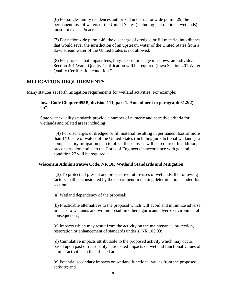(6) For single-family residences authorized under nationwide permit 29, the permanent loss of waters of the United States (including jurisdictional wetlands) must not exceed ¼ acre.

(7) For nationwide permit 46, the discharge of dredged or fill material into ditches that would sever the jurisdiction of an upstream water of the United States from a downstream water of the United States is not allowed.

(8) For projects that impact fens, bogs, seeps, or sedge meadows, an individual Section 401 Water Quality Certification will be required (Iowa Section 401 Water Quality Certification condition."

# **MITIGATION REQUIREMENTS**

Many statutes set forth mitigation requirements for wetland activities. For example:

## **Iowa Code Chapter 455B, division 111, part 1. Amendment to paragraph 61.2(2) "h".**

State water quality standards provide a number of numeric and narrative criteria for wetlands and related areas including:

"(4) For discharges of dredged or fill material resulting in permanent loss of more than 1/10 acre of waters of the United States (including jurisdictional wetlands), a compensatory mitigation plan to offset those losses will be required. In addition, a preconstruction notice to the Corps of Engineers in accordance with general condition 27 will be required."

#### **Wisconsin Administrative Code, NR 103 Wetland Standards and Mitigation.**

"(3) To protect all present and prospective future uses of wetlands, the following factors shall be considered by the department in making determinations under this section:

(a) Wetland dependency of the proposal;

(b) Practicable alternatives to the proposal which will avoid and minimize adverse impacts to wetlands and will not result in other significant adverse environmental consequences;

(c) Impacts which may result from the activity on the maintenance, protection, restoration or enhancement of standards under s. [NR 103.03;](http://www.loislaw.com/pns/doclink.htp?dockey=2479695@WIADMIN&alias=WIADMIN&cite=NR+103.03)

(d) Cumulative impacts attributable to the proposed activity which may occur, based upon past or reasonably anticipated impacts on wetland functional values of similar activities in the affected area;

(e) Potential secondary impacts on wetland functional values from the proposed activity; and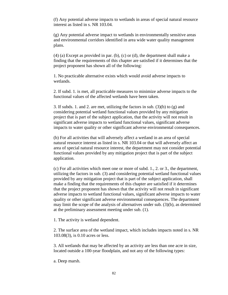(f) Any potential adverse impacts to wetlands in areas of special natural resource interest as listed in s. [NR 103.04.](http://www.loislaw.com/pns/doclink.htp?dockey=2479696@WIADMIN&alias=WIADMIN&cite=NR+103.04)

(g) Any potential adverse impact to wetlands in environmentally sensitive areas and environmental corridors identified in area wide water quality management plans.

(4) (a) Except as provided in par. (b), (c) or (d), the department shall make a finding that the requirements of this chapter are satisfied if it determines that the project proponent has shown all of the following:

1. No practicable alternative exists which would avoid adverse impacts to wetlands.

2. If subd. 1. is met, all practicable measures to minimize adverse impacts to the functional values of the affected wetlands have been taken.

3. If subds. 1. and 2. are met, utilizing the factors in sub. (3)(b) to (g) and considering potential wetland functional values provided by any mitigation project that is part of the subject application, that the activity will not result in significant adverse impacts to wetland functional values, significant adverse impacts to water quality or other significant adverse environmental consequences.

(b) For all activities that will adversely affect a wetland in an area of special natural resource interest as listed in s. [NR 103.04](http://www.loislaw.com/pns/doclink.htp?dockey=2479696@WIADMIN&alias=WIADMIN&cite=NR+103.04) or that will adversely affect an area of special natural resource interest, the department may not consider potential functional values provided by any mitigation project that is part of the subject application.

(c) For all activities which meet one or more of subd. 1., 2. or 3., the department, utilizing the factors in sub. (3) and considering potential wetland functional values provided by any mitigation project that is part of the subject application, shall make a finding that the requirements of this chapter are satisfied if it determines that the project proponent has shown that the activity will not result in significant adverse impacts to wetland functional values, significant adverse impacts to water quality or other significant adverse environmental consequences. The department may limit the scope of the analysis of alternatives under sub. (3)(b), as determined at the preliminary assessment meeting under sub. (1).

1. The activity is wetland dependent.

2. The surface area of the wetland impact, which includes impacts noted in s. [NR](http://www.loislaw.com/pns/doclink.htp?dockey=2479701@WIADMIN&alias=WIADMIN&cite=NR+103.08)  [103.08\(](http://www.loislaw.com/pns/doclink.htp?dockey=2479701@WIADMIN&alias=WIADMIN&cite=NR+103.08)3), is 0.10 acres or less.

3. All wetlands that may be affected by an activity are less than one acre in size, located outside a 100-year floodplain, and not any of the following types:

a. Deep marsh.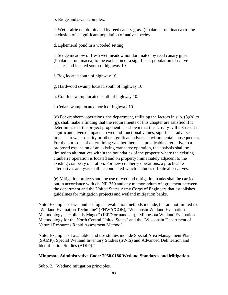b. Ridge and swale complex.

c. Wet prairie not dominated by reed canary grass (Phalaris arundinacea) to the exclusion of a significant population of native species.

d. Ephemeral pond in a wooded setting.

e. Sedge meadow or fresh wet meadow not dominated by reed canary grass (Phalaris arundinacea) to the exclusion of a significant population of native species and located south of highway 10.

f. Bog located south of highway 10.

g. Hardwood swamp located south of highway 10.

h. Conifer swamp located south of highway 10.

i. Cedar swamp located north of highway 10.

(d) For cranberry operations, the department, utilizing the factors in sub. (3)(b) to (g), shall make a finding that the requirements of this chapter are satisfied if it determines that the project proponent has shown that the activity will not result in significant adverse impacts to wetland functional values, significant adverse impacts to water quality or other significant adverse environmental consequences. For the purposes of determining whether there is a practicable alternative to a proposed expansion of an existing cranberry operation, the analysis shall be limited to alternatives within the boundaries of the property where the existing cranberry operation is located and on property immediately adjacent to the existing cranberry operation. For new cranberry operations, a practicable alternatives analysis shall be conducted which includes off-site alternatives.

(e) Mitigation projects and the use of wetland mitigation banks shall be carried out in accordance with ch. [NR 350](http://www.loislaw.com/pns/doclink.htp?dockey=13837761@WIADMIN&alias=WIADMIN&cite=NR+350) and any memorandum of agreement between the department and the United States Army Corps of Engineers that establishes guidelines for mitigation projects and wetland mitigation banks.

Note: Examples of wetland ecological evaluation methods include, but are not limited to, "Wetland Evaluation Technique" (FHWA/COE), "Wisconsin Wetland Evaluation Methodology", "Hollands-Magee" (IEP/Normandeau), "Minnesota Wetland Evaluation Methodology for the North Central United States" and the "Wisconsin Department of Natural Resources Rapid Assessment Method".

Note: Examples of available land use studies include Special Area Management Plans (SAMP), Special Wetland Inventory Studies (SWIS) and Advanced Delineation and Identification Studies (ADID)."

#### **Minnesota Administrative Code: 7050.0186 Wetland Standards and Mitigation.**

Subp. 2. "Wetland mitigation principles.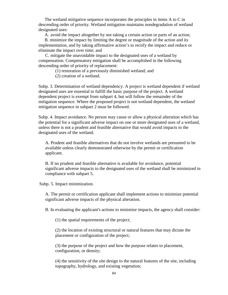The wetland mitigative sequence incorporates the principles in items A to C in descending order of priority. Wetland mitigation maintains nondegradation of wetland designated uses:

A. avoid the impact altogether by not taking a certain action or parts of an action;

B. minimize the impact by limiting the degree or magnitude of the action and its implementation, and by taking affirmative action's to rectify the impact and reduce or eliminate the impact over time; and

C. mitigate the unavoidable impact to the designated uses of a wetland by compensation. Compensatory mitigation shall be accomplished in the following descending order of priority of replacement:

(1) restoration of a previously diminished wetland; and

(2) creation of a wetland.

Subp. 3. Determination of wetland dependency. A project is wetland dependent if wetland designated uses are essential to fulfill the basic purpose of the project. A wetland dependent project is exempt from subpart 4, but will follow the remainder of the mitigation sequence. Where the proposed project is not wetland dependent, the wetland mitigation sequence in subpart 2 must be followed.

Subp. 4. Impact avoidance. No person may cause or allow a physical alteration which has the potential for a significant adverse impact on one or more designated uses of a wetland, unless there is not a prudent and feasible alternative that would avoid impacts to the designated uses of the wetland.

A. Prudent and feasible alternatives that do not involve wetlands are presumed to be available unless clearly demonstrated otherwise by the permit or certification applicant.

B. If no prudent and feasible alternative is available for avoidance, potential significant adverse impacts to the designated uses of the wetland shall be minimized in compliance with subpart 5.

Subp. 5. Impact minimization.

A. The permit or certification applicant shall implement actions to minimize potential significant adverse impacts of the physical alteration.

B. In evaluating the applicant's actions to minimize impacts, the agency shall consider:

(1) the spatial requirements of the project;

(2) the location of existing structural or natural features that may dictate the placement or configuration of the project;

(3) the purpose of the project and how the purpose relates to placement, configuration, or density;

(4) the sensitivity of the site design to the natural features of the site, including topography, hydrology, and existing vegetation;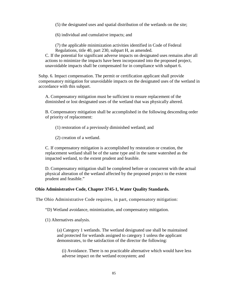(5) the designated uses and spatial distribution of the wetlands on the site;

(6) individual and cumulative impacts; and

(7) the applicable minimization activities identified in Code of Federal Regulations, title 40, part 230, subpart H, as amended.

C. If the potential for significant adverse impacts on designated uses remains after all actions to minimize the impacts have been incorporated into the proposed project, unavoidable impacts shall be compensated for in compliance with subpart 6.

Subp. 6. Impact compensation. The permit or certification applicant shall provide compensatory mitigation for unavoidable impacts on the designated uses of the wetland in accordance with this subpart.

A. Compensatory mitigation must be sufficient to ensure replacement of the diminished or lost designated uses of the wetland that was physically altered.

B. Compensatory mitigation shall be accomplished in the following descending order of priority of replacement:

(1) restoration of a previously diminished wetland; and

(2) creation of a wetland.

C. If compensatory mitigation is accomplished by restoration or creation, the replacement wetland shall be of the same type and in the same watershed as the impacted wetland, to the extent prudent and feasible.

D. Compensatory mitigation shall be completed before or concurrent with the actual physical alteration of the wetland affected by the proposed project to the extent prudent and feasible."

#### **Ohio Administrative Code, Chapter 3745-1, Water Quality Standards.**

The Ohio Administrative Code requires, in part, compensatory mitigation:

"D) Wetland avoidance, minimization, and compensatory mitigation.

(1) Alternatives analysis.

(a) Category 1 wetlands. The wetland designated use shall be maintained and protected for wetlands assigned to category 1 unless the applicant demonstrates, to the satisfaction of the director the following:

(i) Avoidance. There is no practicable alternative which would have less adverse impact on the wetland ecosystem; and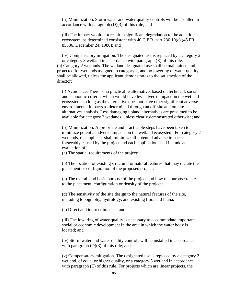(ii) Minimization. Storm water and water quality controls will be installed in accordance with paragraph (D)(3) of this rule; and

(iii) The impact would not result in significant degradation to the aquatic ecosystem, as determined consistent with 40 C.F.R. part 230.10(c) (45 FR 85336, December 24, 1980); and

(iv) Compensatory mitigation. The designated use is replaced by a category 2 or category 3 wetland in accordance with paragraph (E) of this rule. (b) Category 2 wetlands. The wetland designated use shall be maintained and protected for wetlands assigned to category 2, and no lowering of water quality shall be allowed, unless the applicant demonstrates to the satisfaction of the director:

(i) Avoidance. There is no practicable alternative, based on technical, social and economic criteria, which would have less adverse impact on the wetland ecosystem, so long as the alternative does not have other significant adverse environmental impacts as determined through an off-site and on-site alternatives analysis. Less damaging upland alternatives are presumed to be available for category 2 wetlands, unless clearly demonstrated otherwise; and

(ii) Minimization. Appropriate and practicable steps have been taken to minimize potential adverse impacts on the wetland ecosystem. For category 2 wetlands, the applicant shall minimize all potential adverse impacts forseeably caused by the project and each application shall include an evaluation of:

(a) The spatial requirements of the project;

(b) The location of existing structural or natural features that may dictate the placement or configuration of the proposed project;

(c) The overall and basic purpose of the project and how the purpose relates to the placement, configuration or density of the project;

(d) The sensitivity of the site design to the natural features of the site, including topography, hydrology, and existing flora and fauna;

(e) Direct and indirect impacts; and

(iii) The lowering of water quality is necessary to accommodate important social or economic development in the area in which the water body is located; and

(iv) Storm water and water quality controls will be installed in accordance with paragraph  $(D)(3)$  of this rule; and

(v) Compensatory mitigation. The designated use is replaced by a category 2 wetland, of equal or higher quality, or a category 3 wetland in accordance with paragraph (E) of this rule. For projects which are linear projects, the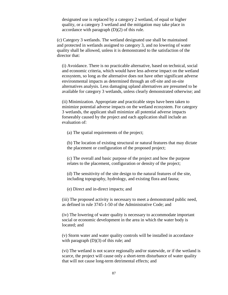designated use is replaced by a category 2 wetland, of equal or higher quality, or a category 3 wetland and the mitigation may take place in accordance with paragraph (D)(2) of this rule.

(c) Category 3 wetlands. The wetland designated use shall be maintained and protected in wetlands assigned to category 3, and no lowering of water quality shall be allowed, unless it is demonstrated to the satisfaction of the director that:

(i) Avoidance. There is no practicable alternative, based on technical, social and economic criteria, which would have less adverse impact on the wetland ecosystem, so long as the alternative does not have other significant adverse environmental impacts as determined through an off-site and on-site alternatives analysis. Less damaging upland alternatives are presumed to be available for category 3 wetlands, unless clearly demonstrated otherwise; and

(ii) Minimization. Appropriate and practicable steps have been taken to minimize potential adverse impacts on the wetland ecosystem. For category 3 wetlands, the applicant shall minimize all potential adverse impacts forseeably caused by the project and each application shall include an evaluation of:

(a) The spatial requirements of the project;

(b) The location of existing structural or natural features that may dictate the placement or configuration of the proposed project;

(c) The overall and basic purpose of the project and how the purpose relates to the placement, configuration or density of the project;

(d) The sensitivity of the site design to the natural features of the site, including topography, hydrology, and existing flora and fauna;

(e) Direct and in-direct impacts; and

(iii) The proposed activity is necessary to meet a demonstrated public need, as defined in rule [3745-1-50](http://www.loislaw.com/pns/doclink.htp?dockey=3888604@OHREGS&alias=OHREGS&cite=3745-1-50) of the Administrative Code; and

(iv) The lowering of water quality is necessary to accommodate important social or economic development in the area in which the water body is located; and

(v) Storm water and water quality controls will be installed in accordance with paragraph  $(D)(3)$  of this rule; and

(vi) The wetland is not scarce regionally and/or statewide, or if the wetland is scarce, the project will cause only a short-term disturbance of water quality that will not cause long-term detrimental effects; and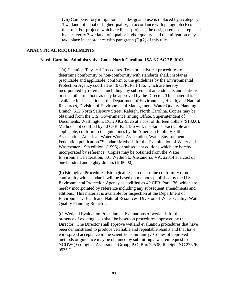(vii) Compensatory mitigation. The designated use is replaced by a category 3 wetland, of equal or higher quality, in accordance with paragraph (E) of this rule. For projects which are linear projects, the designated use is replaced by a category 3 wetland, of equal or higher quality, and the mitigation may take place in accordance with paragraph (D)(2) of this rule.

#### **ANALYTICAL REQUIREMENTS**

#### **North Carolina Administrative Code, North Carolina. 15A NCAC 2B .0103.**

 "(a) Chemical/Physical Procedures. Tests or analytical procedures to determine conformity or non-conformity with standards shall, insofar as practicable and applicable, conform to the guidelines by the Environmental Protection Agency codified as [40 CFR, Part 136,](http://www.loislaw.com/pns/doclink.htp?dockey=15396807@USCFR&alias=USCFR&cite=40+C.F.R.%2C+Part+136) which are hereby incorporated by reference including any subsequent amendments and editions or such other methods as may be approved by the Director. This material is available for inspection at the Department of Environment, Health, and Natural Resources, Division of Environmental Management, Water Quality Planning Branch, 512 North Salisbury Street, Raleigh, North Carolina. Copies may be obtained from the U.S. Government Printing Office, Superintendent of Documents, Washington, DC 20402-9325 at a cost of thirteen dollars (\$13.00). Methods not codified by [40 CFR, Part 136](http://www.loislaw.com/pns/doclink.htp?dockey=15396807@USCFR&alias=USCFR&cite=40+C.F.R.%2C+Part+136) will, insofar as practicable and applicable, conform to the guidelines by the American Public Health Association, American Water Works Association, Water Environment Federation publication "Standard Methods for the Examination of Water and Wastewater, 19th edition" (1996) or subsequent editions which are hereby incorporated by reference. Copies may be obtained from the Water Environment Federation, 601 Wythe St., Alexandria, VA, 22314 at a cost of one hundred and eighty dollars (\$180.00).

(b) Biological Procedures. Biological tests to determine conformity or nonconformity with standards will be based on methods published by the U.S. Environmental Protection Agency as codified as [40 CFR, Part 136,](http://www.loislaw.com/pns/doclink.htp?dockey=15396807@USCFR&alias=USCFR&cite=40+C.F.R.%2C+Part+136) which are hereby incorporated by reference including any subsequent amendments and editions. This material is available for inspection at the Department of Environment, Health and Natural Resources, Division of Water Quality, Water Quality Planning Branch….

(c) Wetland Evaluation Procedures. Evaluations of wetlands for the presence of existing uses shall be based on procedures approved by the Director. The Director shall approve wetland evaluation procedures that have been demonstrated to produce verifiable and repeatable results and that have widespread acceptance in the scientific community. Copies of approved methods or guidance may be obtained by submitting a written request to NCDWQEcological Assessment Group, P.O. Box 29535, Raleigh, NC 27626- 0535."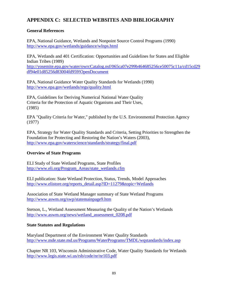# **APPENDIX C: SELECTED WEBSITES AND BIBLIOGRAPHY**

# **General References**

EPA, National Guidance, Wetlands and Nonpoint Source Control Programs (1990) <http://www.epa.gov/wetlands/guidance/wlnps.html>

EPA, Wetlands and 401 Certification: Opportunities and Guidelines for States and Eligible Indian Tribes (1989) [http://yosemite.epa.gov/water/owrcCatalog.nsf/065ca07e299b464685256ce50075c11a/cd15cd29](http://yosemite.epa.gov/water/owrcCatalog.nsf/065ca07e299b464685256ce50075c11a/cd15cd29df94e01d85256d83004fd959!OpenDocument)

[df94e01d85256d83004fd959!OpenDocument](http://yosemite.epa.gov/water/owrcCatalog.nsf/065ca07e299b464685256ce50075c11a/cd15cd29df94e01d85256d83004fd959!OpenDocument)

EPA, National Guidance Water Quality Standards for Wetlands (1990) <http://www.epa.gov/wetlands/regs/quality.html>

EPA, Guidelines for Deriving Numerical National Water Quality Criteria for the Protection of Aquatic Organisms and Their Uses, (1985)

EPA "Quality Criteria for Water," published by the U.S. Environmental Protection Agency (1977)

EPA, Strategy for Water Quality Standards and Criteria, Setting Priorities to Strengthen the Foundation for Protecting and Restoring the Nation's Waters (2003), <http://www.epa.gov/waterscience/standards/strategy/final.pdf>

# **Overview of State Programs**

ELI Study of State Wetland Programs, State Profiles [http://www.eli.org/Program\\_Areas/state\\_wetlands.cfm](http://www.eli.org/Program_Areas/state_wetlands.cfm)

ELI publication: State Wetland Protection, Status, Trends, Model Approaches [http://www.elistore.org/reports\\_detail.asp?ID=11279&topic=Wetlands](http://www.elistore.org/reports_detail.asp?ID=11279&topic=Wetlands)

Association of State Wetland Manager summary of State Wetland Programs <http://www.aswm.org/swp/statemainpage9.htm>

Stetson, L., Wetland Assessment Measuring the Quality of the Nation's Wetlands [http://www.aswm.org/news/wetland\\_assessment\\_0208.pdf](http://www.aswm.org/news/wetland_assessment_0208.pdf)

# **State Statutes and Regulations**

Maryland Department of the Environment Water Quality Standards <http://www.mde.state.md.us/Programs/WaterPrograms/TMDL/wqstandards/index.asp>

Chapter NR 103, Wisconsin Administrative Code, Water Quality Standards for Wetlands <http://www.legis.state.wi.us/rsb/code/nr/nr103.pdf>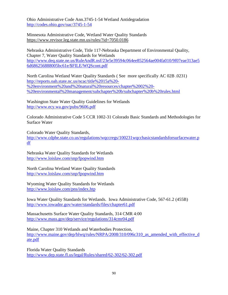Ohio Administrative Code Ann.3745-1-54 Wetland Antidegradation <http://codes.ohio.gov/oac/3745-1-54>

Minnesota Administrative Code, Wetland Water Quality Standards <https://www.revisor.leg.state.mn.us/rules/?id=7050.0186>

Nebraska Administrative Code, Title 117-Nebraska Department of Environmental Quality, Chapter 7, Water Quality Standards for Wetlands [http://www.deq.state.ne.us/RuleAndR.nsf/23e5e39594c064ee852564ae004fa010/9f07eae313ae5](http://www.deq.state.ne.us/RuleAndR.nsf/23e5e39594c064ee852564ae004fa010/9f07eae313ae56d686256888005bc61e/$FILE/WQScont.pdf) [6d686256888005bc61e/\\$FILE/WQScont.pdf](http://www.deq.state.ne.us/RuleAndR.nsf/23e5e39594c064ee852564ae004fa010/9f07eae313ae56d686256888005bc61e/$FILE/WQScont.pdf)

North Carolina Wetland Water Quality Standards ( See more specifically AC 02B .0231) [http://reports.oah.state.nc.us/ncac/title%2015a%20-](http://reports.oah.state.nc.us/ncac/title%2015a%20-%20environment%20and%20natural%20resources/chapter%2002%20-%20environmental%20management/subchapter%20b/subchapter%20b%20rules.html) [%20environment%20and%20natural%20resources/chapter%2002%20-](http://reports.oah.state.nc.us/ncac/title%2015a%20-%20environment%20and%20natural%20resources/chapter%2002%20-%20environmental%20management/subchapter%20b/subchapter%20b%20rules.html) [%20environmental%20management/subchapter%20b/subchapter%20b%20rules.html](http://reports.oah.state.nc.us/ncac/title%2015a%20-%20environment%20and%20natural%20resources/chapter%2002%20-%20environmental%20management/subchapter%20b/subchapter%20b%20rules.html)

Washington State Water Quality Guidelines for Wetlands <http://www.ecy.wa.gov/pubs/9606.pdf>

Colorado Administrative Code 5 CCR 1002-31 Colorado Basic Standards and Methodologies for Surface Water

Colorado Water Quality Standards,

[http://www.cdphe.state.co.us/regulations/wqccregs/100231wqccbasicstandardsforsurfacewater.p](http://www.cdphe.state.co.us/regulations/wqccregs/100231wqccbasicstandardsforsurfacewater.pdf) [df](http://www.cdphe.state.co.us/regulations/wqccregs/100231wqccbasicstandardsforsurfacewater.pdf)

Nebraska Water Quality Standards for Wetlands <http://www.loislaw.com/snp/fpopwind.htm>

North Carolina Wetland Water Quality Standards <http://www.loislaw.com/snp/fpopwind.htm>

Wyoming Water Quality Standards for Wetlands <http://www.loislaw.com/pns/index.htp>

Iowa Water Quality Standards for Wetlands. Iowa Administrative Code, 567-61.2 (455B) <http://www.iowadnr.gov/water/standards/files/chapter61.pdf>

Massachusetts Surface Water Quality Standards, 314 CMR 4:00 <http://www.mass.gov/dep/service/regulations/314cmr04.pdf>

Maine, Chapter 310 Wetlands and Waterbodies Protection, http://www.maine.gov/dep/blwq/rules/NRPA/2008/310/096c310 as amended with effective d [ate.pdf](http://www.maine.gov/dep/blwq/rules/NRPA/2008/310/096c310_as_amended_with_effective_date.pdf)

Florida Water Quality Standards <http://www.dep.state.fl.us/legal/Rules/shared/62-302/62-302.pdf>